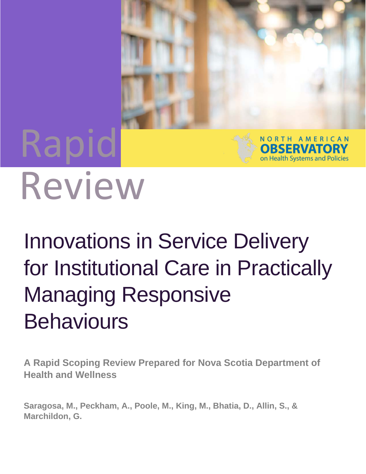# Rapid Review

## Innovations in Service Delivery for Institutional Care in Practically Managing Responsive **Behaviours**

NORTH AMERICAN **OBSERVATORY** on Health Systems and Policies

**A Rapid Scoping Review Prepared for Nova Scotia Department of Health and Wellness** 

**Saragosa, M., Peckham, A., Poole, M., King, M., Bhatia, D., Allin, S., & Marchildon, G.**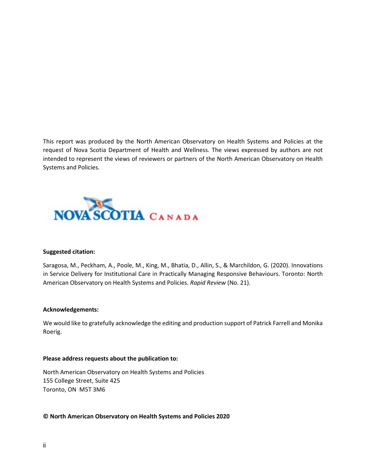This report was produced by the North American Observatory on Health Systems and Policies at the request of Nova Scotia Department of Health and Wellness. The views expressed by authors are not intended to represent the views of reviewers or partners of the North American Observatory on Health Systems and Policies.



#### **Suggested citation:**

Saragosa, M., Peckham, A., Poole, M., King, M., Bhatia, D., Allin, S., & Marchildon, G. (2020). Innovations in Service Delivery for Institutional Care in Practically Managing Responsive Behaviours. Toronto: North American Observatory on Health Systems and Policies. *Rapid Review* (No. 21).

#### **Acknowledgements:**

We would like to gratefully acknowledge the editing and production support of Patrick Farrell and Monika Roerig.

#### **Please address requests about the publication to:**

North American Observatory on Health Systems and Policies 155 College Street, Suite 425 Toronto, ON M5T 3M6

**© North American Observatory on Health Systems and Policies 2020**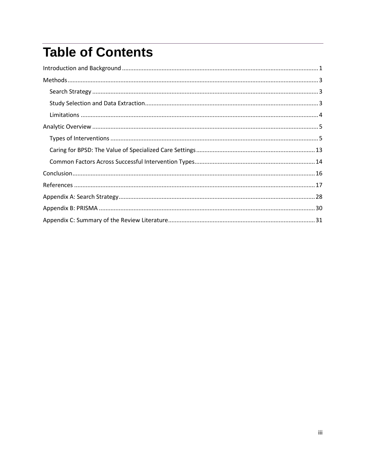### **Table of Contents**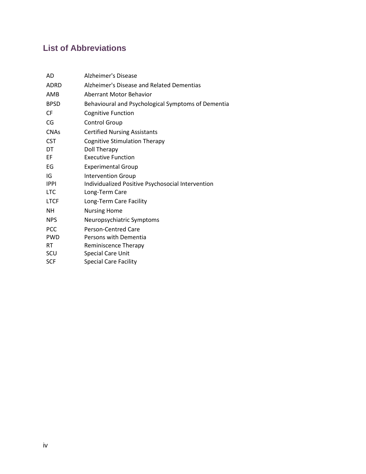#### **List of Abbreviations**

| AD          | <b>Alzheimer's Disease</b>                         |
|-------------|----------------------------------------------------|
| <b>ADRD</b> | Alzheimer's Disease and Related Dementias          |
| AMB         | Aberrant Motor Behavior                            |
| <b>BPSD</b> | Behavioural and Psychological Symptoms of Dementia |
| CF          | <b>Cognitive Function</b>                          |
| CG          | <b>Control Group</b>                               |
| <b>CNAs</b> | <b>Certified Nursing Assistants</b>                |
| <b>CST</b>  | <b>Cognitive Stimulation Therapy</b>               |
| DT          | <b>Doll Therapy</b>                                |
| EF          | <b>Executive Function</b>                          |
| EG          | <b>Experimental Group</b>                          |
| IG          | <b>Intervention Group</b>                          |
| <b>IPPI</b> | Individualized Positive Psychosocial Intervention  |
| <b>LTC</b>  | Long-Term Care                                     |
| <b>LTCF</b> | Long-Term Care Facility                            |
| NΗ          | <b>Nursing Home</b>                                |
| <b>NPS</b>  | Neuropsychiatric Symptoms                          |
| <b>PCC</b>  | <b>Person-Centred Care</b>                         |
| <b>PWD</b>  | Persons with Dementia                              |
| <b>RT</b>   | <b>Reminiscence Therapy</b>                        |
| SCU         | <b>Special Care Unit</b>                           |
| <b>SCF</b>  | <b>Special Care Facility</b>                       |
|             |                                                    |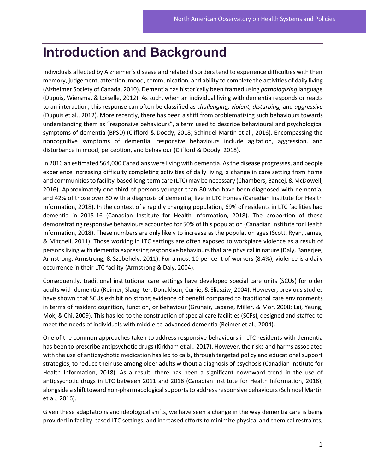### <span id="page-4-0"></span>**Introduction and Background**

Individuals affected by Alzheimer's disease and related disorders tend to experience difficulties with their memory, judgement, attention, mood, communication, and ability to complete the activities of daily living (Alzheimer Society of Canada, 2010). Dementia has historically been framed using *pathologizing* language (Dupuis, Wiersma, & Loiselle, 2012). As such, when an individual living with dementia responds or reacts to an interaction, this response can often be classified as *challenging, violent, disturbing,* and *aggressive* (Dupuis et al., 2012). More recently, there has been a shift from problematizing such behaviours towards understanding them as "responsive behaviours", a term used to describe behavioural and psychological symptoms of dementia (BPSD) (Clifford & Doody, 2018; Schindel Martin et al., 2016). Encompassing the noncognitive symptoms of dementia, responsive behaviours include agitation, aggression, and disturbance in mood, perception, and behaviour (Clifford & Doody, 2018).

In 2016 an estimated 564,000 Canadians were living with dementia. As the disease progresses, and people experience increasing difficulty completing activities of daily living, a change in care setting from home and communities to facility-based long-term care (LTC) may be necessary (Chambers, Bancej, & McDowell, 2016). Approximately one-third of persons younger than 80 who have been diagnosed with dementia, and 42% of those over 80 with a diagnosis of dementia, live in LTC homes (Canadian Institute for Health Information, 2018). In the context of a rapidly changing population, 69% of residents in LTC facilities had dementia in 2015-16 (Canadian Institute for Health Information, 2018). The proportion of those demonstrating responsive behaviours accounted for 50% of this population (Canadian Institute for Health Information, 2018). These numbers are only likely to increase as the population ages (Scott, Ryan, James, & Mitchell, 2011). Those working in LTC settings are often exposed to workplace violence as a result of persons living with dementia expressing responsive behaviours that are physical in nature (Daly, Banerjee, Armstrong, Armstrong, & Szebehely, 2011). For almost 10 per cent of workers (8.4%), violence is a daily occurrence in their LTC facility (Armstrong & Daly, 2004).

Consequently, traditional institutional care settings have developed special care units (SCUs) for older adults with dementia (Reimer, Slaughter, Donaldson, Currie, & Eliasziw, 2004). However, previous studies have shown that SCUs exhibit no strong evidence of benefit compared to traditional care environments in terms of resident cognition, function, or behaviour (Gruneir, Lapane, Miller, & Mor, 2008; Lai, Yeung, Mok, & Chi, 2009). This has led to the construction of special care facilities (SCFs), designed and staffed to meet the needs of individuals with middle-to-advanced dementia (Reimer et al., 2004).

One of the common approaches taken to address responsive behaviours in LTC residents with dementia has been to prescribe antipsychotic drugs (Kirkham et al., 2017). However, the risks and harms associated with the use of antipsychotic medication has led to calls, through targeted policy and educational support strategies, to reduce their use among older adults without a diagnosis of psychosis (Canadian Institute for Health Information, 2018). As a result, there has been a significant downward trend in the use of antipsychotic drugs in LTC between 2011 and 2016 (Canadian Institute for Health Information, 2018), alongside a shift toward non-pharmacological supports to address responsive behaviours (Schindel Martin et al., 2016).

Given these adaptations and ideological shifts, we have seen a change in the way dementia care is being provided in facility-based LTC settings, and increased efforts to minimize physical and chemical restraints,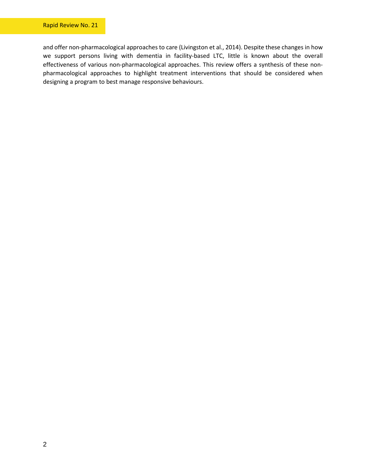and offer non-pharmacological approaches to care (Livingston et al., 2014). Despite these changes in how we support persons living with dementia in facility-based LTC, little is known about the overall effectiveness of various non-pharmacological approaches. This review offers a synthesis of these nonpharmacological approaches to highlight treatment interventions that should be considered when designing a program to best manage responsive behaviours.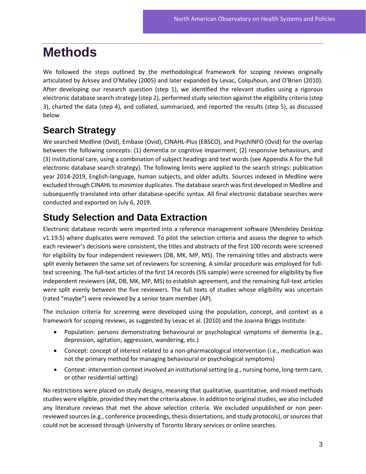### <span id="page-6-0"></span>**Methods**

We followed the steps outlined by the methodological framework for scoping reviews originally articulated by Arksey and O'Malley (2005) and later expanded by Levac, Colquhoun, and O'Brien (2010). After developing our research question (step 1), we identified the relevant studies using a rigorous electronic database search strategy (step 2), performed study selection against the eligibility criteria (step 3), charted the data (step 4), and collated, summarized, and reported the results (step 5), as discussed below.

### <span id="page-6-1"></span>**Search Strategy**

We searched Medline (Ovid), Embase (Ovid), CINAHL-Plus (EBSCO), and PsychINFO (Ovid) for the overlap between the following concepts: (1) dementia or cognitive impairment, (2) responsive behaviours, and (3) institutional care, using a combination of subject headings and text words (see Appendix A for the full electronic database search strategy). The following limits were applied to the search strings: publication year 2014-2019, English-language, human subjects, and older adults. Sources indexed in Medline were excluded through CINAHL to minimize duplicates. The database search was first developed in Medline and subsequently translated into other database-specific syntax. All final electronic database searches were conducted and exported on July 6, 2019.

### <span id="page-6-2"></span>**Study Selection and Data Extraction**

Electronic database records were imported into a reference management software (Mendeley Desktop v1.19.5) where duplicates were removed. To pilot the selection criteria and assess the degree to which each reviewer's decisions were consistent, the titles and abstracts of the first 100 records were screened for eligibility by four independent reviewers (DB, MK, MP, MS). The remaining titles and abstracts were split evenly between the same set of reviewers for screening. A similar procedure was employed for fulltext screening. The full-text articles of the first 14 records (5% sample) were screened for eligibility by five independent reviewers (AK, DB, MK, MP, MS) to establish agreement, and the remaining full-text articles were split evenly between the five reviewers. The full texts of studies whose eligibility was uncertain (rated "maybe") were reviewed by a senior team member (AP).

The inclusion criteria for screening were developed using the population, concept, and context as a framework for scoping reviews, as suggested by Levac et al. (2010) and the Joanna Briggs Institute:

- Population: persons demonstrating behavioural or psychological symptoms of dementia (e.g., depression, agitation, aggression, wandering, etc.)
- Concept: concept of interest related to a non-pharmacological intervention (i.e., medication was not the primary method for managing behavioural or psychological symptoms)
- Context: intervention context involved an institutional setting (e.g., nursing home, long-term care, or other residential setting)

No restrictions were placed on study designs, meaning that qualitative, quantitative, and mixed methods studies were eligible, provided they met the criteria above. In addition to original studies, we also included any literature reviews that met the above selection criteria. We excluded unpublished or non peerreviewed sources (e.g., conference proceedings, thesis dissertations, and study protocols), or sources that could not be accessed through University of Toronto library services or online searches.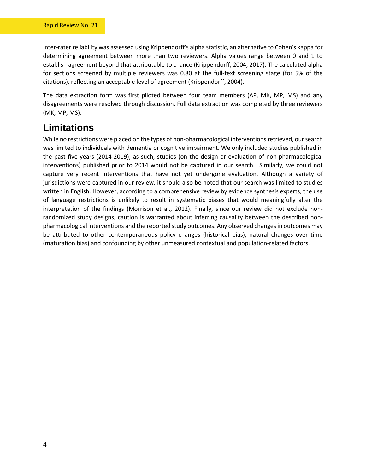Inter-rater reliability was assessed using Krippendorff's alpha statistic, an alternative to Cohen's kappa for determining agreement between more than two reviewers. Alpha values range between 0 and 1 to establish agreement beyond that attributable to chance (Krippendorff, 2004, 2017). The calculated alpha for sections screened by multiple reviewers was 0.80 at the full-text screening stage (for 5% of the citations), reflecting an acceptable level of agreement (Krippendorff, 2004).

The data extraction form was first piloted between four team members (AP, MK, MP, MS) and any disagreements were resolved through discussion. Full data extraction was completed by three reviewers (MK, MP, MS).

#### <span id="page-7-0"></span>**Limitations**

While no restrictions were placed on the types of non-pharmacological interventions retrieved, our search was limited to individuals with dementia or cognitive impairment. We only included studies published in the past five years (2014-2019); as such, studies (on the design or evaluation of non-pharmacological interventions) published prior to 2014 would not be captured in our search. Similarly, we could not capture very recent interventions that have not yet undergone evaluation. Although a variety of jurisdictions were captured in our review, it should also be noted that our search was limited to studies written in English. However, according to a comprehensive review by evidence synthesis experts, the use of language restrictions is unlikely to result in systematic biases that would meaningfully alter the interpretation of the findings (Morrison et al., 2012). Finally, since our review did not exclude nonrandomized study designs, caution is warranted about inferring causality between the described nonpharmacological interventions and the reported study outcomes. Any observed changes in outcomes may be attributed to other contemporaneous policy changes (historical bias), natural changes over time (maturation bias) and confounding by other unmeasured contextual and population-related factors.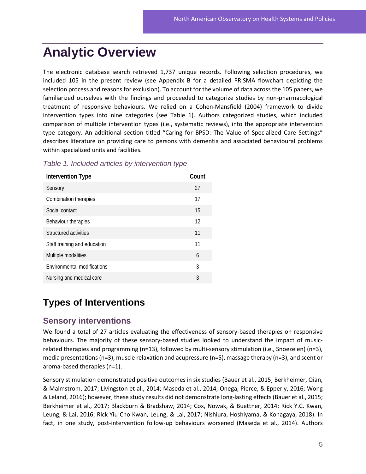### <span id="page-8-0"></span>**Analytic Overview**

The electronic database search retrieved 1,737 unique records. Following selection procedures, we included 105 in the present review (see Appendix B for a detailed PRISMA flowchart depicting the selection process and reasons for exclusion). To account for the volume of data across the 105 papers, we familiarized ourselves with the findings and proceeded to categorize studies by non-pharmacological treatment of responsive behaviours. We relied on a Cohen-Mansfield (2004) framework to divide intervention types into nine categories (see Table 1). Authors categorized studies, which included comparison of multiple intervention types (i.e., systematic reviews), into the appropriate intervention type category. An additional section titled "Caring for BPSD: The Value of Specialized Care Settings" describes literature on providing care to persons with dementia and associated behavioural problems within specialized units and facilities.

| Intervention Type            | Count |
|------------------------------|-------|
| Sensory                      | 27    |
| Combination therapies        | 17    |
| Social contact               | 15    |
| Behaviour therapies          | 12    |
| Structured activities        | 11    |
| Staff training and education | 11    |
| Multiple modalities          | 6     |
| Environmental modifications  | 3     |
| Nursing and medical care     | 3     |

*Table 1. Included articles by intervention type*

### <span id="page-8-1"></span>**Types of Interventions**

#### **Sensory interventions**

We found a total of 27 articles evaluating the effectiveness of sensory-based therapies on responsive behaviours. The majority of these sensory-based studies looked to understand the impact of musicrelated therapies and programming (n=13), followed by multi-sensory stimulation (i.e., Snoezelen) (n=3), media presentations (n=3), muscle relaxation and acupressure (n=5), massage therapy (n=3), and scent or aroma-based therapies (n=1).

Sensory stimulation demonstrated positive outcomes in six studies (Bauer et al., 2015; Berkheimer, Qian, & Malmstrom, 2017; Livingston et al., 2014; Maseda et al., 2014; Onega, Pierce, & Epperly, 2016; Wong & Leland, 2016); however, these study results did not demonstrate long-lasting effects (Bauer et al., 2015; Berkheimer et al., 2017; Blackburn & Bradshaw, 2014; Cox, Nowak, & Buettner, 2014; Rick Y.C. Kwan, Leung, & Lai, 2016; Rick Yiu Cho Kwan, Leung, & Lai, 2017; Nishiura, Hoshiyama, & Konagaya, 2018). In fact, in one study, post-intervention follow-up behaviours worsened (Maseda et al., 2014). Authors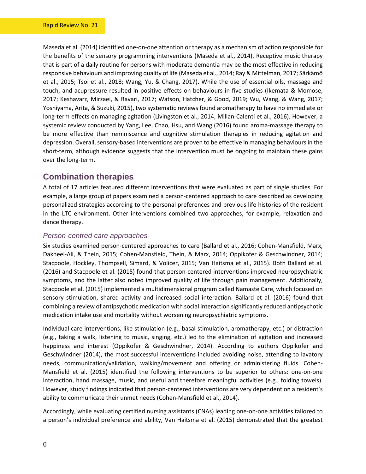Maseda et al. (2014) identified one-on-one attention or therapy as a mechanism of action responsible for the benefits of the sensory programming interventions (Maseda et al., 2014). Receptive music therapy that is part of a daily routine for persons with moderate dementia may be the most effective in reducing responsive behaviours and improving quality of life (Maseda et al., 2014; Ray & Mittelman, 2017; Särkämö et al., 2015; Tsoi et al., 2018; Wang, Yu, & Chang, 2017). While the use of essential oils, massage and touch, and acupressure resulted in positive effects on behaviours in five studies (Ikemata & Momose, 2017; Keshavarz, Mirzaei, & Ravari, 2017; Watson, Hatcher, & Good, 2019; Wu, Wang, & Wang, 2017; Yoshiyama, Arita, & Suzuki, 2015), two systematic reviews found aromatherapy to have no immediate or long-term effects on managing agitation (Livingston et al., 2014; Millan-Calenti et al., 2016). However, a systemic review conducted by Yang, Lee, Chao, Hsu, and Wang (2016) found aroma-massage therapy to be more effective than reminiscence and cognitive stimulation therapies in reducing agitation and depression. Overall, sensory-based interventions are proven to be effective in managing behaviours in the short-term, although evidence suggests that the intervention must be ongoing to maintain these gains over the long-term.

#### **Combination therapies**

A total of 17 articles featured different interventions that were evaluated as part of single studies. For example, a large group of papers examined a person-centered approach to care described as developing personalized strategies according to the personal preferences and previous life histories of the resident in the LTC environment. Other interventions combined two approaches, for example, relaxation and dance therapy.

#### *Person-centred care approaches*

Six studies examined person-centered approaches to care (Ballard et al., 2016; Cohen-Mansfield, Marx, Dakheel-Ali, & Thein, 2015; Cohen-Mansfield, Thein, & Marx, 2014; Oppikofer & Geschwindner, 2014; Stacpoole, Hockley, Thompsell, Simard, & Volicer, 2015; Van Haitsma et al., 2015). Both Ballard et al. (2016) and Stacpoole et al. (2015) found that person-centered interventions improved neuropsychiatric symptoms, and the latter also noted improved quality of life through pain management. Additionally, Stacpoole et al. (2015) implemented a multidimensional program called Namaste Care, which focused on sensory stimulation, shared activity and increased social interaction. Ballard et al. (2016) found that combining a review of antipsychotic medication with social interaction significantly reduced antipsychotic medication intake use and mortality without worsening neuropsychiatric symptoms.

Individual care interventions, like stimulation (e.g., basal stimulation, aromatherapy, etc.) or distraction (e.g., taking a walk, listening to music, singing, etc.) led to the elimination of agitation and increased happiness and interest (Oppikofer & Geschwindner, 2014). According to authors Oppikofer and Geschwindner (2014), the most successful interventions included avoiding noise, attending to lavatory needs, communication/validation, walking/movement and offering or administering fluids. Cohen-Mansfield et al. (2015) identified the following interventions to be superior to others: one-on-one interaction, hand massage, music, and useful and therefore meaningful activities (e.g., folding towels). However, study findings indicated that person-centered interventions are very dependent on a resident's ability to communicate their unmet needs (Cohen-Mansfield et al., 2014).

Accordingly, while evaluating certified nursing assistants (CNAs) leading one-on-one activities tailored to a person's individual preference and ability, Van Haitsma et al. (2015) demonstrated that the greatest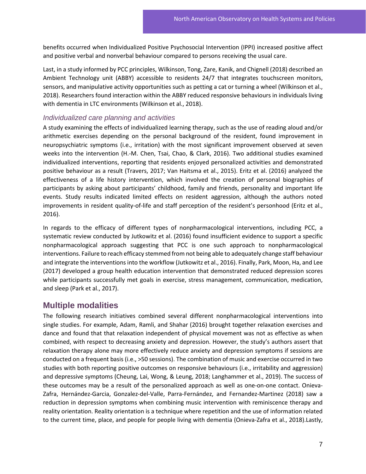benefits occurred when Individualized Positive Psychosocial Intervention (IPPI) increased positive affect and positive verbal and nonverbal behaviour compared to persons receiving the usual care.

Last, in a study informed by PCC principles, Wilkinson, Tong, Zare, Kanik, and Chignell (2018) described an Ambient Technology unit (ABBY) accessible to residents 24/7 that integrates touchscreen monitors, sensors, and manipulative activity opportunities such as petting a cat or turning a wheel (Wilkinson et al., 2018). Researchers found interaction within the ABBY reduced responsive behaviours in individuals living with dementia in LTC environments (Wilkinson et al., 2018).

#### *Individualized care planning and activities*

A study examining the effects of individualized learning therapy, such as the use of reading aloud and/or arithmetic exercises depending on the personal background of the resident, found improvement in neuropsychiatric symptoms (i.e., irritation) with the most significant improvement observed at seven weeks into the intervention (H.-M. Chen, Tsai, Chao, & Clark, 2016). Two additional studies examined individualized interventions, reporting that residents enjoyed personalized activities and demonstrated positive behaviour as a result (Travers, 2017; Van Haitsma et al., 2015). Eritz et al. (2016) analyzed the effectiveness of a life history intervention, which involved the creation of personal biographies of participants by asking about participants' childhood, family and friends, personality and important life events. Study results indicated limited effects on resident aggression, although the authors noted improvements in resident quality-of-life and staff perception of the resident's personhood (Eritz et al., 2016).

In regards to the efficacy of different types of nonpharmacological interventions, including PCC, a systematic review conducted by Jutkowitz et al. (2016) found insufficient evidence to support a specific nonpharmacological approach suggesting that PCC is one such approach to nonpharmacological interventions. Failure to reach efficacy stemmed from not being able to adequately change staff behaviour and integrate the interventions into the workflow (Jutkowitz et al., 2016). Finally, Park, Moon, Ha, and Lee (2017) developed a group health education intervention that demonstrated reduced depression scores while participants successfully met goals in exercise, stress management, communication, medication, and sleep (Park et al., 2017).

#### **Multiple modalities**

The following research initiatives combined several different nonpharmacological interventions into single studies. For example, Adam, Ramli, and Shahar (2016) brought together relaxation exercises and dance and found that that relaxation independent of physical movement was not as effective as when combined, with respect to decreasing anxiety and depression. However, the study's authors assert that relaxation therapy alone may more effectively reduce anxiety and depression symptoms if sessions are conducted on a frequent basis (i.e., >50 sessions). The combination of music and exercise occurred in two studies with both reporting positive outcomes on responsive behaviours (i.e., irritability and aggression) and depressive symptoms (Cheung, Lai, Wong, & Leung, 2018; Langhammer et al., 2019). The success of these outcomes may be a result of the personalized approach as well as one-on-one contact. Onieva-Zafra, Hernández-Garcia, Gonzalez-del-Valle, Parra-Fernández, and Fernandez-Martinez (2018) saw a reduction in depression symptoms when combining music intervention with reminiscence therapy and reality orientation. Reality orientation is a technique where repetition and the use of information related to the current time, place, and people for people living with dementia (Onieva-Zafra et al., 2018).Lastly,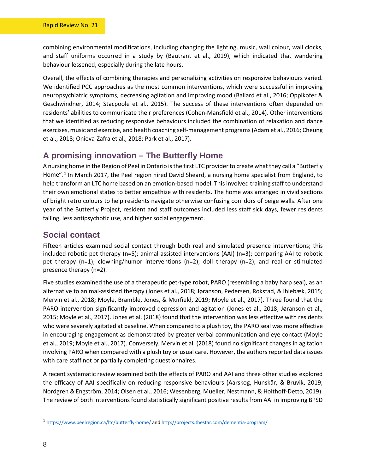combining environmental modifications, including changing the lighting, music, wall colour, wall clocks, and staff uniforms occurred in a study by (Bautrant et al., 2019), which indicated that wandering behaviour lessened, especially during the late hours.

Overall, the effects of combining therapies and personalizing activities on responsive behaviours varied. We identified PCC approaches as the most common interventions, which were successful in improving neuropsychiatric symptoms, decreasing agitation and improving mood (Ballard et al., 2016; Oppikofer & Geschwindner, 2014; Stacpoole et al., 2015). The success of these interventions often depended on residents' abilities to communicate their preferences (Cohen-Mansfield et al., 2014). Other interventions that we identified as reducing responsive behaviours included the combination of relaxation and dance exercises, music and exercise, and health coaching self-management programs(Adam et al., 2016; Cheung et al., 2018; Onieva-Zafra et al., 2018; Park et al., 2017).

#### **A promising innovation – The Butterfly Home**

A nursing home in the Region of Peel in Ontario is the first LTC provider to create what they call a "Butterfly Home". [1](#page-11-0) In March 2017, the Peel region hired David Sheard, a nursing home specialist from England, to help transform an LTC home based on an emotion-based model. This involved training staff to understand their own emotional states to better empathize with residents. The home was arranged in vivid sections of bright retro colours to help residents navigate otherwise confusing corridors of beige walls. After one year of the Butterfly Project, resident and staff outcomes included less staff sick days, fewer residents falling, less antipsychotic use, and higher social engagement.

#### **Social contact**

Fifteen articles examined social contact through both real and simulated presence interventions; this included robotic pet therapy (n=5); animal-assisted interventions (AAI) (n=3); comparing AAI to robotic pet therapy (n=1); clowning/humor interventions (n=2); doll therapy (n=2); and real or stimulated presence therapy (n=2).

Five studies examined the use of a therapeutic pet-type robot, PARO (resembling a baby harp seal), as an alternative to animal-assisted therapy (Jones et al., 2018; Jøranson, Pedersen, Rokstad, & Ihlebæk, 2015; Mervin et al., 2018; Moyle, Bramble, Jones, & Murfield, 2019; Moyle et al., 2017). Three found that the PARO intervention significantly improved depression and agitation (Jones et al., 2018; Jøranson et al., 2015; Moyle et al., 2017). Jones et al. (2018) found that the intervention was less effective with residents who were severely agitated at baseline. When compared to a plush toy, the PARO seal was more effective in encouraging engagement as demonstrated by greater verbal communication and eye contact (Moyle et al., 2019; Moyle et al., 2017). Conversely, Mervin et al. (2018) found no significant changes in agitation involving PARO when compared with a plush toy or usual care. However, the authors reported data issues with care staff not or partially completing questionnaires.

A recent systematic review examined both the effects of PARO and AAI and three other studies explored the efficacy of AAI specifically on reducing responsive behaviours (Aarskog, Hunskår, & Bruvik, 2019; Nordgren & Engström, 2014; Olsen et al., 2016; Wesenberg, Mueller, Nestmann, & Holthoff-Detto, 2019). The review of both interventions found statistically significant positive results from AAI in improving BPSD

<span id="page-11-0"></span><sup>1</sup> <https://www.peelregion.ca/ltc/butterfly-home/> an[d http://projects.thestar.com/dementia-program/](http://projects.thestar.com/dementia-program/)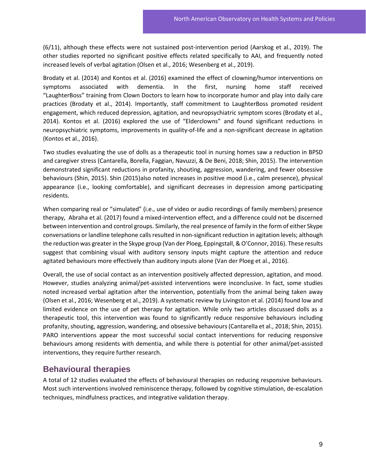(6/11), although these effects were not sustained post-intervention period (Aarskog et al., 2019). The other studies reported no significant positive effects related specifically to AAI, and frequently noted increased levels of verbal agitation (Olsen et al., 2016; Wesenberg et al., 2019).

Brodaty et al. (2014) and Kontos et al. (2016) examined the effect of clowning/humor interventions on symptoms associated with dementia. In the first, nursing home staff received "LaughterBoss" training from Clown Doctors to learn how to incorporate humor and play into daily care practices (Brodaty et al., 2014). Importantly, staff commitment to LaughterBoss promoted resident engagement, which reduced depression, agitation, and neuropsychiatric symptom scores (Brodaty et al., 2014). Kontos et al. (2016) explored the use of "Elderclowns" and found significant reductions in neuropsychiatric symptoms, improvements in quality-of-life and a non-significant decrease in agitation (Kontos et al., 2016).

Two studies evaluating the use of dolls as a therapeutic tool in nursing homes saw a reduction in BPSD and caregiver stress (Cantarella, Borella, Faggian, Navuzzi, & De Beni, 2018; Shin, 2015). The intervention demonstrated significant reductions in profanity, shouting, aggression, wandering, and fewer obsessive behaviours (Shin, 2015). Shin (2015)also noted increases in positive mood (i.e., calm presence), physical appearance (i.e., looking comfortable), and significant decreases in depression among participating residents.

When comparing real or "simulated" (i.e., use of video or audio recordings of family members) presence therapy, Abraha et al. (2017) found a mixed-intervention effect, and a difference could not be discerned between intervention and control groups. Similarly, the real presence of family in the form of either Skype conversations or landline telephone calls resulted in non-significant reduction in agitation levels; although the reduction was greater in the Skype group (Van der Ploeg, Eppingstall, & O'Connor, 2016). These results suggest that combining visual with auditory sensory inputs might capture the attention and reduce agitated behaviours more effectively than auditory inputs alone (Van der Ploeg et al., 2016).

Overall, the use of social contact as an intervention positively affected depression, agitation, and mood. However, studies analyzing animal/pet-assisted interventions were inconclusive. In fact, some studies noted increased verbal agitation after the intervention, potentially from the animal being taken away (Olsen et al., 2016; Wesenberg et al., 2019). A systematic review by Livingston et al. (2014) found low and limited evidence on the use of pet therapy for agitation. While only two articles discussed dolls as a therapeutic tool, this intervention was found to significantly reduce responsive behaviours including profanity, shouting, aggression, wandering, and obsessive behaviours (Cantarella et al., 2018; Shin, 2015). PARO interventions appear the most successful social contact interventions for reducing responsive behaviours among residents with dementia, and while there is potential for other animal/pet-assisted interventions, they require further research.

#### **Behavioural therapies**

A total of 12 studies evaluated the effects of behavioural therapies on reducing responsive behaviours. Most such interventions involved reminiscence therapy, followed by cognitive stimulation, de-escalation techniques, mindfulness practices, and integrative validation therapy.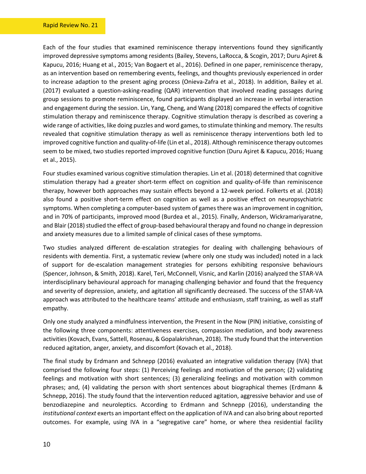Each of the four studies that examined reminiscence therapy interventions found they significantly improved depressive symptoms among residents (Bailey, Stevens, LaRocca, & Scogin, 2017; Duru Aşiret & Kapucu, 2016; Huang et al., 2015; Van Bogaert et al., 2016). Defined in one paper, reminiscence therapy, as an intervention based on remembering events, feelings, and thoughts previously experienced in order to increase adaption to the present aging process (Onieva-Zafra et al., 2018). In addition, Bailey et al. (2017) evaluated a question-asking-reading (QAR) intervention that involved reading passages during group sessions to promote reminiscence, found participants displayed an increase in verbal interaction and engagement during the session. Lin, Yang, Cheng, and Wang (2018) compared the effects of cognitive stimulation therapy and reminiscence therapy. Cognitive stimulation therapy is described as covering a wide range of activities, like doing puzzles and word games, to stimulate thinking and memory. The results revealed that cognitive stimulation therapy as well as reminiscence therapy interventions both led to improved cognitive function and quality-of-life (Lin et al., 2018). Although reminiscence therapy outcomes seem to be mixed, two studies reported improved cognitive function (Duru Aşiret & Kapucu, 2016; Huang et al., 2015).

Four studies examined various cognitive stimulation therapies. Lin et al. (2018) determined that cognitive stimulation therapy had a greater short-term effect on cognition and quality-of-life than reminiscence therapy, however both approaches may sustain effects beyond a 12-week period. Folkerts et al. (2018) also found a positive short-term effect on cognition as well as a positive effect on neuropsychiatric symptoms. When completing a computer-based system of games there was an improvement in cognition, and in 70% of participants, improved mood (Burdea et al., 2015). Finally, Anderson, Wickramariyaratne, and Blair (2018) studied the effect of group-based behavioural therapy and found no change in depression and anxiety measures due to a limited sample of clinical cases of these symptoms.

Two studies analyzed different de-escalation strategies for dealing with challenging behaviours of residents with dementia. First, a systematic review (where only one study was included) noted in a lack of support for de-escalation management strategies for persons exhibiting responsive behaviours (Spencer, Johnson, & Smith, 2018). Karel, Teri, McConnell, Visnic, and Karlin (2016) analyzed the STAR-VA interdisciplinary behavioural approach for managing challenging behavior and found that the frequency and severity of depression, anxiety, and agitation all significantly decreased. The success of the STAR-VA approach was attributed to the healthcare teams' attitude and enthusiasm, staff training, as well as staff empathy.

Only one study analyzed a mindfulness intervention, the Present in the Now (PIN) initiative, consisting of the following three components: attentiveness exercises, compassion mediation, and body awareness activities (Kovach, Evans, Sattell, Rosenau, & Gopalakrishnan, 2018). The study found that the intervention reduced agitation, anger, anxiety, and discomfort (Kovach et al., 2018).

The final study by Erdmann and Schnepp (2016) evaluated an integrative validation therapy (IVA) that comprised the following four steps: (1) Perceiving feelings and motivation of the person; (2) validating feelings and motivation with short sentences; (3) generalizing feelings and motivation with common phrases; and, (4) validating the person with short sentences about biographical themes (Erdmann & Schnepp, 2016). The study found that the intervention reduced agitation, aggressive behavior and use of benzodiazepine and neuroleptics. According to Erdmann and Schnepp (2016), understanding the *institutional context* exerts an important effect on the application of IVA and can also bring about reported outcomes. For example, using IVA in a "segregative care" home, or where thea residential facility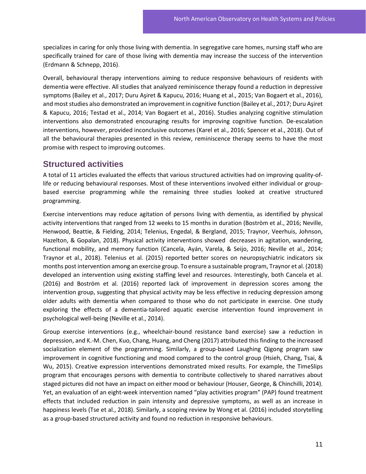specializes in caring for only those living with dementia. In segregative care homes, nursing staff who are specifically trained for care of those living with dementia may increase the success of the intervention (Erdmann & Schnepp, 2016).

Overall, behavioural therapy interventions aiming to reduce responsive behaviours of residents with dementia were effective. All studies that analyzed reminiscence therapy found a reduction in depressive symptoms (Bailey et al., 2017; Duru Aşiret & Kapucu, 2016; Huang et al., 2015; Van Bogaert et al., 2016), and most studies also demonstrated an improvement in cognitive function (Bailey et al., 2017; Duru Aşiret & Kapucu, 2016; Testad et al., 2014; Van Bogaert et al., 2016). Studies analyzing cognitive stimulation interventions also demonstrated encouraging results for improving cognitive function. De-escalation interventions, however, provided inconclusive outcomes (Karel et al., 2016; Spencer et al., 2018). Out of all the behavioural therapies presented in this review, reminiscence therapy seems to have the most promise with respect to improving outcomes.

#### **Structured activities**

A total of 11 articles evaluated the effects that various structured activities had on improving quality-oflife or reducing behavioural responses. Most of these interventions involved either individual or groupbased exercise programming while the remaining three studies looked at creative structured programming.

Exercise interventions may reduce agitation of persons living with dementia, as identified by physical activity interventions that ranged from 12 weeks to 15 months in duration (Boström et al., 2016; Neville, Henwood, Beattie, & Fielding, 2014; Telenius, Engedal, & Bergland, 2015; Traynor, Veerhuis, Johnson, Hazelton, & Gopalan, 2018). Physical activity interventions showed decreases in agitation, wandering, functional mobility, and memory function (Cancela, Ayán, Varela, & Seijo, 2016; Neville et al., 2014; Traynor et al., 2018). Telenius et al. (2015) reported better scores on neuropsychiatric indicators six months post intervention among an exercise group. To ensure a sustainable program, Traynor et al. (2018) developed an intervention using existing staffing level and resources. Interestingly, both Cancela et al. (2016) and Boström et al. (2016) reported lack of improvement in depression scores among the intervention group, suggesting that physical activity may be less effective in reducing depression among older adults with dementia when compared to those who do not participate in exercise. One study exploring the effects of a dementia-tailored aquatic exercise intervention found improvement in psychological well-being (Neville et al., 2014).

Group exercise interventions (e.g., wheelchair-bound resistance band exercise) saw a reduction in depression, and K.-M. Chen, Kuo, Chang, Huang, and Cheng (2017) attributed this finding to the increased socialization element of the programming. Similarly, a group-based Laughing Qigong program saw improvement in cognitive functioning and mood compared to the control group (Hsieh, Chang, Tsai, & Wu, 2015). Creative expression interventions demonstrated mixed results. For example, the TimeSlips program that encourages persons with dementia to contribute collectively to shared narratives about staged pictures did not have an impact on either mood or behaviour (Houser, George, & Chinchilli, 2014). Yet, an evaluation of an eight-week intervention named "play activities program" (PAP) found treatment effects that included reduction in pain intensity and depressive symptoms, as well as an increase in happiness levels (Tse et al., 2018). Similarly, a scoping review by Wong et al. (2016) included storytelling as a group-based structured activity and found no reduction in responsive behaviours.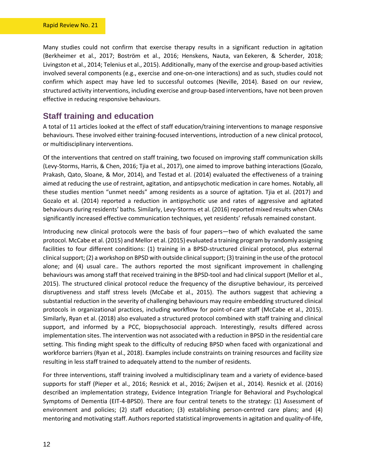Many studies could not confirm that exercise therapy results in a significant reduction in agitation (Berkheimer et al., 2017; Boström et al., 2016; Henskens, Nauta, van Eekeren, & Scherder, 2018; Livingston et al., 2014; Telenius et al., 2015). Additionally, many of the exercise and group-based activities involved several components (e.g., exercise and one-on-one interactions) and as such, studies could not confirm which aspect may have led to successful outcomes (Neville, 2014). Based on our review, structured activity interventions, including exercise and group-based interventions, have not been proven effective in reducing responsive behaviours.

#### **Staff training and education**

A total of 11 articles looked at the effect of staff education/training interventions to manage responsive behaviours. These involved either training-focused interventions, introduction of a new clinical protocol, or multidisciplinary interventions.

Of the interventions that centred on staff training, two focused on improving staff communication skills (Levy-Storms, Harris, & Chen, 2016; Tjia et al., 2017), one aimed to improve bathing interactions (Gozalo, Prakash, Qato, Sloane, & Mor, 2014), and Testad et al. (2014) evaluated the effectiveness of a training aimed at reducing the use of restraint, agitation, and antipsychotic medication in care homes. Notably, all these studies mention "unmet needs" among residents as a source of agitation. Tjia et al. (2017) and Gozalo et al. (2014) reported a reduction in antipsychotic use and rates of aggressive and agitated behaviours during residents' baths. Similarly, Levy-Storms et al. (2016) reported mixed results when CNAs significantly increased effective communication techniques, yet residents' refusals remained constant.

Introducing new clinical protocols were the basis of four papers—two of which evaluated the same protocol. McCabe et al. (2015) and Mellor et al. (2015) evaluated a training program by randomly assigning facilities to four different conditions: (1) training in a BPSD-structured clinical protocol, plus external clinical support; (2) a workshop on BPSD with outside clinical support; (3) training in the use of the protocol alone; and (4) usual care.. The authors reported the most significant improvement in challenging behaviours was among staff that received training in the BPSD-tool and had clinical support (Mellor et al., 2015). The structured clinical protocol reduce the frequency of the disruptive behaviour, its perceived disruptiveness and staff stress levels (McCabe et al., 2015). The authors suggest that achieving a substantial reduction in the severity of challenging behaviours may require embedding structured clinical protocols in organizational practices, including workflow for point-of-care staff (McCabe et al., 2015). Similarly, Ryan et al. (2018) also evaluated a structured protocol combined with staff training and clinical support, and informed by a PCC, biopsychosocial approach. Interestingly, results differed across implementation sites. The intervention was not associated with a reduction in BPSD in the residential care setting. This finding might speak to the difficulty of reducing BPSD when faced with organizational and workforce barriers (Ryan et al., 2018). Examples include constraints on training resources and facility size resulting in less staff trained to adequately attend to the number of residents.

For three interventions, staff training involved a multidisciplinary team and a variety of evidence-based supports for staff (Pieper et al., 2016; Resnick et al., 2016; Zwijsen et al., 2014). Resnick et al. (2016) described an implementation strategy, Evidence Integration Triangle for Behavioral and Psychological Symptoms of Dementia (EIT-4-BPSD). There are four central tenets to the strategy: (1) Assessment of environment and policies; (2) staff education; (3) establishing person-centred care plans; and (4) mentoring and motivating staff. Authors reported statistical improvementsin agitation and quality-of-life,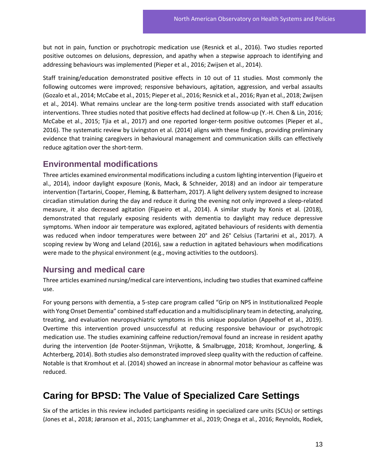but not in pain, function or psychotropic medication use (Resnick et al., 2016). Two studies reported positive outcomes on delusions, depression, and apathy when a stepwise approach to identifying and addressing behaviours was implemented (Pieper et al., 2016; Zwijsen et al., 2014).

Staff training/education demonstrated positive effects in 10 out of 11 studies. Most commonly the following outcomes were improved; responsive behaviours, agitation, aggression, and verbal assaults (Gozalo et al., 2014; McCabe et al., 2015; Pieper et al., 2016; Resnick et al., 2016; Ryan et al., 2018; Zwijsen et al., 2014). What remains unclear are the long-term positive trends associated with staff education interventions. Three studies noted that positive effects had declined at follow-up (Y.-H. Chen & Lin, 2016; McCabe et al., 2015; Tjia et al., 2017) and one reported longer-term positive outcomes (Pieper et al., 2016). The systematic review by Livingston et al. (2014) aligns with these findings, providing preliminary evidence that training caregivers in behavioural management and communication skills can effectively reduce agitation over the short-term.

#### **Environmental modifications**

Three articles examined environmental modifications including a custom lighting intervention (Figueiro et al., 2014), indoor daylight exposure (Konis, Mack, & Schneider, 2018) and an indoor air temperature intervention (Tartarini, Cooper, Fleming, & Batterham, 2017). A light delivery system designed to increase circadian stimulation during the day and reduce it during the evening not only improved a sleep-related measure, it also decreased agitation (Figueiro et al., 2014). A similar study by Konis et al. (2018), demonstrated that regularly exposing residents with dementia to daylight may reduce depressive symptoms. When indoor air temperature was explored, agitated behaviours of residents with dementia was reduced when indoor temperatures were between 20° and 26° Celsius (Tartarini et al., 2017). A scoping review by Wong and Leland (2016), saw a reduction in agitated behaviours when modifications were made to the physical environment (e.g., moving activities to the outdoors).

#### **Nursing and medical care**

Three articles examined nursing/medical care interventions, including two studies that examined caffeine use.

For young persons with dementia, a 5-step care program called "Grip on NPS in Institutionalized People with Yong Onset Dementia" combined staff education and a multidisciplinary team in detecting, analyzing, treating, and evaluation neuropsychiatric symptoms in this unique population (Appelhof et al., 2019). Overtime this intervention proved unsuccessful at reducing responsive behaviour or psychotropic medication use. The studies examining caffeine reduction/removal found an increase in resident apathy during the intervention (de Pooter-Stijnman, Vrijkotte, & Smalbrugge, 2018; Kromhout, Jongerling, & Achterberg, 2014). Both studies also demonstrated improved sleep quality with the reduction of caffeine. Notable is that Kromhout et al. (2014) showed an increase in abnormal motor behaviour as caffeine was reduced.

#### <span id="page-16-0"></span>**Caring for BPSD: The Value of Specialized Care Settings**

Six of the articles in this review included participants residing in specialized care units (SCUs) or settings (Jones et al., 2018; Jøranson et al., 2015; Langhammer et al., 2019; Onega et al., 2016; Reynolds, Rodiek,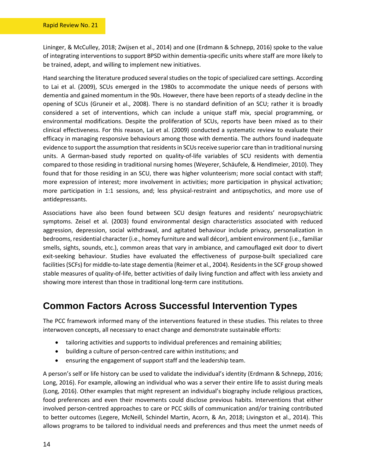Lininger, & McCulley, 2018; Zwijsen et al., 2014) and one (Erdmann & Schnepp, 2016) spoke to the value of integrating interventions to support BPSD within dementia-specific units where staff are more likely to be trained, adept, and willing to implement new initiatives.

Hand searching the literature produced several studies on the topic of specialized care settings. According to Lai et al. (2009), SCUs emerged in the 1980s to accommodate the unique needs of persons with dementia and gained momentum in the 90s. However, there have been reports of a steady decline in the opening of SCUs (Gruneir et al., 2008). There is no standard definition of an SCU; rather it is broadly considered a set of interventions, which can include a unique staff mix, special programming, or environmental modifications. Despite the proliferation of SCUs, reports have been mixed as to their clinical effectiveness. For this reason, Lai et al. (2009) conducted a systematic review to evaluate their efficacy in managing responsive behaviours among those with dementia. The authors found inadequate evidence to support the assumption that residents in SCUs receive superior care than in traditional nursing units. A German-based study reported on quality-of-life variables of SCU residents with dementia compared to those residing in traditional nursing homes (Weyerer, Schäufele, & Hendlmeier, 2010). They found that for those residing in an SCU, there was higher volunteerism; more social contact with staff; more expression of interest; more involvement in activities; more participation in physical activation; more participation in 1:1 sessions, and; less physical-restraint and antipsychotics, and more use of antidepressants.

Associations have also been found between SCU design features and residents' neuropsychiatric symptoms. Zeisel et al. (2003) found environmental design characteristics associated with reduced aggression, depression, social withdrawal, and agitated behaviour include privacy, personalization in bedrooms, residential character (i.e., homey furniture and wall décor), ambient environment (i.e., familiar smells, sights, sounds, etc.), common areas that vary in ambiance, and camouflaged exit door to divert exit-seeking behaviour. Studies have evaluated the effectiveness of purpose-built specialized care facilities (SCFs) for middle-to-late stage dementia (Reimer et al., 2004). Residents in the SCF group showed stable measures of quality-of-life, better activities of daily living function and affect with less anxiety and showing more interest than those in traditional long-term care institutions.

#### <span id="page-17-0"></span>**Common Factors Across Successful Intervention Types**

The PCC framework informed many of the interventions featured in these studies. This relates to three interwoven concepts, all necessary to enact change and demonstrate sustainable efforts:

- tailoring activities and supports to individual preferences and remaining abilities;
- building a culture of person-centred care within institutions; and
- ensuring the engagement of support staff and the leadership team.

A person's self or life history can be used to validate the individual's identity (Erdmann & Schnepp, 2016; Long, 2016). For example, allowing an individual who was a server their entire life to assist during meals (Long, 2016). Other examples that might represent an individual's biography include religious practices, food preferences and even their movements could disclose previous habits. Interventions that either involved person-centred approaches to care or PCC skills of communication and/or training contributed to better outcomes (Legere, McNeill, Schindel Martin, Acorn, & An, 2018; Livingston et al., 2014). This allows programs to be tailored to individual needs and preferences and thus meet the unmet needs of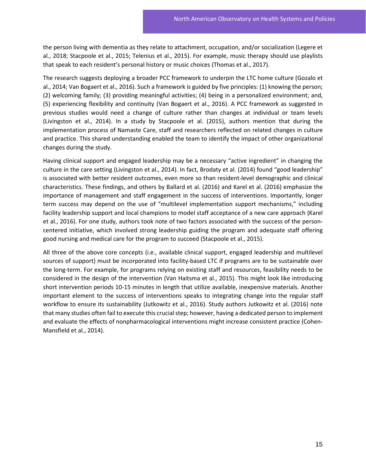the person living with dementia as they relate to attachment, occupation, and/or socialization (Legere et al., 2018; Stacpoole et al., 2015; Telenius et al., 2015). For example, music therapy should use playlists that speak to each resident's personal history or music choices (Thomas et al., 2017).

The research suggests deploying a broader PCC framework to underpin the LTC home culture (Gozalo et al., 2014; Van Bogaert et al., 2016). Such a framework is guided by five principles: (1) knowing the person; (2) welcoming family; (3) providing meaningful activities; (4) being in a personalized environment; and, (5) experiencing flexibility and continuity (Van Bogaert et al., 2016). A PCC framework as suggested in previous studies would need a change of culture rather than changes at individual or team levels (Livingston et al., 2014). In a study by Stacpoole et al. (2015), authors mention that during the implementation process of Namaste Care, staff and researchers reflected on related changes in culture and practice. This shared understanding enabled the team to identify the impact of other organizational changes during the study.

Having clinical support and engaged leadership may be a necessary "active ingredient" in changing the culture in the care setting (Livingston et al., 2014). In fact, Brodaty et al. (2014) found "good leadership" is associated with better resident outcomes, even more so than resident-level demographic and clinical characteristics. These findings, and others by Ballard et al. (2016) and Karel et al. (2016) emphasize the importance of management and staff engagement in the success of interventions. Importantly, longer term success may depend on the use of "multilevel implementation support mechanisms," including facility leadership support and local champions to model staff acceptance of a new care approach (Karel et al., 2016). For one study, authors took note of two factors associated with the success of the personcentered initiative, which involved strong leadership guiding the program and adequate staff offering good nursing and medical care for the program to succeed (Stacpoole et al., 2015).

All three of the above core concepts (i.e., available clinical support, engaged leadership and multilevel sources of support) must be incorporated into facility-based LTC if programs are to be sustainable over the long-term. For example, for programs relying on existing staff and resources, feasibility needs to be considered in the design of the intervention (Van Haitsma et al., 2015). This might look like introducing short intervention periods 10-15 minutes in length that utilize available, inexpensive materials. Another important element to the success of interventions speaks to integrating change into the regular staff workflow to ensure its sustainability (Jutkowitz et al., 2016). Study authors Jutkowitz et al. (2016) note that many studies often fail to execute this crucial step; however, having a dedicated person to implement and evaluate the effects of nonpharmacological interventions might increase consistent practice (Cohen-Mansfield et al., 2014).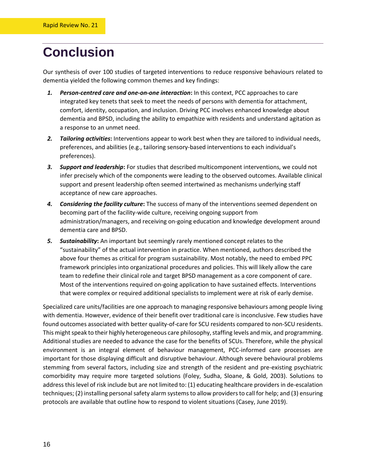### <span id="page-19-0"></span>**Conclusion**

Our synthesis of over 100 studies of targeted interventions to reduce responsive behaviours related to dementia yielded the following common themes and key findings:

- *1. Person-centred care and one-on-one interaction***:** In this context, PCC approaches to care integrated key tenets that seek to meet the needs of persons with dementia for attachment, comfort, identity, occupation, and inclusion. Driving PCC involves enhanced knowledge about dementia and BPSD, including the ability to empathize with residents and understand agitation as a response to an unmet need.
- *2. Tailoring activities***:** Interventions appear to work best when they are tailored to individual needs, preferences, and abilities (e.g., tailoring sensory-based interventions to each individual's preferences).
- *3. Support and leadership***:** For studies that described multicomponent interventions, we could not infer precisely which of the components were leading to the observed outcomes. Available clinical support and present leadership often seemed intertwined as mechanisms underlying staff acceptance of new care approaches.
- *4. Considering the facility culture***:** The success of many of the interventions seemed dependent on becoming part of the facility-wide culture, receiving ongoing support from administration/managers, and receiving on-going education and knowledge development around dementia care and BPSD.
- *5. Sustainability***:** An important but seemingly rarely mentioned concept relates to the "sustainability" of the actual intervention in practice. When mentioned, authors described the above four themes as critical for program sustainability. Most notably, the need to embed PPC framework principles into organizational procedures and policies. This will likely allow the care team to redefine their clinical role and target BPSD management as a core component of care. Most of the interventions required on-going application to have sustained effects. Interventions that were complex or required additional specialists to implement were at risk of early demise.

Specialized care units/facilities are one approach to managing responsive behaviours among people living with dementia. However, evidence of their benefit over traditional care is inconclusive. Few studies have found outcomes associated with better quality-of-care for SCU residents compared to non-SCU residents. This might speak to their highly heterogeneous care philosophy, staffing levels and mix, and programming. Additional studies are needed to advance the case for the benefits of SCUs. Therefore, while the physical environment is an integral element of behaviour management, PCC-informed care processes are important for those displaying difficult and disruptive behaviour. Although severe behavioural problems stemming from several factors, including size and strength of the resident and pre-existing psychiatric comorbidity may require more targeted solutions (Foley, Sudha, Sloane, & Gold, 2003). Solutions to address this level of risk include but are not limited to: (1) educating healthcare providers in de-escalation techniques; (2) installing personal safety alarm systemsto allow providers to call for help; and (3) ensuring protocols are available that outline how to respond to violent situations (Casey, June 2019).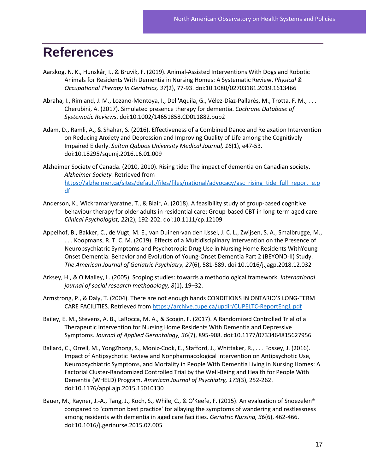### <span id="page-20-0"></span>**References**

- Aarskog, N. K., Hunskår, I., & Bruvik, F. (2019). Animal-Assisted Interventions With Dogs and Robotic Animals for Residents With Dementia in Nursing Homes: A Systematic Review. *Physical & Occupational Therapy In Geriatrics, 37*(2), 77-93. doi:10.1080/02703181.2019.1613466
- Abraha, I., Rimland, J. M., Lozano-Montoya, I., Dell'Aquila, G., Vélez-Díaz-Pallarés, M., Trotta, F. M., . . . Cherubini, A. (2017). Simulated presence therapy for dementia. *Cochrane Database of Systematic Reviews*. doi:10.1002/14651858.CD011882.pub2
- Adam, D., Ramli, A., & Shahar, S. (2016). Effectiveness of a Combined Dance and Relaxation Intervention on Reducing Anxiety and Depression and Improving Quality of Life among the Cognitively Impaired Elderly. *Sultan Qaboos University Medical Journal, 16*(1), e47-53. doi:10.18295/squmj.2016.16.01.009
- Alzheimer Society of Canada. (2010, 2010). Rising tide: The impact of dementia on Canadian society. *Alzheimer Society.* Retrieved from [https://alzheimer.ca/sites/default/files/files/national/advocacy/asc\\_rising\\_tide\\_full\\_report\\_e.p](https://alzheimer.ca/sites/default/files/files/national/advocacy/asc_rising_tide_full_report_e.pdf) [df](https://alzheimer.ca/sites/default/files/files/national/advocacy/asc_rising_tide_full_report_e.pdf)
- Anderson, K., Wickramariyaratne, T., & Blair, A. (2018). A feasibility study of group-based cognitive behaviour therapy for older adults in residential care: Group-based CBT in long-term aged care. *Clinical Psychologist, 22*(2), 192-202. doi:10.1111/cp.12109
- Appelhof, B., Bakker, C., de Vugt, M. E., van Duinen-van den IJssel, J. C. L., Zwijsen, S. A., Smalbrugge, M., . . . Koopmans, R. T. C. M. (2019). Effects of a Multidisciplinary Intervention on the Presence of Neuropsychiatric Symptoms and Psychotropic Drug Use in Nursing Home Residents WithYoung-Onset Dementia: Behavior and Evolution of Young-Onset Dementia Part 2 (BEYOND-II) Study. *The American Journal of Geriatric Psychiatry, 27*(6), 581-589. doi:10.1016/j.jagp.2018.12.032
- Arksey, H., & O'Malley, L. (2005). Scoping studies: towards a methodological framework. *International journal of social research methodology, 8*(1), 19–32.
- Armstrong, P., & Daly, T. (2004). There are not enough hands CONDITIONS IN ONTARIO'S LONG-TERM CARE FACILITIES. Retrieved from<https://archive.cupe.ca/updir/CUPELTC-ReportEng1.pdf>
- Bailey, E. M., Stevens, A. B., LaRocca, M. A., & Scogin, F. (2017). A Randomized Controlled Trial of a Therapeutic Intervention for Nursing Home Residents With Dementia and Depressive Symptoms. *Journal of Applied Gerontology, 36*(7), 895-908. doi:10.1177/0733464815627956
- Ballard, C., Orrell, M., YongZhong, S., Moniz-Cook, E., Stafford, J., Whittaker, R., . . . Fossey, J. (2016). Impact of Antipsychotic Review and Nonpharmacological Intervention on Antipsychotic Use, Neuropsychiatric Symptoms, and Mortality in People With Dementia Living in Nursing Homes: A Factorial Cluster-Randomized Controlled Trial by the Well-Being and Health for People With Dementia (WHELD) Program. *American Journal of Psychiatry, 173*(3), 252-262. doi:10.1176/appi.ajp.2015.15010130
- Bauer, M., Rayner, J.-A., Tang, J., Koch, S., While, C., & O'Keefe, F. (2015). An evaluation of Snoezelen® compared to 'common best practice' for allaying the symptoms of wandering and restlessness among residents with dementia in aged care facilities. *Geriatric Nursing, 36*(6), 462-466. doi:10.1016/j.gerinurse.2015.07.005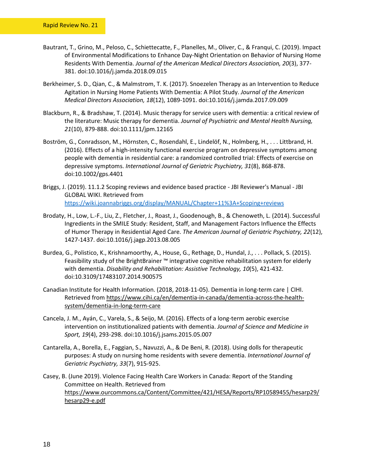- Bautrant, T., Grino, M., Peloso, C., Schiettecatte, F., Planelles, M., Oliver, C., & Franqui, C. (2019). Impact of Environmental Modifications to Enhance Day-Night Orientation on Behavior of Nursing Home Residents With Dementia. *Journal of the American Medical Directors Association, 20*(3), 377- 381. doi:10.1016/j.jamda.2018.09.015
- Berkheimer, S. D., Qian, C., & Malmstrom, T. K. (2017). Snoezelen Therapy as an Intervention to Reduce Agitation in Nursing Home Patients With Dementia: A Pilot Study. *Journal of the American Medical Directors Association, 18*(12), 1089-1091. doi:10.1016/j.jamda.2017.09.009
- Blackburn, R., & Bradshaw, T. (2014). Music therapy for service users with dementia: a critical review of the literature: Music therapy for dementia. *Journal of Psychiatric and Mental Health Nursing, 21*(10), 879-888. doi:10.1111/jpm.12165
- Boström, G., Conradsson, M., Hörnsten, C., Rosendahl, E., Lindelöf, N., Holmberg, H., . . . Littbrand, H. (2016). Effects of a high-intensity functional exercise program on depressive symptoms among people with dementia in residential care: a randomized controlled trial: Effects of exercise on depressive symptoms. *International Journal of Geriatric Psychiatry, 31*(8), 868-878. doi:10.1002/gps.4401
- Briggs, J. (2019). 11.1.2 Scoping reviews and evidence based practice JBI Reviewer's Manual JBI GLOBAL WIKI. Retrieved from <https://wiki.joannabriggs.org/display/MANUAL/Chapter+11%3A+Scoping+reviews>
- Brodaty, H., Low, L.-F., Liu, Z., Fletcher, J., Roast, J., Goodenough, B., & Chenoweth, L. (2014). Successful Ingredients in the SMILE Study: Resident, Staff, and Management Factors Influence the Effects of Humor Therapy in Residential Aged Care. *The American Journal of Geriatric Psychiatry, 22*(12), 1427-1437. doi:10.1016/j.jagp.2013.08.005
- Burdea, G., Polistico, K., Krishnamoorthy, A., House, G., Rethage, D., Hundal, J., . . . Pollack, S. (2015). Feasibility study of the BrightBrainer ™ integrative cognitive rehabilitation system for elderly with dementia. *Disability and Rehabilitation: Assistive Technology, 10*(5), 421-432. doi:10.3109/17483107.2014.900575
- Canadian Institute for Health Information. (2018, 2018-11-05). Dementia in long-term care | CIHI. Retrieved from [https://www.cihi.ca/en/dementia-in-canada/dementia-across-the-health](https://www.cihi.ca/en/dementia-in-canada/dementia-across-the-health-system/dementia-in-long-term-care)[system/dementia-in-long-term-care](https://www.cihi.ca/en/dementia-in-canada/dementia-across-the-health-system/dementia-in-long-term-care)
- Cancela, J. M., Ayán, C., Varela, S., & Seijo, M. (2016). Effects of a long-term aerobic exercise intervention on institutionalized patients with dementia. *Journal of Science and Medicine in Sport, 19*(4), 293-298. doi:10.1016/j.jsams.2015.05.007
- Cantarella, A., Borella, E., Faggian, S., Navuzzi, A., & De Beni, R. (2018). Using dolls for therapeutic purposes: A study on nursing home residents with severe dementia. *International Journal of Geriatric Psychiatry, 33*(7), 915-925.
- Casey, B. (June 2019). Violence Facing Health Care Workers in Canada: Report of the Standing Committee on Health. Retrieved from [https://www.ourcommons.ca/Content/Committee/421/HESA/Reports/RP10589455/hesarp29/](https://www.ourcommons.ca/Content/Committee/421/HESA/Reports/RP10589455/hesarp29/hesarp29-e.pdf) [hesarp29-e.pdf](https://www.ourcommons.ca/Content/Committee/421/HESA/Reports/RP10589455/hesarp29/hesarp29-e.pdf)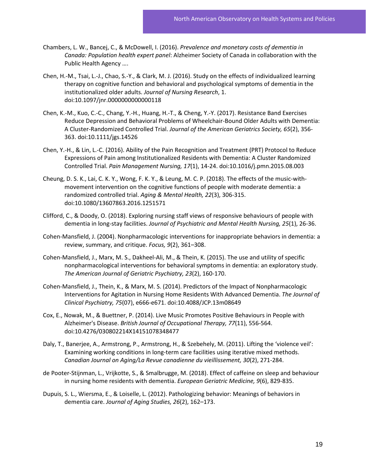- Chambers, L. W., Bancej, C., & McDowell, I. (2016). *Prevalence and monetary costs of dementia in Canada: Population health expert panel*: Alzheimer Society of Canada in collaboration with the Public Health Agency ….
- Chen, H.-M., Tsai, L.-J., Chao, S.-Y., & Clark, M. J. (2016). Study on the effects of individualized learning therapy on cognitive function and behavioral and psychological symptoms of dementia in the institutionalized older adults. *Journal of Nursing Research*, 1. doi:10.1097/jnr.0000000000000118
- Chen, K.-M., Kuo, C.-C., Chang, Y.-H., Huang, H.-T., & Cheng, Y.-Y. (2017). Resistance Band Exercises Reduce Depression and Behavioral Problems of Wheelchair-Bound Older Adults with Dementia: A Cluster-Randomized Controlled Trial. *Journal of the American Geriatrics Society, 65*(2), 356- 363. doi:10.1111/jgs.14526
- Chen, Y.-H., & Lin, L.-C. (2016). Ability of the Pain Recognition and Treatment (PRT) Protocol to Reduce Expressions of Pain among Institutionalized Residents with Dementia: A Cluster Randomized Controlled Trial. *Pain Management Nursing, 17*(1), 14-24. doi:10.1016/j.pmn.2015.08.003
- Cheung, D. S. K., Lai, C. K. Y., Wong, F. K. Y., & Leung, M. C. P. (2018). The effects of the music-withmovement intervention on the cognitive functions of people with moderate dementia: a randomized controlled trial. *Aging & Mental Health, 22*(3), 306-315. doi:10.1080/13607863.2016.1251571
- Clifford, C., & Doody, O. (2018). Exploring nursing staff views of responsive behaviours of people with dementia in long-stay facilities. *Journal of Psychiatric and Mental Health Nursing, 25*(1), 26-36.
- Cohen-Mansfield, J. (2004). Nonpharmacologic interventions for inappropriate behaviors in dementia: a review, summary, and critique. *Focus, 9*(2), 361–308.
- Cohen-Mansfield, J., Marx, M. S., Dakheel-Ali, M., & Thein, K. (2015). The use and utility of specific nonpharmacological interventions for behavioral symptoms in dementia: an exploratory study. *The American Journal of Geriatric Psychiatry, 23*(2), 160-170.
- Cohen-Mansfield, J., Thein, K., & Marx, M. S. (2014). Predictors of the Impact of Nonpharmacologic Interventions for Agitation in Nursing Home Residents With Advanced Dementia. *The Journal of Clinical Psychiatry, 75*(07), e666-e671. doi:10.4088/JCP.13m08649
- Cox, E., Nowak, M., & Buettner, P. (2014). Live Music Promotes Positive Behaviours in People with Alzheimer's Disease. *British Journal of Occupational Therapy, 77*(11), 556-564. doi:10.4276/030802214X14151078348477
- Daly, T., Banerjee, A., Armstrong, P., Armstrong, H., & Szebehely, M. (2011). Lifting the 'violence veil': Examining working conditions in long-term care facilities using iterative mixed methods. *Canadian Journal on Aging/La Revue canadienne du vieillissement, 30*(2), 271-284.
- de Pooter-Stijnman, L., Vrijkotte, S., & Smalbrugge, M. (2018). Effect of caffeine on sleep and behaviour in nursing home residents with dementia. *European Geriatric Medicine, 9*(6), 829-835.
- Dupuis, S. L., Wiersma, E., & Loiselle, L. (2012). Pathologizing behavior: Meanings of behaviors in dementia care. *Journal of Aging Studies, 26*(2), 162–173.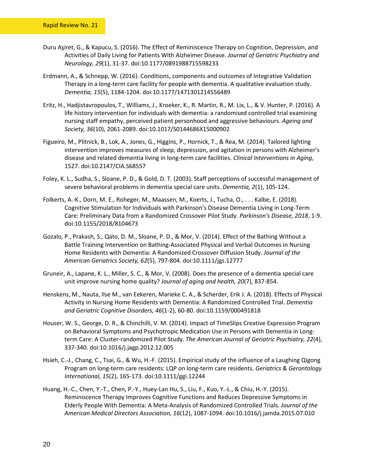- Duru Aşiret, G., & Kapucu, S. (2016). The Effect of Reminiscence Therapy on Cognition, Depression, and Activities of Daily Living for Patients With Alzheimer Disease. *Journal of Geriatric Psychiatry and Neurology, 29*(1), 31-37. doi:10.1177/0891988715598233
- Erdmann, A., & Schnepp, W. (2016). Conditions, components and outcomes of Integrative Validation Therapy in a long-term care facility for people with dementia. A qualitative evaluation study. *Dementia, 15*(5), 1184-1204. doi:10.1177/1471301214556489
- Eritz, H., Hadjistavropoulos, T., Williams, J., Kroeker, K., R. Martin, R., M. Lix, L., & V. Hunter, P. (2016). A life history intervention for individuals with dementia: a randomised controlled trial examining nursing staff empathy, perceived patient personhood and aggressive behaviours. *Ageing and Society, 36*(10), 2061-2089. doi:10.1017/S0144686X15000902
- Figueiro, M., Plitnick, B., Lok, A., Jones, G., Higgins, P., Hornick, T., & Rea, M. (2014). Tailored lighting intervention improves measures of sleep, depression, and agitation in persons with Alzheimer's disease and related dementia living in long-term care facilities. *Clinical Interventions in Aging*, 1527. doi:10.2147/CIA.S68557
- Foley, K. L., Sudha, S., Sloane, P. D., & Gold, D. T. (2003). Staff perceptions of successful management of severe behavioral problems in dementia special care units. *Dementia, 2*(1), 105-124.
- Folkerts, A.-K., Dorn, M. E., Roheger, M., Maassen, M., Koerts, J., Tucha, O., . . . Kalbe, E. (2018). Cognitive Stimulation for Individuals with Parkinson's Disease Dementia Living in Long-Term Care: Preliminary Data from a Randomized Crossover Pilot Study. *Parkinson's Disease, 2018*, 1-9. doi:10.1155/2018/8104673
- Gozalo, P., Prakash, S., Qato, D. M., Sloane, P. D., & Mor, V. (2014). Effect of the Bathing Without a Battle Training Intervention on Bathing-Associated Physical and Verbal Outcomes in Nursing Home Residents with Dementia: A Randomized Crossover Diffusion Study. *Journal of the American Geriatrics Society, 62*(5), 797-804. doi:10.1111/jgs.12777
- Gruneir, A., Lapane, K. L., Miller, S. C., & Mor, V. (2008). Does the presence of a dementia special care unit improve nursing home quality? *Journal of aging and health, 20*(7), 837-854.
- Henskens, M., Nauta, Ilse M., van Eekeren, Marieke C. A., & Scherder, Erik J. A. (2018). Effects of Physical Activity in Nursing Home Residents with Dementia: A Randomized Controlled Trial. *Dementia and Geriatric Cognitive Disorders, 46*(1-2), 60-80. doi:10.1159/000491818
- Houser, W. S., George, D. R., & Chinchilli, V. M. (2014). Impact of TimeSlips Creative Expression Program on Behavioral Symptoms and Psychotropic Medication Use in Persons with Dementia in Longterm Care: A Cluster-randomized Pilot Study. *The American Journal of Geriatric Psychiatry, 22*(4), 337-340. doi:10.1016/j.jagp.2012.12.005
- Hsieh, C.-J., Chang, C., Tsai, G., & Wu, H.-F. (2015). Empirical study of the influence of a Laughing Qigong Program on long-term care residents: LQP on long-term care residents. *Geriatrics & Gerontology International, 15*(2), 165-173. doi:10.1111/ggi.12244
- Huang, H.-C., Chen, Y.-T., Chen, P.-Y., Huey-Lan Hu, S., Liu, F., Kuo, Y.-L., & Chiu, H.-Y. (2015). Reminiscence Therapy Improves Cognitive Functions and Reduces Depressive Symptoms in Elderly People With Dementia: A Meta-Analysis of Randomized Controlled Trials. *Journal of the American Medical Directors Association, 16*(12), 1087-1094. doi:10.1016/j.jamda.2015.07.010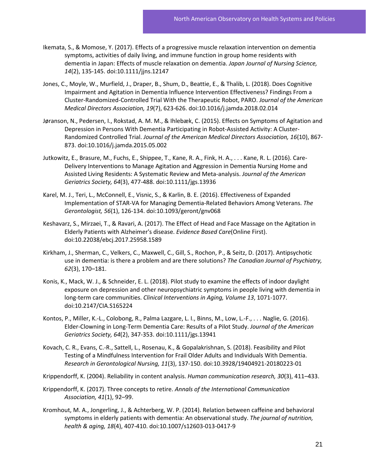- Ikemata, S., & Momose, Y. (2017). Effects of a progressive muscle relaxation intervention on dementia symptoms, activities of daily living, and immune function in group home residents with dementia in Japan: Effects of muscle relaxation on dementia. *Japan Journal of Nursing Science, 14*(2), 135-145. doi:10.1111/jjns.12147
- Jones, C., Moyle, W., Murfield, J., Draper, B., Shum, D., Beattie, E., & Thalib, L. (2018). Does Cognitive Impairment and Agitation in Dementia Influence Intervention Effectiveness? Findings From a Cluster-Randomized-Controlled Trial With the Therapeutic Robot, PARO. *Journal of the American Medical Directors Association, 19*(7), 623-626. doi:10.1016/j.jamda.2018.02.014
- Jøranson, N., Pedersen, I., Rokstad, A. M. M., & Ihlebæk, C. (2015). Effects on Symptoms of Agitation and Depression in Persons With Dementia Participating in Robot-Assisted Activity: A Cluster-Randomized Controlled Trial. *Journal of the American Medical Directors Association, 16*(10), 867- 873. doi:10.1016/j.jamda.2015.05.002
- Jutkowitz, E., Brasure, M., Fuchs, E., Shippee, T., Kane, R. A., Fink, H. A., . . . Kane, R. L. (2016). Care-Delivery Interventions to Manage Agitation and Aggression in Dementia Nursing Home and Assisted Living Residents: A Systematic Review and Meta-analysis. *Journal of the American Geriatrics Society, 64*(3), 477-488. doi:10.1111/jgs.13936
- Karel, M. J., Teri, L., McConnell, E., Visnic, S., & Karlin, B. E. (2016). Effectiveness of Expanded Implementation of STAR-VA for Managing Dementia-Related Behaviors Among Veterans. *The Gerontologist, 56*(1), 126-134. doi:10.1093/geront/gnv068
- Keshavarz, S., Mirzaei, T., & Ravari, A. (2017). The Effect of Head and Face Massage on the Agitation in Elderly Patients with Alzheimer's disease. *Evidence Based Care*(Online First). doi:10.22038/ebcj.2017.25958.1589
- Kirkham, J., Sherman, C., Velkers, C., Maxwell, C., Gill, S., Rochon, P., & Seitz, D. (2017). Antipsychotic use in dementia: is there a problem and are there solutions? *The Canadian Journal of Psychiatry, 62*(3), 170–181.
- Konis, K., Mack, W. J., & Schneider, E. L. (2018). Pilot study to examine the effects of indoor daylight exposure on depression and other neuropsychiatric symptoms in people living with dementia in long-term care communities. *Clinical Interventions in Aging, Volume 13*, 1071-1077. doi:10.2147/CIA.S165224
- Kontos, P., Miller, K.-L., Colobong, R., Palma Lazgare, L. I., Binns, M., Low, L.-F., . . . Naglie, G. (2016). Elder-Clowning in Long-Term Dementia Care: Results of a Pilot Study. *Journal of the American Geriatrics Society, 64*(2), 347-353. doi:10.1111/jgs.13941
- Kovach, C. R., Evans, C.-R., Sattell, L., Rosenau, K., & Gopalakrishnan, S. (2018). Feasibility and Pilot Testing of a Mindfulness Intervention for Frail Older Adults and Individuals With Dementia. *Research in Gerontological Nursing, 11*(3), 137-150. doi:10.3928/19404921-20180223-01
- Krippendorff, K. (2004). Reliability in content analysis. *Human communication research, 30*(3), 411–433.
- Krippendorff, K. (2017). Three concepts to retire. *Annals of the International Communication Association, 41*(1), 92–99.
- Kromhout, M. A., Jongerling, J., & Achterberg, W. P. (2014). Relation between caffeine and behavioral symptoms in elderly patients with dementia: An observational study. *The journal of nutrition, health & aging, 18*(4), 407-410. doi:10.1007/s12603-013-0417-9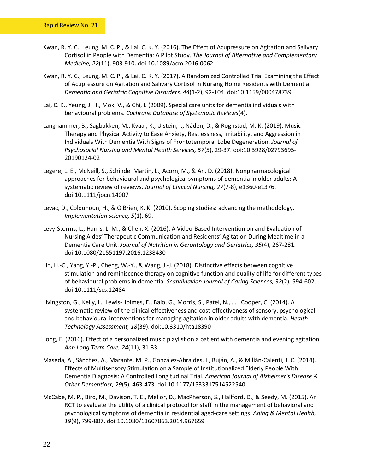- Kwan, R. Y. C., Leung, M. C. P., & Lai, C. K. Y. (2016). The Effect of Acupressure on Agitation and Salivary Cortisol in People with Dementia: A Pilot Study. *The Journal of Alternative and Complementary Medicine, 22*(11), 903-910. doi:10.1089/acm.2016.0062
- Kwan, R. Y. C., Leung, M. C. P., & Lai, C. K. Y. (2017). A Randomized Controlled Trial Examining the Effect of Acupressure on Agitation and Salivary Cortisol in Nursing Home Residents with Dementia. *Dementia and Geriatric Cognitive Disorders, 44*(1-2), 92-104. doi:10.1159/000478739
- Lai, C. K., Yeung, J. H., Mok, V., & Chi, I. (2009). Special care units for dementia individuals with behavioural problems. *Cochrane Database of Systematic Reviews*(4).
- Langhammer, B., Sagbakken, M., Kvaal, K., Ulstein, I., Nåden, D., & Rognstad, M. K. (2019). Music Therapy and Physical Activity to Ease Anxiety, Restlessness, Irritability, and Aggression in Individuals With Dementia With Signs of Frontotemporal Lobe Degeneration. *Journal of Psychosocial Nursing and Mental Health Services, 57*(5), 29-37. doi:10.3928/02793695- 20190124-02
- Legere, L. E., McNeill, S., Schindel Martin, L., Acorn, M., & An, D. (2018). Nonpharmacological approaches for behavioural and psychological symptoms of dementia in older adults: A systematic review of reviews. *Journal of Clinical Nursing, 27*(7-8), e1360-e1376. doi:10.1111/jocn.14007
- Levac, D., Colquhoun, H., & O'Brien, K. K. (2010). Scoping studies: advancing the methodology. *Implementation science, 5*(1), 69.
- Levy-Storms, L., Harris, L. M., & Chen, X. (2016). A Video-Based Intervention on and Evaluation of Nursing Aides' Therapeutic Communication and Residents' Agitation During Mealtime in a Dementia Care Unit. *Journal of Nutrition in Gerontology and Geriatrics, 35*(4), 267-281. doi:10.1080/21551197.2016.1238430
- Lin, H.-C., Yang, Y.-P., Cheng, W.-Y., & Wang, J.-J. (2018). Distinctive effects between cognitive stimulation and reminiscence therapy on cognitive function and quality of life for different types of behavioural problems in dementia. *Scandinavian Journal of Caring Sciences, 32*(2), 594-602. doi:10.1111/scs.12484
- Livingston, G., Kelly, L., Lewis-Holmes, E., Baio, G., Morris, S., Patel, N., . . . Cooper, C. (2014). A systematic review of the clinical effectiveness and cost-effectiveness of sensory, psychological and behavioural interventions for managing agitation in older adults with dementia. *Health Technology Assessment, 18*(39). doi:10.3310/hta18390
- Long, E. (2016). Effect of a personalized music playlist on a patient with dementia and evening agitation. *Ann Long Term Care, 24*(11), 31-33.
- Maseda, A., Sánchez, A., Marante, M. P., González-Abraldes, I., Buján, A., & Millán-Calenti, J. C. (2014). Effects of Multisensory Stimulation on a Sample of Institutionalized Elderly People With Dementia Diagnosis: A Controlled Longitudinal Trial. *American Journal of Alzheimer's Disease & Other Dementiasr, 29*(5), 463-473. doi:10.1177/1533317514522540
- McCabe, M. P., Bird, M., Davison, T. E., Mellor, D., MacPherson, S., Hallford, D., & Seedy, M. (2015). An RCT to evaluate the utility of a clinical protocol for staff in the management of behavioral and psychological symptoms of dementia in residential aged-care settings. *Aging & Mental Health, 19*(9), 799-807. doi:10.1080/13607863.2014.967659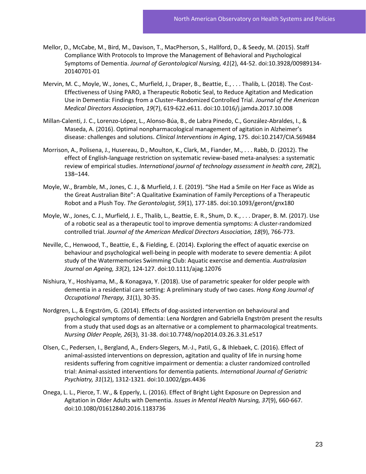- Mellor, D., McCabe, M., Bird, M., Davison, T., MacPherson, S., Hallford, D., & Seedy, M. (2015). Staff Compliance With Protocols to Improve the Management of Behavioral and Psychological Symptoms of Dementia. *Journal of Gerontological Nursing, 41*(2), 44-52. doi:10.3928/00989134- 20140701-01
- Mervin, M. C., Moyle, W., Jones, C., Murfield, J., Draper, B., Beattie, E., . . . Thalib, L. (2018). The Cost-Effectiveness of Using PARO, a Therapeutic Robotic Seal, to Reduce Agitation and Medication Use in Dementia: Findings from a Cluster–Randomized Controlled Trial. *Journal of the American Medical Directors Association, 19*(7), 619-622.e611. doi:10.1016/j.jamda.2017.10.008
- Millan-Calenti, J. C., Lorenzo-López, L., Alonso-Búa, B., de Labra Pinedo, C., González-Abraldes, I., & Maseda, A. (2016). Optimal nonpharmacological management of agitation in Alzheimer's disease: challenges and solutions. *Clinical Interventions in Aging*, 175. doi:10.2147/CIA.S69484
- Morrison, A., Polisena, J., Husereau, D., Moulton, K., Clark, M., Fiander, M., . . . Rabb, D. (2012). The effect of English-language restriction on systematic review-based meta-analyses: a systematic review of empirical studies. *International journal of technology assessment in health care, 28*(2), 138–144.
- Moyle, W., Bramble, M., Jones, C. J., & Murfield, J. E. (2019). "She Had a Smile on Her Face as Wide as the Great Australian Bite": A Qualitative Examination of Family Perceptions of a Therapeutic Robot and a Plush Toy. *The Gerontologist, 59*(1), 177-185. doi:10.1093/geront/gnx180
- Moyle, W., Jones, C. J., Murfield, J. E., Thalib, L., Beattie, E. R., Shum, D. K., . . . Draper, B. M. (2017). Use of a robotic seal as a therapeutic tool to improve dementia symptoms: A cluster-randomized controlled trial. *Journal of the American Medical Directors Association, 18*(9), 766-773.
- Neville, C., Henwood, T., Beattie, E., & Fielding, E. (2014). Exploring the effect of aquatic exercise on behaviour and psychological well-being in people with moderate to severe dementia: A pilot study of the Watermemories Swimming Club: Aquatic exercise and dementia. *Australasian Journal on Ageing, 33*(2), 124-127. doi:10.1111/ajag.12076
- Nishiura, Y., Hoshiyama, M., & Konagaya, Y. (2018). Use of parametric speaker for older people with dementia in a residential care setting: A preliminary study of two cases. *Hong Kong Journal of Occupational Therapy, 31*(1), 30-35.
- Nordgren, L., & Engström, G. (2014). Effects of dog-assisted intervention on behavioural and psychological symptoms of dementia: Lena Nordgren and Gabriella Engström present the results from a study that used dogs as an alternative or a complement to pharmacological treatments. *Nursing Older People, 26*(3), 31-38. doi:10.7748/nop2014.03.26.3.31.e517
- Olsen, C., Pedersen, I., Bergland, A., Enders-Slegers, M.-J., Patil, G., & Ihlebaek, C. (2016). Effect of animal-assisted interventions on depression, agitation and quality of life in nursing home residents suffering from cognitive impairment or dementia: a cluster randomized controlled trial: Animal-assisted interventions for dementia patients. *International Journal of Geriatric Psychiatry, 31*(12), 1312-1321. doi:10.1002/gps.4436
- Onega, L. L., Pierce, T. W., & Epperly, L. (2016). Effect of Bright Light Exposure on Depression and Agitation in Older Adults with Dementia. *Issues in Mental Health Nursing, 37*(9), 660-667. doi:10.1080/01612840.2016.1183736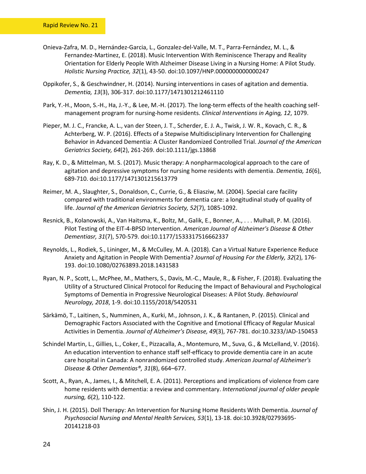- Onieva-Zafra, M. D., Hernández-Garcia, L., Gonzalez-del-Valle, M. T., Parra-Fernández, M. L., & Fernandez-Martinez, E. (2018). Music Intervention With Reminiscence Therapy and Reality Orientation for Elderly People With Alzheimer Disease Living in a Nursing Home: A Pilot Study. *Holistic Nursing Practice, 32*(1), 43-50. doi:10.1097/HNP.0000000000000247
- Oppikofer, S., & Geschwindner, H. (2014). Nursing interventions in cases of agitation and dementia. *Dementia, 13*(3), 306-317. doi:10.1177/1471301212461110
- Park, Y.-H., Moon, S.-H., Ha, J.-Y., & Lee, M.-H. (2017). The long-term effects of the health coaching selfmanagement program for nursing-home residents. *Clinical Interventions in Aging, 12*, 1079.
- Pieper, M. J. C., Francke, A. L., van der Steen, J. T., Scherder, E. J. A., Twisk, J. W. R., Kovach, C. R., & Achterberg, W. P. (2016). Effects of a Stepwise Multidisciplinary Intervention for Challenging Behavior in Advanced Dementia: A Cluster Randomized Controlled Trial. *Journal of the American Geriatrics Society, 64*(2), 261-269. doi:10.1111/jgs.13868
- Ray, K. D., & Mittelman, M. S. (2017). Music therapy: A nonpharmacological approach to the care of agitation and depressive symptoms for nursing home residents with dementia. *Dementia, 16*(6), 689-710. doi:10.1177/1471301215613779
- Reimer, M. A., Slaughter, S., Donaldson, C., Currie, G., & Eliasziw, M. (2004). Special care facility compared with traditional environments for dementia care: a longitudinal study of quality of life. *Journal of the American Geriatrics Society, 52*(7), 1085-1092.
- Resnick, B., Kolanowski, A., Van Haitsma, K., Boltz, M., Galik, E., Bonner, A., . . . Mulhall, P. M. (2016). Pilot Testing of the EIT-4-BPSD Intervention. *American Journal of Alzheimer's Disease & Other Dementiasr, 31*(7), 570-579. doi:10.1177/1533317516662337
- Reynolds, L., Rodiek, S., Lininger, M., & McCulley, M. A. (2018). Can a Virtual Nature Experience Reduce Anxiety and Agitation in People With Dementia? *Journal of Housing For the Elderly, 32*(2), 176- 193. doi:10.1080/02763893.2018.1431583
- Ryan, N. P., Scott, L., McPhee, M., Mathers, S., Davis, M.-C., Maule, R., & Fisher, F. (2018). Evaluating the Utility of a Structured Clinical Protocol for Reducing the Impact of Behavioural and Psychological Symptoms of Dementia in Progressive Neurological Diseases: A Pilot Study. *Behavioural Neurology, 2018*, 1-9. doi:10.1155/2018/5420531
- Särkämö, T., Laitinen, S., Numminen, A., Kurki, M., Johnson, J. K., & Rantanen, P. (2015). Clinical and Demographic Factors Associated with the Cognitive and Emotional Efficacy of Regular Musical Activities in Dementia. *Journal of Alzheimer's Disease, 49*(3), 767-781. doi:10.3233/JAD-150453
- Schindel Martin, L., Gillies, L., Coker, E., Pizzacalla, A., Montemuro, M., Suva, G., & McLelland, V. (2016). An education intervention to enhance staff self-efficacy to provide dementia care in an acute care hospital in Canada: A nonrandomized controlled study. *American Journal of Alzheimer's Disease & Other Dementias®, 31*(8), 664–677.
- Scott, A., Ryan, A., James, I., & Mitchell, E. A. (2011). Perceptions and implications of violence from care home residents with dementia: a review and commentary. *International journal of older people nursing, 6*(2), 110-122.
- Shin, J. H. (2015). Doll Therapy: An Intervention for Nursing Home Residents With Dementia. *Journal of Psychosocial Nursing and Mental Health Services, 53*(1), 13-18. doi:10.3928/02793695- 20141218-03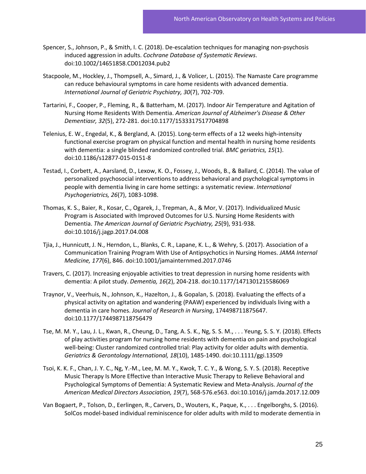- Spencer, S., Johnson, P., & Smith, I. C. (2018). De-escalation techniques for managing non-psychosis induced aggression in adults. *Cochrane Database of Systematic Reviews*. doi:10.1002/14651858.CD012034.pub2
- Stacpoole, M., Hockley, J., Thompsell, A., Simard, J., & Volicer, L. (2015). The Namaste Care programme can reduce behavioural symptoms in care home residents with advanced dementia. *International Journal of Geriatric Psychiatry, 30*(7), 702-709.
- Tartarini, F., Cooper, P., Fleming, R., & Batterham, M. (2017). Indoor Air Temperature and Agitation of Nursing Home Residents With Dementia. *American Journal of Alzheimer's Disease & Other Dementiasr, 32*(5), 272-281. doi:10.1177/1533317517704898
- Telenius, E. W., Engedal, K., & Bergland, A. (2015). Long-term effects of a 12 weeks high-intensity functional exercise program on physical function and mental health in nursing home residents with dementia: a single blinded randomized controlled trial. *BMC geriatrics, 15*(1). doi:10.1186/s12877-015-0151-8
- Testad, I., Corbett, A., Aarsland, D., Lexow, K. O., Fossey, J., Woods, B., & Ballard, C. (2014). The value of personalized psychosocial interventions to address behavioral and psychological symptoms in people with dementia living in care home settings: a systematic review. *International Psychogeriatrics, 26*(7), 1083-1098.
- Thomas, K. S., Baier, R., Kosar, C., Ogarek, J., Trepman, A., & Mor, V. (2017). Individualized Music Program is Associated with Improved Outcomes for U.S. Nursing Home Residents with Dementia. *The American Journal of Geriatric Psychiatry, 25*(9), 931-938. doi:10.1016/j.jagp.2017.04.008
- Tjia, J., Hunnicutt, J. N., Herndon, L., Blanks, C. R., Lapane, K. L., & Wehry, S. (2017). Association of a Communication Training Program With Use of Antipsychotics in Nursing Homes. *JAMA Internal Medicine, 177*(6), 846. doi:10.1001/jamainternmed.2017.0746
- Travers, C. (2017). Increasing enjoyable activities to treat depression in nursing home residents with dementia: A pilot study. *Dementia, 16*(2), 204-218. doi:10.1177/1471301215586069
- Traynor, V., Veerhuis, N., Johnson, K., Hazelton, J., & Gopalan, S. (2018). Evaluating the effects of a physical activity on agitation and wandering (PAAW) experienced by individuals living with a dementia in care homes. *Journal of Research in Nursing*, 174498711875647. doi:10.1177/1744987118756479
- Tse, M. M. Y., Lau, J. L., Kwan, R., Cheung, D., Tang, A. S. K., Ng, S. S. M., . . . Yeung, S. S. Y. (2018). Effects of play activities program for nursing home residents with dementia on pain and psychological well-being: Cluster randomized controlled trial: Play activity for older adults with dementia. *Geriatrics & Gerontology International, 18*(10), 1485-1490. doi:10.1111/ggi.13509
- Tsoi, K. K. F., Chan, J. Y. C., Ng, Y.-M., Lee, M. M. Y., Kwok, T. C. Y., & Wong, S. Y. S. (2018). Receptive Music Therapy Is More Effective than Interactive Music Therapy to Relieve Behavioral and Psychological Symptoms of Dementia: A Systematic Review and Meta-Analysis. *Journal of the American Medical Directors Association, 19*(7), 568-576.e563. doi:10.1016/j.jamda.2017.12.009
- Van Bogaert, P., Tolson, D., Eerlingen, R., Carvers, D., Wouters, K., Paque, K., . . . Engelborghs, S. (2016). SolCos model-based individual reminiscence for older adults with mild to moderate dementia in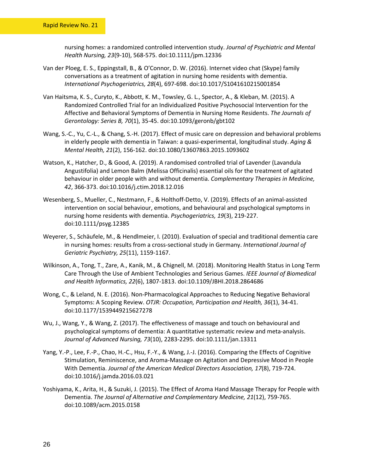nursing homes: a randomized controlled intervention study. *Journal of Psychiatric and Mental Health Nursing, 23*(9-10), 568-575. doi:10.1111/jpm.12336

- Van der Ploeg, E. S., Eppingstall, B., & O'Connor, D. W. (2016). Internet video chat (Skype) family conversations as a treatment of agitation in nursing home residents with dementia. *International Psychogeriatrics, 28*(4), 697-698. doi:10.1017/S1041610215001854
- Van Haitsma, K. S., Curyto, K., Abbott, K. M., Towsley, G. L., Spector, A., & Kleban, M. (2015). A Randomized Controlled Trial for an Individualized Positive Psychosocial Intervention for the Affective and Behavioral Symptoms of Dementia in Nursing Home Residents. *The Journals of Gerontology: Series B, 70*(1), 35-45. doi:10.1093/geronb/gbt102
- Wang, S.-C., Yu, C.-L., & Chang, S.-H. (2017). Effect of music care on depression and behavioral problems in elderly people with dementia in Taiwan: a quasi-experimental, longitudinal study. *Aging & Mental Health, 21*(2), 156-162. doi:10.1080/13607863.2015.1093602
- Watson, K., Hatcher, D., & Good, A. (2019). A randomised controlled trial of Lavender (Lavandula Angustifolia) and Lemon Balm (Melissa Officinalis) essential oils for the treatment of agitated behaviour in older people with and without dementia. *Complementary Therapies in Medicine, 42*, 366-373. doi:10.1016/j.ctim.2018.12.016
- Wesenberg, S., Mueller, C., Nestmann, F., & Holthoff-Detto, V. (2019). Effects of an animal-assisted intervention on social behaviour, emotions, and behavioural and psychological symptoms in nursing home residents with dementia. *Psychogeriatrics, 19*(3), 219-227. doi:10.1111/psyg.12385
- Weyerer, S., Schäufele, M., & Hendlmeier, I. (2010). Evaluation of special and traditional dementia care in nursing homes: results from a cross-sectional study in Germany. *International Journal of Geriatric Psychiatry, 25*(11), 1159-1167.
- Wilkinson, A., Tong, T., Zare, A., Kanik, M., & Chignell, M. (2018). Monitoring Health Status in Long Term Care Through the Use of Ambient Technologies and Serious Games. *IEEE Journal of Biomedical and Health Informatics, 22*(6), 1807-1813. doi:10.1109/JBHI.2018.2864686
- Wong, C., & Leland, N. E. (2016). Non-Pharmacological Approaches to Reducing Negative Behavioral Symptoms: A Scoping Review. *OTJR: Occupation, Participation and Health, 36*(1), 34-41. doi:10.1177/1539449215627278
- Wu, J., Wang, Y., & Wang, Z. (2017). The effectiveness of massage and touch on behavioural and psychological symptoms of dementia: A quantitative systematic review and meta-analysis. *Journal of Advanced Nursing, 73*(10), 2283-2295. doi:10.1111/jan.13311
- Yang, Y.-P., Lee, F.-P., Chao, H.-C., Hsu, F.-Y., & Wang, J.-J. (2016). Comparing the Effects of Cognitive Stimulation, Reminiscence, and Aroma-Massage on Agitation and Depressive Mood in People With Dementia. *Journal of the American Medical Directors Association, 17*(8), 719-724. doi:10.1016/j.jamda.2016.03.021
- Yoshiyama, K., Arita, H., & Suzuki, J. (2015). The Effect of Aroma Hand Massage Therapy for People with Dementia. *The Journal of Alternative and Complementary Medicine, 21*(12), 759-765. doi:10.1089/acm.2015.0158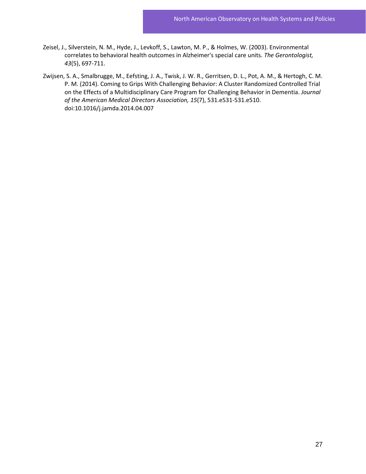- Zeisel, J., Silverstein, N. M., Hyde, J., Levkoff, S., Lawton, M. P., & Holmes, W. (2003). Environmental correlates to behavioral health outcomes in Alzheimer's special care units. *The Gerontologist, 43*(5), 697-711.
- Zwijsen, S. A., Smalbrugge, M., Eefsting, J. A., Twisk, J. W. R., Gerritsen, D. L., Pot, A. M., & Hertogh, C. M. P. M. (2014). Coming to Grips With Challenging Behavior: A Cluster Randomized Controlled Trial on the Effects of a Multidisciplinary Care Program for Challenging Behavior in Dementia. *Journal of the American Medical Directors Association, 15*(7), 531.e531-531.e510. doi:10.1016/j.jamda.2014.04.007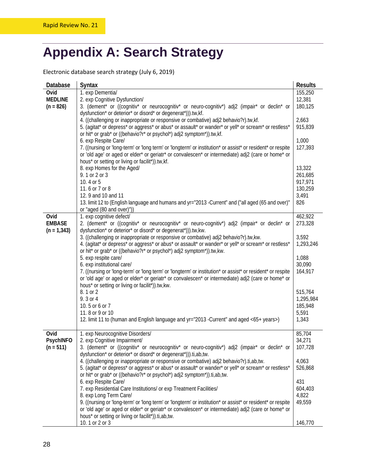### <span id="page-31-0"></span>**Appendix A: Search Strategy**

Electronic database search strategy (July 6, 2019)

| Database              | Syntax                                                                                                                                                                          | <b>Results</b>     |
|-----------------------|---------------------------------------------------------------------------------------------------------------------------------------------------------------------------------|--------------------|
| Ovid                  | 1. exp Dementia/                                                                                                                                                                | 155,250            |
| <b>MEDLINE</b>        | 2. exp Cognitive Dysfunction/                                                                                                                                                   | 12,381             |
| $(n = 826)$           | 3. (dement* or ((cognitiv* or neurocognitiv* or neuro-cognitiv*) adj2 (impair* or declin* or                                                                                    | 180,125            |
|                       | dysfunction* or deterior* or disord* or degenerat*))).tw,kf.                                                                                                                    |                    |
|                       | 4. ((challenging or inappropriate or responsive or combative) adj2 behavio?r).tw,kf.                                                                                            | 2,663              |
|                       | 5. (agitat* or depress* or aggress* or abus* or assault* or wander* or yell* or scream* or restless*<br>or hit* or grab* or ((behavio?r* or psychol*) adj2 symptom*)).tw,kf.    | 915,839            |
|                       | 6. exp Respite Care/                                                                                                                                                            | 1,000              |
|                       | 7. ((nursing or 'long-term' or 'long term' or 'longterm' or institution* or assist* or resident* or respite                                                                     | 127,393            |
|                       | or 'old age' or aged or elder* or geriatr* or convalescen* or intermediate) adj2 (care or home* or                                                                              |                    |
|                       | hous* or setting or living or facilit*)).tw,kf.                                                                                                                                 |                    |
|                       | 8. exp Homes for the Aged/                                                                                                                                                      | 13,322             |
|                       | 9. 1 or 2 or 3                                                                                                                                                                  | 261,685            |
|                       | 10.4 or 5                                                                                                                                                                       | 917,971            |
|                       | 11.6 or 7 or 8                                                                                                                                                                  | 130,259            |
|                       | 12.9 and 10 and 11                                                                                                                                                              | 3,491              |
|                       | 13. limit 12 to (English language and humans and yr="2013 - Current" and ("all aged (65 and over)"                                                                              | 826                |
|                       | or "aged (80 and over)"))                                                                                                                                                       |                    |
| Ovid<br><b>EMBASE</b> | 1. exp cognitive defect/<br>2. (dement* or ((cognitiv* or neurocognitiv* or neuro-cognitiv*) adj2 (impair* or declin* or                                                        | 462,922<br>273,328 |
| $(n = 1, 343)$        | dysfunction* or deterior* or disord* or degenerat*))).tw,kw.                                                                                                                    |                    |
|                       | 3. ((challenging or inappropriate or responsive or combative) adj2 behavio?r).tw,kw.                                                                                            | 3,592              |
|                       | 4. (agitat* or depress* or aggress* or abus* or assault* or wander* or yell* or scream* or restless*                                                                            | 1,293,246          |
|                       | or hit* or grab* or ((behavio?r* or psychol*) adj2 symptom*)).tw,kw.                                                                                                            |                    |
|                       | 5. exp respite care/                                                                                                                                                            | 1,088              |
|                       | 6. exp institutional care/                                                                                                                                                      | 30,090             |
|                       | 7. ((nursing or 'long-term' or 'long term' or 'longterm' or institution* or assist* or resident* or respite                                                                     | 164,917            |
|                       | or 'old age' or aged or elder* or geriatr* or convalescen* or intermediate) adj2 (care or home* or                                                                              |                    |
|                       | hous* or setting or living or facilit*)).tw,kw.                                                                                                                                 |                    |
|                       | 8.1 or 2                                                                                                                                                                        | 515,764            |
|                       | 9.3 or 4<br>10.5 or 6 or 7                                                                                                                                                      | 1,295,984          |
|                       | 11.8 or 9 or 10                                                                                                                                                                 | 185,948<br>5,591   |
|                       | 12. limit 11 to (human and English language and yr="2013 -Current" and aged <65+ years>)                                                                                        | 1,343              |
|                       |                                                                                                                                                                                 |                    |
| Ovid                  | 1. exp Neurocognitive Disorders/                                                                                                                                                | 85,704             |
| <b>PsychINFO</b>      | 2. exp Cognitive Impairment/                                                                                                                                                    | 34,271             |
| $(n = 511)$           | 3. (dement* or ((cognitiv* or neurocognitiv* or neuro-cognitiv*) adj2 (impair* or declin* or                                                                                    | 107,728            |
|                       | dysfunction* or deterior* or disord* or degenerat*))).ti,ab,tw.                                                                                                                 |                    |
|                       | 4. ((challenging or inappropriate or responsive or combative) adj2 behavio?r).ti,ab,tw.                                                                                         | 4,063              |
|                       | 5. (agitat* or depress* or aggress* or abus* or assault* or wander* or yell* or scream* or restless*<br>or hit* or grab* or ((behavio?r* or psychol*) adj2 symptom*)).ti,ab,tw. | 526,868            |
|                       | 6. exp Respite Care/                                                                                                                                                            | 431                |
|                       | 7. exp Residential Care Institutions/ or exp Treatment Facilities/                                                                                                              | 604,403            |
|                       | 8. exp Long Term Care/                                                                                                                                                          | 4,822              |
|                       | 9. ((nursing or 'long-term' or 'long term' or 'longterm' or institution* or assist* or resident* or respite                                                                     | 49,559             |
|                       | or 'old age' or aged or elder* or geriatr* or convalescen* or intermediate) adj2 (care or home* or                                                                              |                    |
|                       | hous* or setting or living or facilit*)).ti,ab,tw.                                                                                                                              |                    |
|                       | 10.1 or 2 or 3                                                                                                                                                                  | 146,770            |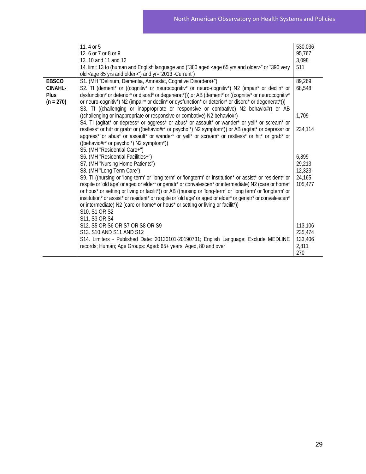|                                                       | 11.4 or 5<br>12.6 or 7 or 8 or 9<br>13. 10 and 11 and 12<br>14. limit 13 to (human and English language and ("380 aged <age 65="" and="" older="" yrs="">" or "390 very<br/>old <age 85="" and="" older="" yrs="">") and yr="2013 -Current")</age></age>                                                                                                                                                                                                                                                                                                                                                                                                                                                | 530,036<br>95,767<br>3,098<br>511              |
|-------------------------------------------------------|---------------------------------------------------------------------------------------------------------------------------------------------------------------------------------------------------------------------------------------------------------------------------------------------------------------------------------------------------------------------------------------------------------------------------------------------------------------------------------------------------------------------------------------------------------------------------------------------------------------------------------------------------------------------------------------------------------|------------------------------------------------|
| <b>EBSCO</b><br><b>CINAHL-</b><br>Plus<br>$(n = 270)$ | S1. (MH "Delirium, Dementia, Amnestic, Cognitive Disorders+")<br>S2. TI (dement* or ((cognitiv* or neurocognitiv* or neuro-cognitiv*) N2 (impair* or declin* or<br>dysfunction* or deterior* or disord* or degenerat*))) or AB (dement* or ((cognitiv* or neurocognitiv*<br>or neuro-cognitiv*) N2 (impair* or declin* or dysfunction* or deterior* or disord* or degenerat*)))<br>S3. TI ((challenging or inappropriate or responsive or combative) N2 behavio#r) or AB                                                                                                                                                                                                                                | 89,269<br>68,548                               |
|                                                       | ((challenging or inappropriate or responsive or combative) N2 behavio#r)                                                                                                                                                                                                                                                                                                                                                                                                                                                                                                                                                                                                                                | 1,709                                          |
|                                                       | S4. TI (agitat* or depress* or aggress* or abus* or assault* or wander* or yell* or scream* or<br>restless* or hit* or grab* or ((behavio#r* or psychol*) N2 symptom*)) or AB (agitat* or depress* or<br>aggress* or abus* or assault* or wander* or yell* or scream* or restless* or hit* or grab* or<br>((behavio#r* or psychol*) N2 symptom*))                                                                                                                                                                                                                                                                                                                                                       | 234,114                                        |
|                                                       | S5. (MH "Residential Care+")<br>S6. (MH "Residential Facilities+")<br>S7. (MH "Nursing Home Patients")<br>S8. (MH "Long Term Care")<br>S9. TI ((nursing or 'long-term' or 'long term' or 'longterm' or institution* or assist* or resident* or<br>respite or 'old age' or aged or elder* or geriatr* or convalescen* or intermediate) N2 (care or home*<br>or hous* or setting or living or facilit*)) or AB ((nursing or 'long-term' or 'long term' or 'longterm' or<br>institution* or assist* or resident* or respite or 'old age' or aged or elder* or geriatr* or convalescen*<br>or intermediate) N2 (care or home* or hous* or setting or living or facilit*))<br>S10. S1 OR S2<br>S11. S3 OR S4 | 6,899<br>29,213<br>12,323<br>24,165<br>105,477 |
|                                                       | S12. S5 OR S6 OR S7 OR S8 OR S9<br>S13. S10 AND S11 AND S12<br>S14. Limiters - Published Date: 20130101-20190731; English Language; Exclude MEDLINE<br>records; Human; Age Groups: Aged: 65+ years, Aged, 80 and over                                                                                                                                                                                                                                                                                                                                                                                                                                                                                   | 113,106<br>235,474<br>133,406<br>2,811<br>270  |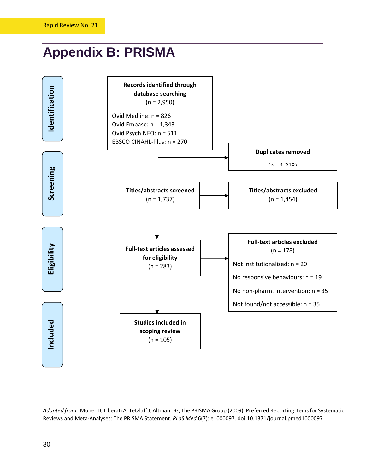### <span id="page-33-0"></span>**Appendix B: PRISMA**



*Adapted from*: Moher D, Liberati A, Tetzlaff J, Altman DG, The PRISMA Group (2009). Preferred Reporting Items for Systematic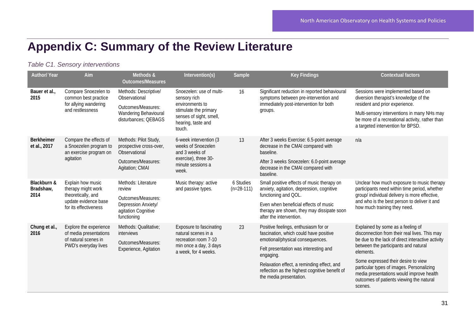### **Appendix C: Summary of the Review Literature**

#### *Table C1. Sensory interventions*

<span id="page-34-0"></span>

| <b>Author/ Year</b>                                                                                                        | Aim                                                                                                                                      | Methods &<br><b>Outcomes/Measures</b>                                                                                                                                                                                                | Intervention(s)                                                                                                      | Sample                                                                                                         | <b>Key Findings</b>                                                                                                                         | <b>Contextual factors</b>                                                                                                                                                           |                                                                                                                                              |
|----------------------------------------------------------------------------------------------------------------------------|------------------------------------------------------------------------------------------------------------------------------------------|--------------------------------------------------------------------------------------------------------------------------------------------------------------------------------------------------------------------------------------|----------------------------------------------------------------------------------------------------------------------|----------------------------------------------------------------------------------------------------------------|---------------------------------------------------------------------------------------------------------------------------------------------|-------------------------------------------------------------------------------------------------------------------------------------------------------------------------------------|----------------------------------------------------------------------------------------------------------------------------------------------|
| Bauer et al.,<br>2015                                                                                                      | Compare Snoezelen to<br>common best practice<br>for allying wandering                                                                    | Methods: Descriptive/<br>Observational<br>sensory rich<br>environments to<br>Outcomes/Measures:<br>stimulate the primary<br>Wandering Behavioural<br>senses of sight, smell,<br>disturbances; QEBAGS<br>hearing, taste and<br>touch. | Snoezelen: use of multi-                                                                                             | 16                                                                                                             | Significant reduction in reported behavioural<br>symptoms between pre-intervention and<br>immediately post-intervention for both<br>groups. | Sessions were implemented based on<br>diversion therapist's knowledge of the<br>resident and prior experience.                                                                      |                                                                                                                                              |
|                                                                                                                            | and restlessness                                                                                                                         |                                                                                                                                                                                                                                      |                                                                                                                      |                                                                                                                |                                                                                                                                             | Multi-sensory interventions in many NHs may<br>be more of a recreational activity, rather than<br>a targeted intervention for BPSD.                                                 |                                                                                                                                              |
| <b>Berkheimer</b><br>et al., 2017<br>agitation                                                                             | Compare the effects of<br>a Snoezelen program to<br>an exercise program on                                                               | Methods: Pilot Study,<br>prospective cross-over,<br>Observational                                                                                                                                                                    | 6-week intervention (3<br>weeks of Snoezelen<br>and 3 weeks of<br>exercise), three 30-<br>minute sessions a<br>week. | 13                                                                                                             | After 3 weeks Exercise: 6.5-point average<br>decrease in the CMAI compared with<br>baseline.                                                | n/a                                                                                                                                                                                 |                                                                                                                                              |
|                                                                                                                            |                                                                                                                                          | Outcomes/Measures:<br>Agitation; CMAI                                                                                                                                                                                                |                                                                                                                      |                                                                                                                | After 3 weeks Snoezelen: 6.0-point average<br>decrease in the CMAI compared with<br>baseline.                                               |                                                                                                                                                                                     |                                                                                                                                              |
| Blackburn &<br>Explain how music<br>Bradshaw,<br>therapy might work<br>theoretically, and<br>2014<br>for its effectiveness | Methods: Literature<br>review<br>Outcomes/Measures:<br>update evidence base<br>Depression Anxiety/<br>agitation Cognitive<br>functioning |                                                                                                                                                                                                                                      | Music therapy: active<br>and passive types.                                                                          |                                                                                                                | 6 Studies<br>$(n=28-111)$                                                                                                                   | Small positive effects of music therapy on<br>anxiety, agitation, depression, cognitive<br>functioning and QOL.                                                                     | Unclear how much exposure to music therapy<br>participants need within time period, whether<br>group/ individual delivery is more effective, |
|                                                                                                                            |                                                                                                                                          |                                                                                                                                                                                                                                      |                                                                                                                      | Even when beneficial effects of music<br>therapy are shown, they may dissipate soon<br>after the intervention. | and who is the best person to deliver it and<br>how much training they need.                                                                |                                                                                                                                                                                     |                                                                                                                                              |
| Chung et al.,<br>2016                                                                                                      | Explore the experience<br>of media presentations<br>of natural scenes in<br>PWD's everyday lives                                         | Methods: Qualitative;<br>natural scenes in a<br>interviews                                                                                                                                                                           | Exposure to fascinating<br>recreation room 7-10                                                                      | 23                                                                                                             | Positive feelings, enthusiasm for or<br>fascination, which could have positive<br>emotional/physical consequences.                          | Explained by some as a feeling of<br>disconnection from their real lives. This may<br>be due to the lack of direct interactive activity                                             |                                                                                                                                              |
|                                                                                                                            |                                                                                                                                          | Outcomes/Measures:<br>Experience, Agitation                                                                                                                                                                                          | min once a day, 3 days<br>a week, for 4 weeks.                                                                       |                                                                                                                | Felt presentation was interesting and<br>engaging.                                                                                          | between the participants and natural<br>elements.                                                                                                                                   |                                                                                                                                              |
|                                                                                                                            |                                                                                                                                          |                                                                                                                                                                                                                                      |                                                                                                                      |                                                                                                                | Relaxation effect, a reminding effect, and<br>reflection as the highest cognitive benefit of<br>the media presentation.                     | Some expressed their desire to view<br>particular types of images. Personalizing<br>media presentations would improve health<br>outcomes of patients viewing the natural<br>scenes. |                                                                                                                                              |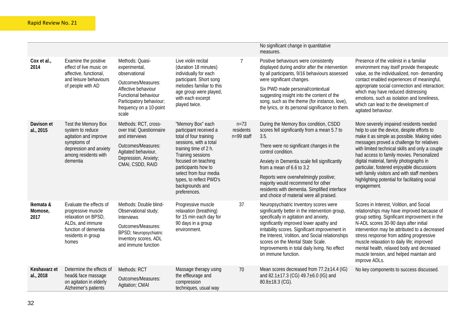|                              |                                                                                                                                                 |                                                                                                                                                                                        |                                                                                                                                                                                                                                                                                     |                                     | No significant change in quantitative<br>measures.                                                                                                                                                                                                                                                                                                                                                                       |                                                                                                                                                                                                                                                                                                                                                                                                                                                                                            |
|------------------------------|-------------------------------------------------------------------------------------------------------------------------------------------------|----------------------------------------------------------------------------------------------------------------------------------------------------------------------------------------|-------------------------------------------------------------------------------------------------------------------------------------------------------------------------------------------------------------------------------------------------------------------------------------|-------------------------------------|--------------------------------------------------------------------------------------------------------------------------------------------------------------------------------------------------------------------------------------------------------------------------------------------------------------------------------------------------------------------------------------------------------------------------|--------------------------------------------------------------------------------------------------------------------------------------------------------------------------------------------------------------------------------------------------------------------------------------------------------------------------------------------------------------------------------------------------------------------------------------------------------------------------------------------|
| Cox et al.,<br>2014          | Examine the positive<br>effect of live music on<br>affective, functional,<br>and leisure behaviours<br>of people with AD                        | Methods: Quasi-<br>experimental,<br>observational<br>Outcomes/Measures:<br>Affective behaviour<br>Functional behaviour<br>Participatory behaviour;<br>frequency on a 10-point<br>scale | Live violin recital<br>(duration 18 minutes)<br>individually for each<br>participant. Short song<br>melodies familiar to this<br>age group were played,<br>with each excerpt<br>played twice.                                                                                       |                                     | Positive behaviours were consistently<br>displayed during and/or after the intervention<br>by all participants, 9/16 behaviours assessed<br>were significant changes.<br>Six PWD made personal/contextual<br>suggesting insight into the content of the<br>song, such as the theme (for instance, love),<br>the lyrics, or its personal significance to them.                                                            | Presence of the violinist in a familiar<br>environment may itself provide therapeutic<br>value, as the individualized, non-demanding<br>contact enabled experiences of meaningful,<br>appropriate social connection and interaction;<br>which may have reduced distressing<br>emotions, such as isolation and loneliness,<br>which can lead to the development of<br>agitated behaviour.                                                                                                   |
| Davison et<br>al., 2015      | Test the Memory Box<br>system to reduce<br>agitation and improve<br>symptoms of<br>depression and anxiety<br>among residents with<br>dementia   | Methods: RCT, cross-<br>over trial; Questionnaire<br>and interviews<br>Outcomes/Measures:<br>Agitated behaviour,<br>Depression, Anxiety;<br>CMAI, CSDD, RAID                           | "Memory Box" each<br>participant received a<br>total of four training<br>sessions, with a total<br>training time of 2 h.<br>Training sessions<br>focused on teaching<br>participants how to<br>select from four media<br>types, to reflect PWD's<br>backgrounds and<br>preferences. | $n = 73$<br>residents<br>n=99 staff | During the Memory Box condition, CSDD<br>scores fell significantly from a mean 5.7 to<br>3.5.<br>There were no significant changes in the<br>control condition.<br>Anxiety in Dementia scale fell significantly<br>from a mean of 6.6 to 3.2<br>Reports were overwhelmingly positive;<br>majority would recommend for other<br>residents with dementia. Simplified interface<br>and choice of material were all praised. | More severely impaired residents needed<br>help to use the device, despite efforts to<br>make it as simple as possible. Making video<br>messages proved a challenge for relatives<br>with limited technical skills and only a couple<br>had access to family movies. Personalized<br>digital material, family photographs in<br>particular, fostered enjoyable discussions<br>with family visitors and with staff members<br>highlighting potential for facilitating social<br>engagement. |
| Ikemata &<br>Momose,<br>2017 | Evaluate the effects of<br>progressive muscle<br>relaxation on BPSD,<br>ALDs, and immune<br>function of dementia<br>residents in group<br>homes | Methods: Double blind-<br>Observational study;<br>Interviews<br>Outcomes/Measures:<br>BPSD; Neuropsychiatric<br>Inventory scores, ADL<br>and immune function                           | Progressive muscle<br>relaxation (breathing)<br>for 15 min each day for<br>90 days in a group<br>environment.                                                                                                                                                                       | 37                                  | Neuropsychiatric Inventory scores were<br>significantly better in the intervention group,<br>specifically in agitation and anxiety,<br>significantly improved lower apathy and<br>irritability scores. Significant improvement in<br>the Interest, Volition, and Social relationships<br>scores on the Mental State Scale.<br>Improvements in total daily living. No effect<br>on immune function.                       | Scores in Interest, Volition, and Social<br>relationships may have improved because of<br>group setting. Significant improvement in the<br>N-ADL scores 30-90 days after initial<br>intervention may be attributed to a decreased<br>stress response from adding progressive<br>muscle relaxation to daily life; improved<br>mental health, relaxed body and decreased<br>muscle tension, and helped maintain and<br>improve ADLs.                                                         |
| Keshavarz et<br>al., 2018    | Determine the effects of<br>head& face massage<br>on agitation in elderly<br>Alzheimer's patients                                               | Methods: RCT<br>Outcomes/Measures:<br>Agitation; CMAI                                                                                                                                  | Massage therapy using<br>the effleurage and<br>compression<br>techniques, usual way                                                                                                                                                                                                 | 70                                  | Mean scores decreased from 77.2±14.4 (IG)<br>and 82.1±17.3 (CG) 49.7±6.0 (IG) and<br>$80.8 \pm 18.3$ (CG).                                                                                                                                                                                                                                                                                                               | No key components to success discussed.                                                                                                                                                                                                                                                                                                                                                                                                                                                    |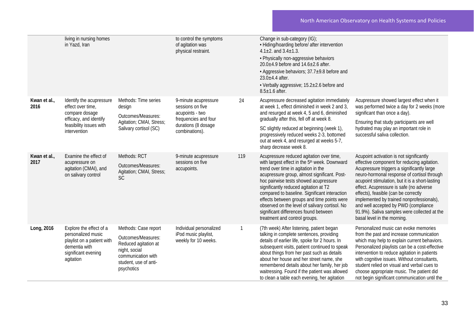|                      | living in nursing homes<br>in Yazd, Iran                                                                                             |                                                                                                                                                  | to control the symptoms<br>of agitation was<br>physical restraint.                                                           |     | Change in sub-category (IG);<br>• Hiding/hoarding before/ after intervention<br>4.1 $\pm$ 2. and 3.4 $\pm$ 1.3.<br>• Physically non-aggressive behaviors<br>$20.0 \pm 4.9$ before and $14.6 \pm 2.6$ after.<br>• Aggressive behaviors; 37.7±9.8 before and<br>$23.0 \pm 4.4$ after.<br>• Verbally aggressive; 15.2±2.6 before and<br>$8.5 \pm 1.6$ after.                                                                                                                                                  |                                                                                                                                                                                                                                                                                                                                                                                                                                                                                                |
|----------------------|--------------------------------------------------------------------------------------------------------------------------------------|--------------------------------------------------------------------------------------------------------------------------------------------------|------------------------------------------------------------------------------------------------------------------------------|-----|------------------------------------------------------------------------------------------------------------------------------------------------------------------------------------------------------------------------------------------------------------------------------------------------------------------------------------------------------------------------------------------------------------------------------------------------------------------------------------------------------------|------------------------------------------------------------------------------------------------------------------------------------------------------------------------------------------------------------------------------------------------------------------------------------------------------------------------------------------------------------------------------------------------------------------------------------------------------------------------------------------------|
| Kwan et al.,<br>2016 | Identify the acupressure<br>effect over time,<br>compare dosage<br>efficacy, and identify<br>feasibility issues with<br>intervention | Methods: Time series<br>design<br>Outcomes/Measures:<br>Agitation; CMAI, Stress;<br>Salivary cortisol (SC)                                       | 9-minute acupressure<br>sessions on five<br>acupoints - two<br>frequencies and four<br>durations (8 dosage<br>combinations). | 24  | Acupressure decreased agitation immediately<br>at week 1, effect diminished in week 2 and 3,<br>and resurged at week 4, 5 and 6, diminished<br>gradually after this, fell off at week 8.<br>SC slightly reduced at beginning (week 1),<br>progressively reduced weeks 2-3, bottomed<br>out at week 4, and resurged at weeks 5-7,<br>sharp decrease week 8.                                                                                                                                                 | Acupressure showed largest effect when it<br>was performed twice a day for 2 weeks (more<br>significant than once a day).<br>Ensuring that study participants are well<br>hydrated may play an important role in<br>successful saliva collection.                                                                                                                                                                                                                                              |
| Kwan et al.,<br>2017 | Examine the effect of<br>acupressure on<br>agitation (CMAI), and<br>on salivary control                                              | Methods: RCT<br>Outcomes/Measures:<br>Agitation; CMAI, Stress;<br><b>SC</b>                                                                      | 9-minute acupressure<br>sessions on five<br>accupoints.                                                                      | 119 | Acupressure reduced agitation over time,<br>with largest effect in the 5 <sup>th</sup> week. Downward<br>trend over time in agitation in the<br>acupressure group, almost significant. Post-<br>hoc pairwise tests showed acupressure<br>significantly reduced agitation at T2<br>compared to baseline. Significant interaction<br>effects between groups and time points were<br>observed on the level of salivary cortisol. No<br>significant differences found between<br>treatment and control groups. | Acupoint activation is not significantly<br>effective component for reducing agitation.<br>Acupressure triggers a significantly large<br>neuro-hormonal response of cortisol through<br>acupoint stimulation, but it is a short-lasting<br>effect. Acupressure is safe (no adverse<br>effects), feasible (can be correctly<br>implemented by trained nonprofessionals),<br>and well accepted by PWD (compliance<br>91.9%). Saliva samples were collected at the<br>basal level in the morning. |
| Long, 2016           | Explore the effect of a<br>personalized music<br>playlist on a patient with<br>dementia with<br>significant evening<br>agitation     | Methods: Case report<br>Outcomes/Measures:<br>Reduced agitation at<br>night, social<br>communication with<br>student, use of anti-<br>psychotics | Individual personalized<br>iPod music playlist,<br>weekly for 10 weeks.                                                      |     | (7th week) After listening, patient began<br>talking in complete sentences, providing<br>details of earlier life, spoke for 2 hours. In<br>subsequent visits, patient continued to speak<br>about things from her past such as details<br>about her house and her street name, she<br>remembered details about her family, her job<br>waitressing. Found if the patient was allowed<br>to clean a table each evening, her agitation                                                                        | Personalized music can evoke memories<br>from the past and increase communication<br>which may help to explain current behaviors.<br>Personalized playlists can be a cost-effective<br>intervention to reduce agitation in patients<br>with cognitive issues. Without consultants,<br>student relied on visual and verbal cues to<br>choose appropriate music. The patient did<br>not begin significant communication until the                                                                |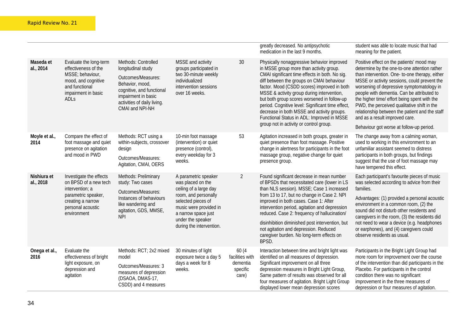|                          |                                                                                                                                                        |                                                                                                                                                                                          |                                                                                                                                                                                                                     |                                                           | greatly decreased. No antipsychotic<br>medication in the last 9 months.                                                                                                                                                                                                                                                                                                                                                                                                                                                     | student was able to locate music that had<br>meaning for the patient.                                                                                                                                                                                                                                                                                                                                                                                                                                                 |
|--------------------------|--------------------------------------------------------------------------------------------------------------------------------------------------------|------------------------------------------------------------------------------------------------------------------------------------------------------------------------------------------|---------------------------------------------------------------------------------------------------------------------------------------------------------------------------------------------------------------------|-----------------------------------------------------------|-----------------------------------------------------------------------------------------------------------------------------------------------------------------------------------------------------------------------------------------------------------------------------------------------------------------------------------------------------------------------------------------------------------------------------------------------------------------------------------------------------------------------------|-----------------------------------------------------------------------------------------------------------------------------------------------------------------------------------------------------------------------------------------------------------------------------------------------------------------------------------------------------------------------------------------------------------------------------------------------------------------------------------------------------------------------|
| Maseda et<br>al., 2014   | Evaluate the long-term<br>effectiveness of the<br>MSSE; behaviour,<br>mood, and cognitive<br>and functional<br>impairment in basic<br>ADL <sub>S</sub> | Methods: Controlled<br>longitudinal study<br>Outcomes/Measures:<br>Behavior, mood,<br>cognitive, and functional<br>impairment in basic<br>activities of daily living.<br>CMAI and NPI-NH | MSSE and activity<br>groups participated in<br>two 30-minute weekly<br>individualized<br>intervention sessions<br>over 16 weeks.                                                                                    | 30                                                        | Physically nonaggressive behavior improved<br>in MSSE group more than activity group.<br>CMAI significant time effects in both. No sig.<br>diff between the groups on CMAI behaviour<br>factor. Mood (CSDD scores) improved in both<br>MSSE & activity group during intervention,<br>but both group scores worsened in follow-up<br>period. Cognitive level: Significant time effect<br>decrease in both MSSE and activity groups.<br>Functional Status in ADL: Improved in MSSE<br>group not in activity or control group. | Positive effect on the patients' mood may<br>determine by the one-to-one attention rather<br>than intervention. One- to-one therapy, either<br>MSSE or activity sessions, could prevent the<br>worsening of depressive symptomatology in<br>people with dementia. Can be attributed to<br>the higher time/ effort being spent with the<br>PWD, the perceived qualitative shift in the<br>relationship between the patient and the staff<br>and as a result improved care.<br>Behaviour got worse at follow-up period. |
| Moyle et al.,<br>2014    | Compare the effect of<br>foot massage and quiet<br>presence on agitation<br>and mood in PWD                                                            | Methods: RCT using a<br>within-subjects, crossover<br>design<br>Outcomes/Measures:<br>Agitation, CMAI, OERS                                                                              | 10-min foot massage<br>(intervention) or quiet<br>presence (control),<br>every weekday for 3<br>weeks.                                                                                                              | 53                                                        | Agitation increased in both groups, greater in<br>quiet presence than foot massage. Positive<br>change in alertness for participants in the foot<br>massage group, negative change for quiet<br>presence group.                                                                                                                                                                                                                                                                                                             | The change away from a calming woman,<br>used to working in this environment to an<br>unfamiliar assistant seemed to distress<br>participants in both groups, but findings<br>suggest that the use of foot massage may<br>have tempered this effect.                                                                                                                                                                                                                                                                  |
| Nishiura et<br>al., 2018 | Investigate the effects<br>on BPSD of a new tech<br>intervention; a<br>parametric speaker,<br>creating a narrow<br>personal acoustic<br>environment    | Methods: Preliminary<br>study: Two cases<br>Outcomes/Measures:<br>Instances of behaviours<br>like wandering and<br>agitation, GDS, MMSE,<br><b>NPI</b>                                   | A parametric speaker<br>was placed on the<br>ceiling of a large day<br>room, and personally<br>selected pieces of<br>music were provided in<br>a narrow space just<br>under the speaker<br>during the intervention. | $\overline{2}$                                            | Found significant decrease in mean number<br>of BPSDs that necessitated care (lower in LS<br>than NLS session). MSSE; Case 1 increased<br>from 13 to 17, but no change in Case 2. NPI<br>improved in both cases. Case 1: After<br>intervention period, agitation and depression<br>reduced. Case 2: frequency of hallucination/<br>disinhibition diminished post intervention, but<br>not agitation and depression. Reduced<br>caregiver burden. No long-term effects on<br>BPSD.                                           | Each participant's favourite pieces of music<br>was selected according to advice from their<br>families.<br>Advantages: (1) provided a personal acoustic<br>environment in a common room, (2) the<br>sound did not disturb other residents and<br>caregivers in the room, (3) the residents did<br>not need to wear a device (e.g. headphones<br>or earphones), and (4) caregivers could<br>observe residents as usual.                                                                                               |
| Onega et al.,<br>2016    | Evaluate the<br>effectiveness of bright<br>light exposure, on<br>depression and<br>agitation                                                           | Methods: RCT; 2x2 mixed<br>model<br>Outcomes/Measures: 3<br>measures of depression<br>(DSAOA, DMAS-17,<br>CSDD) and 4 measures                                                           | 30 minutes of light<br>exposure twice a day 5<br>days a week for 8<br>weeks.                                                                                                                                        | 60 (4<br>facilities with<br>dementia<br>specific<br>care) | Interaction between time and bright light was<br>identified on all measures of depression.<br>Significant improvement on all three<br>depression measures in Bright Light Group,<br>Same pattern of results was observed for all<br>four measures of agitation. Bright Light Group<br>displayed lower mean depression scores                                                                                                                                                                                                | Participants in the Bright Light Group had<br>more room for improvement over the course<br>of the intervention than did participants in the<br>Placebo. For participants in the control<br>condition there was no significant<br>improvement in the three measures of<br>depression or four measures of agitation.                                                                                                                                                                                                    |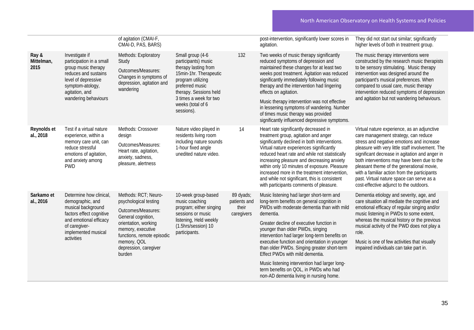|                             |                                                                                                                                                                                | of agitation (CMAI-F,<br>CMAI-D, PAS, BARS)                                                                                                                                                                            |                                                                                                                                                                                                                          |                                                  | post-intervention, significantly lower scores in<br>agitation.                                                                                                                                                                                                                                                                                                                                                                                                                                                                                              | They did not start out similar; significantly<br>higher levels of both in treatment group.                                                                                                                                                                                                                                                                                                                                                                                 |
|-----------------------------|--------------------------------------------------------------------------------------------------------------------------------------------------------------------------------|------------------------------------------------------------------------------------------------------------------------------------------------------------------------------------------------------------------------|--------------------------------------------------------------------------------------------------------------------------------------------------------------------------------------------------------------------------|--------------------------------------------------|-------------------------------------------------------------------------------------------------------------------------------------------------------------------------------------------------------------------------------------------------------------------------------------------------------------------------------------------------------------------------------------------------------------------------------------------------------------------------------------------------------------------------------------------------------------|----------------------------------------------------------------------------------------------------------------------------------------------------------------------------------------------------------------------------------------------------------------------------------------------------------------------------------------------------------------------------------------------------------------------------------------------------------------------------|
| Ray &<br>Mittelman,<br>2015 | Investigate if<br>participation in a small<br>group music therapy<br>reduces and sustains<br>level of depressive<br>symptom-atology,<br>agitation, and<br>wandering behaviours | Methods: Exploratory<br>Study<br>Outcomes/Measures:<br>Changes in symptoms of<br>depression, agitation and<br>wandering                                                                                                | Small group (4-6<br>participants) music<br>therapy lasting from<br>15min-1hr. Therapeutic<br>program utilizing<br>preferred music<br>therapy. Sessions held<br>3 times a week for two<br>weeks (total of 6<br>sessions). | 132                                              | Two weeks of music therapy significantly<br>reduced symptoms of depression and<br>maintained these changes for at least two<br>weeks post treatment. Agitation was reduced<br>significantly immediately following music<br>therapy and the intervention had lingering<br>effects on agitation.<br>Music therapy intervention was not effective<br>in lessening symptoms of wandering. Number<br>of times music therapy was provided<br>significantly influenced depressive symptoms.                                                                        | The music therapy interventions were<br>constructed by the research music therapists<br>to be sensory stimulating. Music therapy<br>intervention was designed around the<br>participant's musical preferences. When<br>compared to usual care, music therapy<br>intervention reduced symptoms of depression<br>and agitation but not wandering behaviours.                                                                                                                 |
| Reynolds et<br>al., 2018    | Test if a virtual nature<br>experience, within a<br>memory care unit, can<br>reduce stressful<br>emotions of agitation,<br>and anxiety among<br><b>PWD</b>                     | Methods: Crossover<br>design<br>Outcomes/Measures:<br>Heart rate, agitation,<br>anxiety, sadness,<br>pleasure, alertness                                                                                               | Nature video played in<br>residents living room<br>including nature sounds<br>1-hour fixed angle<br>unedited nature video.                                                                                               | 14                                               | Heart rate significantly decreased in<br>treatment group, agitation and anger<br>significantly declined in both interventions.<br>Virtual nature experiences significantly<br>reduced heart rate and while not statistically<br>increasing pleasure and decreasing anxiety<br>within only 10 minutes of exposure. Pleasure<br>increased more in the treatment intervention,<br>and while not significant, this is consistent<br>with participants comments of pleasure.                                                                                     | Virtual nature experience, as an adjunctive<br>care management strategy, can reduce<br>stress and negative emotions and increase<br>pleasure with very little staff involvement. The<br>significant decrease in agitation and anger in<br>both interventions may have been due to the<br>pleasant theme of the generational movie,<br>with a familiar action from the participants<br>past. Virtual nature space can serve as a<br>cost-effective adjunct to the outdoors. |
| Sarkamo et<br>al., 2016     | Determine how clinical,<br>demographic, and<br>musical background<br>factors effect cognitive<br>and emotional efficacy<br>of caregiver-<br>implemented musical<br>activities  | Methods: RCT; Neuro-<br>psychological testing<br>Outcomes/Measures:<br>General cognition,<br>orientation, working<br>memory, executive<br>functions, remote episodic<br>memory, QOL<br>depression, caregiver<br>burden | 10-week group-based<br>music coaching<br>program; either singing<br>sessions or music<br>listening, Held weekly<br>(1.5hrs/session) 10<br>participants.                                                                  | 89 dyads;<br>patients and<br>their<br>caregivers | Music listening had larger short-term and<br>long-term benefits on general cognition in<br>PWDs with moderate dementia than with mild<br>dementia.<br>Greater decline of executive function in<br>younger than older PWDs, singing<br>intervention had larger long-term benefits on<br>executive function and orientation in younger<br>than older PWDs. Singing greater short-term<br>Effect PWDs with mild dementia.<br>Music listening intervention had larger long-<br>term benefits on QOL, in PWDs who had<br>non-AD dementia living in nursing home. | Dementia etiology and severity, age, and<br>care situation all mediate the cognitive and<br>emotional efficacy of regular singing and/or<br>music listening in PWDs to some extent,<br>whereas the musical history or the previous<br>musical activity of the PWD does not play a<br>role.<br>Music is one of few activities that visually<br>impaired individuals can take part in.                                                                                       |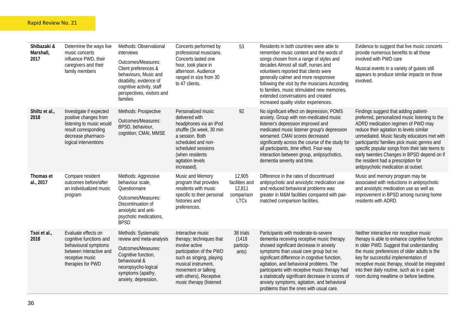| Shibazaki &<br>Marshall,<br>2017 | Determine the ways live<br>music concerts<br>influence PWD, their<br>caregivers and their<br>family members                                         | Methods: Observational<br>interviews<br>Outcomes/Measures:<br>Client preferences &<br>behaviours, Music and<br>disability, evidence of<br>cognitive activity, staff<br>perspectives, visitors and<br>families | Concerts performed by<br>professional musicians.<br>Concerts lasted one<br>hour, took place in<br>afternoon. Audience<br>ranged in size from 30<br>to 47 clients.                                                           | 53                                                              | Residents in both countries were able to<br>remember music content and the words of<br>songs chosen from a range of styles and<br>decades Almost all staff, nurses and<br>volunteers reported that clients were<br>generally calmer and more responsive<br>following the visit by the musicians According<br>to families, music stimulated new memories,<br>extended conversations and created<br>increased quality visitor experiences.                          | Evidence to suggest that live music concerts<br>provide numerous benefits to all those<br>involved with PWD care<br>Musical events in a variety of guises still<br>appears to produce similar impacts on those<br>involved.                                                                                                                                                                                                                               |
|----------------------------------|-----------------------------------------------------------------------------------------------------------------------------------------------------|---------------------------------------------------------------------------------------------------------------------------------------------------------------------------------------------------------------|-----------------------------------------------------------------------------------------------------------------------------------------------------------------------------------------------------------------------------|-----------------------------------------------------------------|-------------------------------------------------------------------------------------------------------------------------------------------------------------------------------------------------------------------------------------------------------------------------------------------------------------------------------------------------------------------------------------------------------------------------------------------------------------------|-----------------------------------------------------------------------------------------------------------------------------------------------------------------------------------------------------------------------------------------------------------------------------------------------------------------------------------------------------------------------------------------------------------------------------------------------------------|
| Shiltz et al.,<br>2018           | Investigate if expected<br>positive changes from<br>listening to music would<br>result corresponding<br>decrease pharmaco-<br>logical interventions | Methods: Prospective<br>Outcomes/Measures:<br>BPSD, behaviour,<br>cognition; CMAI, MMSE                                                                                                                       | Personalized music<br>delivered with<br>headphones via an iPod<br>shuffle (3x week, 30 min<br>a session. Both<br>scheduled and non-<br>scheduled sessions<br>(when residents<br>agitation levels<br>increased).             | 92                                                              | No significant effect on depression, POMS<br>anxiety. Group with non-medicated music<br>listener's depression improved and<br>medicated music listener group's depression<br>worsened. CMAI scores decreased<br>significantly across the course of the study for<br>all participants, time effect. Four-way<br>interaction between group, antipsychotics,<br>dementia severity and time.                                                                          | Findings suggest that adding patient-<br>preferred, personalized music listening to the<br>ADRD medication regimen of PWD may<br>reduce their agitation to levels similar<br>unmediated. Music faculty educators met with<br>participants/ families pick music genres and<br>specific popular songs from their late teens to<br>early twenties Changes in BPSD depend on if<br>the resident had a prescription for<br>antipsychotic medication at outset. |
| Thomas et<br>al., 2017           | Compare resident<br>outcomes before/after<br>an individualized music<br>program                                                                     | Methods: Aggressive<br>behaviour scale,<br>Questionnaire<br>Outcomes/Measures:<br>Discontinuation of<br>anxiolytic and anti-<br>psychotic medications,<br><b>BPSD</b>                                         | Music and Memory<br>program that provides<br>residents with music<br>specific to their personal<br>histories and<br>preferences.                                                                                            | 12,905<br>facilities and<br>12,811<br>comparison<br><b>LTCs</b> | Difference in the rates of discontinued<br>antipsychotic and anxiolytic medication use<br>and reduced behavioral problems was<br>greater in M&M facilities compared with pair-<br>matched comparison facilities.                                                                                                                                                                                                                                                  | Music and memory program may be<br>associated with reductions in antipsychotic<br>and anxiolytic medication use as well as<br>improvement in BPSD among nursing home<br>residents with ADRD.                                                                                                                                                                                                                                                              |
| Tsoi et al.,<br>2018             | Evaluate effects on<br>cognitive functions and<br>behavioural symptoms<br>between interactive and<br>receptive music<br>therapies for PWD           | Methods: Systematic<br>review and meta-analysis<br>Outcomes/Measures:<br>Cognitive function,<br>behavioural &<br>neuropsycho-logical<br>symptoms (apathy,<br>anxiety, depression,                             | Interactive music<br>therapy; techniques that<br>involve active<br>participation of the PWD<br>such as singing, playing<br>musical instrument,<br>movement or talking<br>with others), Receptive<br>music therapy (listened | 38 trials<br>(1418)<br>particip-<br>ants)                       | Participants with moderate-to-severe<br>dementia receiving receptive music therapy<br>showed significant decrease in anxiety<br>symptoms than usual care group but no<br>significant difference in cognitive function,<br>agitation, and behavioral problems. The<br>participants with receptive music therapy had<br>a statistically significant decrease in scores of<br>anxiety symptoms, agitation, and behavioral<br>problems than the ones with usual care. | Neither interactive nor receptive music<br>therapy is able to enhance cognitive function<br>in older PWD. Suggest that understanding<br>the music preferences of older adults is the<br>key for successful implementation of<br>receptive music therapy, should be integrated<br>into their daily routine, such as in a quiet<br>room during mealtime or before bedtime.                                                                                  |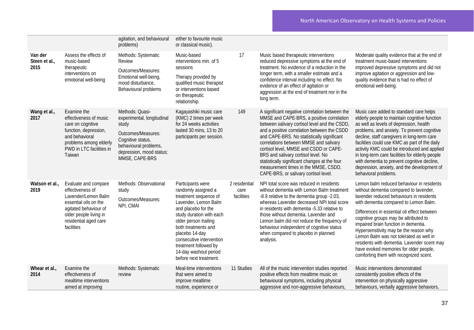|                                  |                                                                                                                                                                                    | agitation, and behavioural<br>problems)                                                                                                                                  | either to favourite music<br>or classical music).                                                                                                                                                                                                                                                                      |                                     |                                                                                                                                                                                                                                                                                                                                                                                                                                                                                                        |                                                                                                                                                                                                                                                                                                                                                                                                                                                                                                                                  |
|----------------------------------|------------------------------------------------------------------------------------------------------------------------------------------------------------------------------------|--------------------------------------------------------------------------------------------------------------------------------------------------------------------------|------------------------------------------------------------------------------------------------------------------------------------------------------------------------------------------------------------------------------------------------------------------------------------------------------------------------|-------------------------------------|--------------------------------------------------------------------------------------------------------------------------------------------------------------------------------------------------------------------------------------------------------------------------------------------------------------------------------------------------------------------------------------------------------------------------------------------------------------------------------------------------------|----------------------------------------------------------------------------------------------------------------------------------------------------------------------------------------------------------------------------------------------------------------------------------------------------------------------------------------------------------------------------------------------------------------------------------------------------------------------------------------------------------------------------------|
| Van der<br>Steen et al.,<br>2015 | Assess the effects of<br>music-based<br>therapeutic<br>interventions on<br>emotional well-being                                                                                    | Methods: Systematic<br>Review<br>Outcomes/Measures:<br>Emotional well-being,<br>mood disturbance,<br>Behavioural problems                                                | Music-based<br>interventions min. of 5<br>sessions<br>Therapy provided by<br>qualified music therapist<br>or interventions based<br>on therapeutic<br>relationship.                                                                                                                                                    | 17                                  | Music based therapeutic interventions<br>reduced depressive symptoms at the end of<br>treatment. No evidence of a reduction in the<br>longer term, with a smaller estimate and a<br>confidence interval including no effect. No<br>evidence of an effect of agitation or<br>aggression at the end of treatment nor in the<br>long term.                                                                                                                                                                | Moderate quality evidence that at the end of<br>treatment music-based interventions<br>improved depressive symptoms and did not<br>improve agitation or aggression and low-<br>quality evidence that is had no effect of<br>emotional well-being.                                                                                                                                                                                                                                                                                |
| Wang et al.,<br>2017             | Examine the<br>effectiveness of music<br>care on cognitive<br>function, depression,<br>and behavioral<br>problems among elderly<br>PWD in LTC facilities in<br>Taiwan              | Methods: Quasi-<br>experimental, longitudinal<br>study<br>Outcomes/Measures:<br>Cognitive status,<br>behavioural problems,<br>depression, mood status;<br>MMSE, CAPE-BRS | Kagayashiki music care<br>(KMC) 2 times per week<br>for 24 weeks activities<br>lasted 30 mins, 13 to 20<br>participants per session.                                                                                                                                                                                   | 149                                 | A significant negative correlation between the<br>MMSE and CAPE-BRS, a positive correlation<br>between salivary cortisol level and the CSDD,<br>and a positive correlation between the CSDD<br>and CAPE-BRS. No statistically significant<br>correlations between MMSE and salivary<br>cortisol level, MMSE and CSDD or CAPE-<br>BRS and salivary cortisol level. No<br>statistically significant changes at the four<br>measurement times in the MMSE, CSDD,<br>CAPE-BRS, or salivary cortisol level. | Music care added to standard care helps<br>elderly people to maintain cognitive function<br>as well as levels of depression, health<br>problems, and anxiety. To prevent cognitive<br>decline, staff caregivers in long-term care<br>facilities could use KMC as part of the daily<br>activity KMC could be introduced and applied<br>in long-term care facilities for elderly people<br>with dementia to prevent cognitive decline,<br>depression, anxiety, and the development of<br>behavioral problems.                      |
| Watson et al.,<br>2019           | Evaluate and compare<br>effectiveness of<br>Lavender/Lemon Balm<br>essential oils on the<br>agitated behaviour of<br>older people living in<br>residential aged care<br>facilities | Methods: Observational<br>study<br>Outcomes/Measures:<br>NPI, CMAI                                                                                                       | Participants were<br>randomly assigned a<br>treatment sequence of<br>Lavender, Lemon Balm<br>and placebo for the<br>study duration with each<br>older person trailing<br>both treatments and<br>placebo 14-day<br>consecutive intervention<br>treatment followed by<br>14-day washout period<br>before next treatment. | 2 residential<br>care<br>facilities | NPI total score was reduced in residents<br>without dementia with Lemon Balm treatment<br>-8.9 relative to the dementia group -2.03,<br>whereas Lavender decreased NPI total score<br>in residents with dementia -5.33 relative to<br>those without dementia. Lavender and<br>Lemon balm did not reduce the frequency of<br>behaviour independent of cognitive status<br>when compared to placebo in planned<br>analysis.                                                                              | Lemon balm reduced behaviour in residents<br>without dementia compared to lavender,<br>lavender reduced behaviours in residents<br>with dementia compared to Lemon Balm.<br>Differences in essential oil effect between<br>cognitive groups may be attributed to<br>impaired brain function in dementia.<br>Hypersensitivity may be the reason why<br>Lemon Balm was not tolerated as well in<br>residents with dementia. Lavender scent may<br>have evoked memories for older people,<br>comforting them with recognized scent. |
| Whear et al.,<br>2014            | Examine the<br>effectiveness of<br>mealtime interventions<br>aimed at improving                                                                                                    | Methods: Systematic<br>review                                                                                                                                            | Meal-time interventions<br>that were aimed to<br>improve mealtime<br>routine, experience or                                                                                                                                                                                                                            | 11 Studies                          | All of the music intervention studies reported<br>positive effects from mealtime music on<br>behavioural symptoms, including physical<br>aggressive and non-aggressive behaviours,                                                                                                                                                                                                                                                                                                                     | Music interventions demonstrated<br>consistently positive effects of the<br>intervention on physically aggressive<br>behaviours, verbally aggressive behaviors,                                                                                                                                                                                                                                                                                                                                                                  |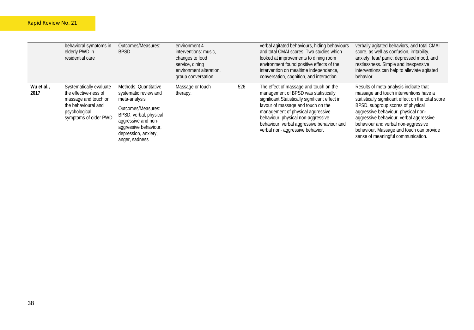|                    | behavioral symptoms in<br>elderly PWD in<br>residential care                                                                              | Outcomes/Measures:<br><b>BPSD</b>                                                                                                      | environment 4<br>interventions: music,<br>changes to food<br>service, dining<br>environment alteration,<br>group conversation. |     | verbal agitated behaviours, hiding behaviours<br>and total CMAI scores. Two studies which<br>looked at improvements to dining room<br>environment found positive effects of the<br>intervention on mealtime independence,<br>conversation, cognition, and interaction. | verbally agitated behaviors, and total CMAI<br>score, as well as confusion, irritability,<br>anxiety, fear/ panic, depressed mood, and<br>restlessness. Simple and inexpensive<br>interventions can help to alleviate agitated<br>behavior.  |
|--------------------|-------------------------------------------------------------------------------------------------------------------------------------------|----------------------------------------------------------------------------------------------------------------------------------------|--------------------------------------------------------------------------------------------------------------------------------|-----|------------------------------------------------------------------------------------------------------------------------------------------------------------------------------------------------------------------------------------------------------------------------|----------------------------------------------------------------------------------------------------------------------------------------------------------------------------------------------------------------------------------------------|
| Wu et al.,<br>2017 | Systematically evaluate<br>the effective-ness of<br>massage and touch on<br>the behavioural and<br>psychological<br>symptoms of older PWD | Methods: Quantitative<br>systematic review and<br>meta-analysis                                                                        | Massage or touch<br>therapy.                                                                                                   | 526 | The effect of massage and touch on the<br>management of BPSD was statistically<br>significant Statistically significant effect in                                                                                                                                      | Results of meta-analysis indicate that<br>massage and touch interventions have a<br>statistically significant effect on the total score                                                                                                      |
|                    |                                                                                                                                           | Outcomes/Measures:<br>BPSD, verbal, physical<br>aggressive and non-<br>aggressive behaviour,<br>depression, anxiety,<br>anger, sadness |                                                                                                                                |     | favour of massage and touch on the<br>management of physical aggressive<br>behaviour, physical non-aggressive<br>behaviour, verbal aggressive behaviour and<br>verbal non- aggressive behavior.                                                                        | BPSD, subgroup scores of physical<br>aggressive behaviour, physical non-<br>aggressive behaviour, verbal aggressive<br>behaviour and verbal non-aggressive<br>behaviour. Massage and touch can provide<br>sense of meaningful communication. |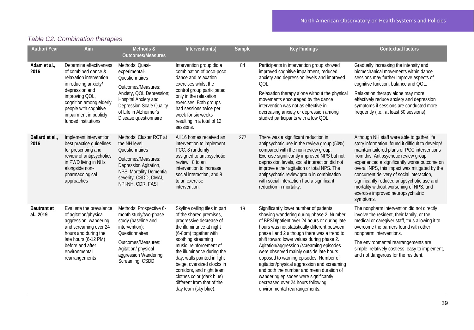# *Table C2. Combination therapies*

| Author/ Year                    | Aim                                                                                                                                                                                                                                        | Methods &                                                                                                                                                                                                          | Intervention(s)                                                                                                                                                                                                                                                                                                                                                                                      | Sample | <b>Key Findings</b>                                                                                                                                                                                                                                                                                                                                                                                                                                                                                                                                                                                                        | <b>Contextual factors</b>                                                                                                                                                                                                                                                                                                                                                                                                                                                            |
|---------------------------------|--------------------------------------------------------------------------------------------------------------------------------------------------------------------------------------------------------------------------------------------|--------------------------------------------------------------------------------------------------------------------------------------------------------------------------------------------------------------------|------------------------------------------------------------------------------------------------------------------------------------------------------------------------------------------------------------------------------------------------------------------------------------------------------------------------------------------------------------------------------------------------------|--------|----------------------------------------------------------------------------------------------------------------------------------------------------------------------------------------------------------------------------------------------------------------------------------------------------------------------------------------------------------------------------------------------------------------------------------------------------------------------------------------------------------------------------------------------------------------------------------------------------------------------------|--------------------------------------------------------------------------------------------------------------------------------------------------------------------------------------------------------------------------------------------------------------------------------------------------------------------------------------------------------------------------------------------------------------------------------------------------------------------------------------|
|                                 |                                                                                                                                                                                                                                            | <b>Outcomes/Measures</b>                                                                                                                                                                                           |                                                                                                                                                                                                                                                                                                                                                                                                      |        |                                                                                                                                                                                                                                                                                                                                                                                                                                                                                                                                                                                                                            |                                                                                                                                                                                                                                                                                                                                                                                                                                                                                      |
| Adam et al.,<br>2016            | Determine effectiveness<br>of combined dance &<br>relaxation intervention<br>in reducing anxiety/<br>depression and<br>improving QOL,<br>cognition among elderly<br>people with cognitive<br>impairment in publicly<br>funded institutions | Methods: Quasi-<br>experimental-<br>Questionnaires<br>Outcomes/Measures:<br>Anxiety, QOL Depression;<br>Hospital Anxiety and<br><b>Depression Scale Quality</b><br>of Life in Alzheimer's<br>Disease questionnaire | Intervention group did a<br>combination of poco-poco<br>dance and relaxation<br>exercises whilst the<br>control group participated<br>only in the relaxation<br>exercises. Both groups<br>had sessions twice per<br>week for six weeks<br>resulting in a total of 12<br>sessions.                                                                                                                    | 84     | Participants in intervention group showed<br>improved cognitive impairment, reduced<br>anxiety and depression levels and improved<br>QOL.<br>Relaxation therapy alone without the physical<br>movements encouraged by the dance<br>intervention was not as effective in<br>decreasing anxiety or depression among<br>studied participants with a low QOL.                                                                                                                                                                                                                                                                  | Gradually increasing the intensity and<br>biomechanical movements within dance<br>sessions may further improve aspects of<br>cognitive function, balance and QOL.<br>Relaxation therapy alone may more<br>effectively reduce anxiety and depression<br>symptoms if sessions are conducted more<br>frequently (i.e., at least 50 sessions).                                                                                                                                           |
| Ballard et al.,<br>2016         | Implement intervention<br>best practice quidelines<br>for prescribing and<br>review of antipsychotics<br>in PWD living in NHs<br>alongside non-<br>pharmacological<br>approaches                                                           | Methods: Cluster RCT at<br>the NH level;<br>Questionnaires<br>Outcomes/Measures:<br>Depression Agitation,<br>NPS, Mortality Dementia<br>severity; CSDD, CMAI,<br>NPI-NH, CDR, FASI                                 | All 16 homes received an<br>intervention to implement<br>PCC. 8 randomly<br>assigned to antipsychotic<br>review. 8 to an<br>intervention to increase<br>social interaction, and 8<br>to an exercise<br>intervention.                                                                                                                                                                                 | 277    | There was a significant reduction in<br>antipsychotic use in the review group (50%)<br>compared with the non-review group.<br>Exercise significantly improved NPS but not<br>depression levels, social interaction did not<br>improve either agitation or total NPS. The<br>antipsychotic review group in combination<br>with social interaction had a significant<br>reduction in mortality.                                                                                                                                                                                                                              | Although NH staff were able to gather life<br>story information, found it difficult to develop/<br>maintain tailored plans or PCC interventions<br>from this. Antipsychotic review group<br>experienced a significantly worse outcome on<br>overall NPS, this impact was mitigated by the<br>concurrent delivery of social interaction,<br>significantly reduced antipsychotic use and<br>mortality without worsening of NPS, and<br>exercise improved neuropsychiatric<br>symptoms. |
| <b>Bautrant et</b><br>al., 2019 | Evaluate the prevalence<br>of agitation/physical<br>aggression, wandering<br>and screaming over 24<br>hours and during the<br>late hours (6-12 PM)<br>before and after<br>environmental<br>rearrangements                                  | Methods: Prospective 6-<br>month study/two-phase<br>study (baseline and<br>intervention);<br>Questionnaires<br>Outcomes/Measures:<br>Agitation/ physical<br>aggression Wandering<br>Screaming; CSDD                | Skyline ceiling tiles in part<br>of the shared premises,<br>progressive decrease of<br>the illuminance at night<br>(6-8pm) together with<br>soothing streaming<br>music, reinforcement of<br>the illuminance during the<br>day, walls painted in light<br>beige, oversized clocks in<br>corridors, and night team<br>clothes color (dark blue)<br>different from that of the<br>day team (sky blue). | 19     | Significantly lower number of patients<br>showing wandering during phase 2. Number<br>of BPSD/patient over 24 hours or during late<br>hours was not statistically different between<br>phase I and 2 although there was a trend to<br>shift toward lower values during phase 2.<br>Agitation/aggression /screaming episodes<br>were observed mainly outside late hours<br>opposed to warning episodes. Number of<br>agitation/physical aggression and screaming<br>and both the number and mean duration of<br>wandering episodes were significantly<br>decreased over 24 hours following<br>environmental rearrangements. | The nonpharm intervention did not directly<br>involve the resident, their family, or the<br>medical or caregiver staff, thus allowing it to<br>overcome the barriers found with other<br>nonpharm interventions.<br>The environmental rearrangements are<br>simple, relatively costless, easy to implement,<br>and not dangerous for the resident.                                                                                                                                   |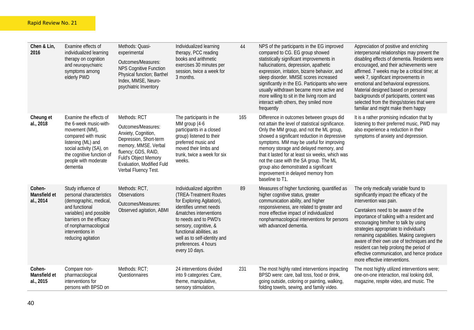| Chen & Lin,<br>2016                 | Examine effects of<br>individualized learning<br>therapy on cognition<br>and neuropsychiatric<br>symptoms among<br>elderly PWD                                                                                       | Methods: Quasi-<br>experimental<br>Outcomes/Measures:<br><b>NPS Cognitive Function</b><br>Physical function; Barthel<br>Index, MMSE, Neuro-<br>psychiatric Inventory                                            | Individualized learning<br>therapy, PCC reading<br>books and arithmetic<br>exercises 30 minutes per<br>session, twice a week for<br>3 months.                                                                                                                                               | 44  | NPS of the participants in the EG improved<br>compared to CG. EG group showed<br>statistically significant improvements in<br>hallucinations, depression, apathetic<br>expression, irritation, bizarre behavior, and<br>sleep disorder. MMSE scores increased<br>significantly in the EG. Participants who were<br>usually withdrawn became more active and<br>more willing to sit in the living room and<br>interact with others, they smiled more<br>frequently                | Appreciation of positive and enriching<br>interpersonal relationships may prevent the<br>disabling effects of dementia. Residents were<br>encouraged, and their achievements were<br>affirmed. 7 weeks may be a critical time; at<br>week 7, significant improvements in<br>emotional and behavioral expressions.<br>Material designed based on personal<br>backgrounds of participants, content was<br>selected from the things/stories that were<br>familiar and might make them happy               |
|-------------------------------------|----------------------------------------------------------------------------------------------------------------------------------------------------------------------------------------------------------------------|-----------------------------------------------------------------------------------------------------------------------------------------------------------------------------------------------------------------|---------------------------------------------------------------------------------------------------------------------------------------------------------------------------------------------------------------------------------------------------------------------------------------------|-----|----------------------------------------------------------------------------------------------------------------------------------------------------------------------------------------------------------------------------------------------------------------------------------------------------------------------------------------------------------------------------------------------------------------------------------------------------------------------------------|--------------------------------------------------------------------------------------------------------------------------------------------------------------------------------------------------------------------------------------------------------------------------------------------------------------------------------------------------------------------------------------------------------------------------------------------------------------------------------------------------------|
| Cheung et<br>al., 2018              | Examine the effects of<br>the 6-week music-with-<br>movement (MM),<br>compared with music<br>listening (ML) and<br>social activity (SA), on<br>the cognitive function of<br>people with moderate<br>dementia         | Methods: RCT<br>Outcomes/Measures:<br>Anxiety, Cognition,<br>Depression, Short-term<br>memory, MMSE. Verbal<br>fluency; GDS, RAID,<br>Fuld's Object Memory<br>Evaluation, Modified Fuld<br>Verbal Fluency Test. | The participants in the<br>MM group (4-6<br>participants in a closed<br>group) listened to their<br>preferred music and<br>moved their limbs and<br>trunk, twice a week for six<br>weeks.                                                                                                   | 165 | Difference in outcomes between groups did<br>not attain the level of statistical significance.<br>Only the MM group, and not the ML group,<br>showed a significant reduction in depressive<br>symptoms. MM may be useful for improving<br>memory storage and delayed memory, and<br>that it lasted for at least six weeks, which was<br>not the case with the SA group. The ML<br>group also demonstrated a significant<br>improvement in delayed memory from<br>baseline to T1. | It is a rather promising indication that by<br>listening to their preferred music, PWD may<br>also experience a reduction in their<br>symptoms of anxiety and depression.                                                                                                                                                                                                                                                                                                                              |
| Cohen-<br>Mansfield et<br>al., 2014 | Study influence of<br>personal characteristics<br>(demographic, medical,<br>and functional<br>variables) and possible<br>barriers on the efficacy<br>of nonpharmacological<br>interventions in<br>reducing agitation | Methods: RCT,<br>Observations<br>Outcomes/Measures:<br>Observed agitation, ABMI                                                                                                                                 | Individualized algorithm<br>(TREA-Treatment Routes<br>for Exploring Agitation),<br>identifies unmet needs<br>&matches interventions<br>to needs and to PWD's<br>sensory, cognitive, &<br>functional abilities, as<br>well as to self-identity and<br>preferences. 4 hours<br>every 10 days. | 89  | Measures of higher functioning, quantified as<br>higher cognitive status, greater<br>communication ability, and higher<br>responsiveness, are related to greater and<br>more effective impact of individualized<br>nonpharmacological interventions for persons<br>with advanced dementia.                                                                                                                                                                                       | The only medically variable found to<br>significantly impact the efficacy of the<br>intervention was pain.<br>Caretakers need to be aware of the<br>importance of talking with a resident and<br>encouraging him/her to talk by using<br>strategies appropriate to individual's<br>remaining capabilities. Making caregivers<br>aware of their own use of techniques and the<br>resident can help prolong the period of<br>effective communication, and hence produce<br>more effective interventions. |
| Cohen-<br>Mansfield et<br>al., 2015 | Compare non-<br>pharmacological<br>interventions for<br>persons with BPSD on                                                                                                                                         | Methods: RCT;<br>Questionnaires                                                                                                                                                                                 | 24 interventions divided<br>into 9 categories: Care,<br>theme, manipulative,<br>sensory stimulation,                                                                                                                                                                                        | 231 | The most highly rated interventions impacting<br>BPSD were: care, ball toss, food or drink,<br>going outside, coloring or painting, walking,<br>folding towels, sewing, and family video.                                                                                                                                                                                                                                                                                        | The most highly utilized interventions were;<br>one-on-one interaction, real looking doll,<br>magazine, respite video, and music. The                                                                                                                                                                                                                                                                                                                                                                  |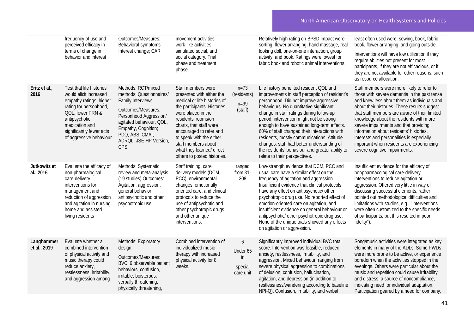|                            | frequency of use and<br>perceived efficacy in<br>terms of change in<br>behavior and interest                                                                                                                          | Outcomes/Measures:<br>Behavioral symptoms<br>Interest change; CAR                                                                                                                                                                 | movement activities,<br>work-like activities,<br>simulated social, and<br>social category. Trial                                                                                                                                                                                                                                 |                                              | Relatively high rating on BPSD impact were<br>sorting, flower arranging, hand massage, real<br>looking doll, one-on-one interaction, group<br>activity, and book. Ratings were lowest for                                                                                                                                                                                                                                                                                                                                                             | least often used were: sewing, book, fabric<br>book, flower arranging, and going outside.<br>Interventions will have low utilization if they<br>require abilities not present for most                                                                                                                                                                                                                                                                                                               |
|----------------------------|-----------------------------------------------------------------------------------------------------------------------------------------------------------------------------------------------------------------------|-----------------------------------------------------------------------------------------------------------------------------------------------------------------------------------------------------------------------------------|----------------------------------------------------------------------------------------------------------------------------------------------------------------------------------------------------------------------------------------------------------------------------------------------------------------------------------|----------------------------------------------|-------------------------------------------------------------------------------------------------------------------------------------------------------------------------------------------------------------------------------------------------------------------------------------------------------------------------------------------------------------------------------------------------------------------------------------------------------------------------------------------------------------------------------------------------------|------------------------------------------------------------------------------------------------------------------------------------------------------------------------------------------------------------------------------------------------------------------------------------------------------------------------------------------------------------------------------------------------------------------------------------------------------------------------------------------------------|
|                            |                                                                                                                                                                                                                       |                                                                                                                                                                                                                                   | phase and treatment<br>phase.                                                                                                                                                                                                                                                                                                    |                                              | fabric book and robotic animal interventions.                                                                                                                                                                                                                                                                                                                                                                                                                                                                                                         | participants, if they are not efficacious, or if<br>they are not available for other reasons, such<br>as resource allocation.                                                                                                                                                                                                                                                                                                                                                                        |
| Eritz et al.,<br>2016      | Test that life histories<br>would elicit increased<br>empathy ratings, higher<br>rating for personhood,<br>QOL, fewer PRN &<br>antipsychotic<br>medication and<br>significantly fewer acts<br>of aggressive behaviour | Methods: RCT/mixed<br>methods; Questionnaires/<br><b>Family Interviews</b><br>Outcomes/Measures:<br>Personhood Aggression/<br>agitated behaviour, QOL,<br>Empathy, Cognition;<br>PDQ, ABS, CMAI,<br>ADROL, JSE-HP Version,<br>CPS | Staff members were<br>presented with either the<br>medical or life histories of<br>the participants. Histories<br>were placed in the<br>residents' rooms/on<br>charts, that staff were<br>encouraged to refer and<br>to speak with the either<br>staff members about<br>what they learned/ direct<br>others to posted histories. | $n = 73$<br>(residents)<br>$n=99$<br>(staff) | Life history benefited resident QOL and<br>improvements in staff perception of resident's<br>personhood. Did not improve aggressive<br>behaviours. No quantitative significant<br>change in staff ratings during follow-up<br>period; intervention might not be strong<br>enough to have sustained long-term effects.<br>60% of staff changed their interactions with<br>residents, mostly communications. Attitude<br>changes; staff had better understanding of<br>the residents' behaviour and greater ability to<br>relate to their perspectives. | Staff members were more likely to refer to<br>those with severe dementia in the past tense<br>and knew less about them as individuals and<br>about their histories. These results suggest<br>that staff members are aware of their limited<br>knowledge about the residents with more<br>severe impairments and that providing<br>information about residents' histories,<br>interests and personalities is especially<br>important when residents are experiencing<br>severe cognitive impairments. |
| Jutkowitz et<br>al., 2016  | Evaluate the efficacy of<br>non-pharmalogical<br>care-delivery<br>interventions for<br>management and<br>reduction of aggression<br>and agitation in nursing<br>home and assisted<br>living residents                 | Methods: Systematic<br>review and meta-analysis<br>(19 studies) Outcomes:<br>Agitation, aggression,<br>general behavior,<br>antipsychotic and other<br>psychotropic use                                                           | Staff training, care<br>delivery models (DCM,<br>PCC), environmental<br>changes, emotionally<br>oriented care, and clinical<br>protocols to reduce the<br>use of antipsychotic and<br>other psychotropic drugs,<br>and other unique<br>interventions.                                                                            | ranged<br>from $31-$<br>308                  | Low-strength evidence that DCM, PCC and<br>usual care have a similar effect on the<br>frequency of agitation and aggression.<br>Insufficient evidence that clinical protocols<br>have any effect on antipsychotic/ other<br>psychotropic drug use. No reported effect of<br>emotion-oriented care on agitation, and<br>insufficient evidence on general behaviour or<br>antipsychotic/ other psychotropic drug use.<br>None of the unique trials showed any effects<br>on agitation or aggression.                                                    | Insufficient evidence for the efficacy of<br>nonpharmacological care-delivery<br>interventions to reduce agitation or<br>aggression. Offered very little in way of<br>discussing successful elements, rather<br>pointed out methodological difficulties and<br>limitations with studies, e.g., "Interventions<br>were often customized to the specific needs<br>of participants, but this resulted in poor<br>fidelity").                                                                            |
| Langhammer<br>et al., 2019 | Evaluate whether a<br>combined intervention<br>of physical activity and<br>music therapy could<br>reduce anxiety,<br>restlessness, irritability,<br>and aggression among                                              | Methods: Exploratory<br>design<br>Outcomes/Measures:<br>BVC; 6 observable patient<br>behaviors, confusion,<br>irritable, boisterous,<br>verbally threatening,<br>physically threatening,                                          | Combined intervention of<br>individualized music<br>therapy with increased<br>physical activity for 8<br>weeks.                                                                                                                                                                                                                  | 6<br>Under 65<br>in<br>special<br>care unit  | Significantly improved individual BVC total<br>score. Intervention was feasible, reduced<br>anxiety, restlessness, irritability, and<br>aggression. Mixed behaviour, ranging from<br>severe physical aggression to combinations<br>of delusion, confusion, hallucination,<br>agitation, and depression (in addition to<br>restlessness/wandering according to baseline<br>NPI-Q). Confusion, irritability, and verbal                                                                                                                                 | Song/music activities were integrated as key<br>elements in many of the ADLs. Some PWDs<br>were more prone to be active, or experience<br>boredom when the activities stopped in the<br>evenings. Others were particular about the<br>music and repetition could cause irritability<br>and distress, a source of noncompliance,<br>indicating need for individual adaptation.<br>Participation geared by a need for company,                                                                         |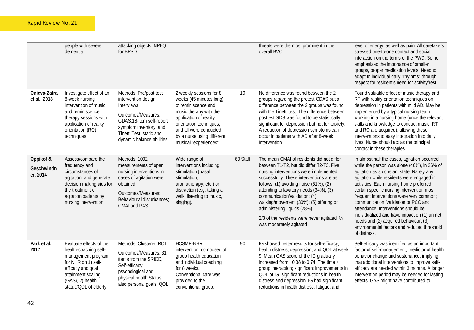|                                     | people with severe<br>dementia.                                                                                                                                                          | attacking objects. NPI-Q<br>for BPSD                                                                                                                                                              |                                                                                                                                                                                                                                           |          | threats were the most prominent in the<br>overall BVC.                                                                                                                                                                                                                                                                                                                                                                                                           | level of energy, as well as pain. All caretakers<br>stressed one-to-one contact and social<br>interaction on the terms of the PWD. Some<br>emphasized the importance of smaller<br>groups, proper medication levels. Need to<br>adapt to individual daily "rhythms" through<br>respect for resident's need for activity/rest.                                                                                                                                                                                                                                    |
|-------------------------------------|------------------------------------------------------------------------------------------------------------------------------------------------------------------------------------------|---------------------------------------------------------------------------------------------------------------------------------------------------------------------------------------------------|-------------------------------------------------------------------------------------------------------------------------------------------------------------------------------------------------------------------------------------------|----------|------------------------------------------------------------------------------------------------------------------------------------------------------------------------------------------------------------------------------------------------------------------------------------------------------------------------------------------------------------------------------------------------------------------------------------------------------------------|------------------------------------------------------------------------------------------------------------------------------------------------------------------------------------------------------------------------------------------------------------------------------------------------------------------------------------------------------------------------------------------------------------------------------------------------------------------------------------------------------------------------------------------------------------------|
| Onieva-Zafra<br>et al., 2018        | Investigate effect of an<br>8-week nursing<br>intervention of music<br>and reminiscence<br>therapy sessions with<br>application of reality<br>orientation (RO)<br>techniques             | Methods: Pre/post-test<br>intervention design;<br>Interviews<br>Outcomes/Measures:<br>GDAS;18-item self-report<br>symptom inventory, and<br>Tinetti Test; static and<br>dynamic balance abilities | 2 weekly sessions for 8<br>weeks (45 minutes long)<br>of reminiscence and<br>music therapy with the<br>application of reality<br>orientation techniques,<br>and all were conducted<br>by a nurse using different<br>musical "experiences" | 19       | No difference was found between the 2<br>groups regarding the pretest GDAS but a<br>difference between the 2 groups was found<br>with the Tinetti test. The difference between<br>posttest GDS was found to be statistically<br>significant for depression but not for anxiety.<br>A reduction of depression symptoms can<br>occur in patients with AD after 8-week<br>intervention                                                                              | Found valuable effect of music therapy and<br>RT with reality orientation techniques on<br>depression in patients with mild AD. May be<br>implemented by a typical nursing team<br>working in a nursing home (once the relevant<br>skills and knowledge to conduct music, RT<br>and RO are acquired), allowing these<br>interventions to easy integration into daily<br>lives. Nurse should act as the principal<br>contact in these therapies.                                                                                                                  |
| Oppikof &<br>Geschwindn<br>er, 2014 | Assess/compare the<br>frequency and<br>circumstances of<br>agitation, and generate<br>decision making aids for<br>the treatment of<br>agitation patients by<br>nursing intervention      | Methods: 1002<br>measurements of open<br>nursing interventions in<br>cases of agitation were<br>obtained<br>Outcomes/Measures:<br>Behavioural disturbances;<br><b>CMAI and PAS</b>                | Wide range of<br>interventions including<br>stimulation (basal<br>stimulation,<br>aromatherapy, etc.) or<br>distraction (e.g. taking a<br>walk, listening to music,<br>singing).                                                          | 60 Staff | The mean CMAI of residents did not differ<br>between T1-T2, but did differ T2-T3. Five<br>nursing interventions were implemented<br>successfully. These interventions are as<br>follows: $(1)$ avoiding noise $(61\%)$ ; $(2)$<br>attending to lavatory needs (34%); (3)<br>communication/validation; (4)<br>walking/movement (30%); (5) offering or<br>administering liquids (28%).<br>2/3 of the residents were never agitated, 1/4<br>was moderately agitated | In almost half the cases, agitation occurred<br>while the person was alone (46%), in 26% of<br>agitation as a constant state. Rarely any<br>agitation while residents were engaged in<br>activities. Each nursing home preferred<br>certain specific nursing intervention most<br>frequent interventions were very common;<br>communication /validation or PCC and<br>attendance. Interventions should be<br>individualized and have impact on (1) unmet<br>needs and (2) acquired behaviour, (3)<br>environmental factors and reduced threshold<br>of distress. |
| Park et al.,<br>2017                | Evaluate effects of the<br>health-coaching self-<br>management program<br>for NHR on 1) self-<br>efficacy and goal<br>attainment scaling<br>$(GAS)$ , 2) health<br>status/QOL of elderly | Methods: Clustered RCT<br>Outcomes/Measures: 31<br>items from the SRICD,<br>Self-efficacy,<br>psychological and<br>physical health Status,<br>also personal goals, QOL                            | <b>HCSMP-NHR</b><br>intervention, composed of<br>group health education<br>and individual coaching,<br>for 8 weeks.<br>Conventional care was<br>provided to the<br>conventional group.                                                    | 90       | IG showed better results for self-efficacy,<br>health distress, depression, and QOL at week<br>9. Mean GAS score of the IG gradually<br>increased from -0.38 to 0.74. The time ×<br>group interaction; significant improvements in<br>QOL of IG, significant reductions in health<br>distress and depression. IG had significant<br>reductions in health distress, fatigue, and                                                                                  | Self-efficacy was identified as an important<br>factor of self-management, predictor of health<br>behavior change and sustenance, implying<br>that additional interventions to improve self-<br>efficacy are needed within 3 months. A longer<br>intervention period may be needed for lasting<br>effects. GAS might have contributed to                                                                                                                                                                                                                         |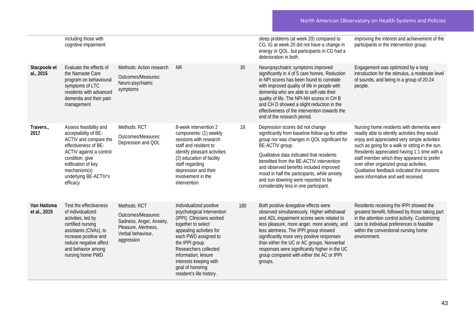|                             | including those with<br>cognitive impairment                                                                                                                                                                             |                                                                                                                           |                                                                                                                                                                                                                                                                                                            |     | sleep problems (at week 20) compared to<br>CG. IG at week 20 did not have a change in<br>energy or QOL, but participants in CG had a<br>deterioration in both.                                                                                                                                                                                                                                                                | improving the interest and achievement of the<br>participants in the intervention group.                                                                                                                                                                                                                                                                                                                                     |
|-----------------------------|--------------------------------------------------------------------------------------------------------------------------------------------------------------------------------------------------------------------------|---------------------------------------------------------------------------------------------------------------------------|------------------------------------------------------------------------------------------------------------------------------------------------------------------------------------------------------------------------------------------------------------------------------------------------------------|-----|-------------------------------------------------------------------------------------------------------------------------------------------------------------------------------------------------------------------------------------------------------------------------------------------------------------------------------------------------------------------------------------------------------------------------------|------------------------------------------------------------------------------------------------------------------------------------------------------------------------------------------------------------------------------------------------------------------------------------------------------------------------------------------------------------------------------------------------------------------------------|
| Stacpoole et<br>al., 2015   | Evaluate the effects of<br>the Namaste Care<br>program on behavioural<br>symptoms of LTC<br>residents with advanced<br>dementia and their pain<br>management                                                             | Methods: Action research<br>Outcomes/Measures:<br>Neuro-psychiatric<br>symptoms                                           | <b>NR</b>                                                                                                                                                                                                                                                                                                  | 30  | Neuropsychiatric symptoms improved<br>significantly in 4 of 5 care homes. Reduction<br>in NPI scores has been found to correlate<br>with improved quality of life in people with<br>dementia who are able to self-rate their<br>quality of life. The NPI-NH scores in CH B<br>and CH D showed a slight reduction in the<br>effectiveness of the intervention towards the<br>end of the research period.                       | Engagement was optimized by a long<br>introduction for the stimulus, a moderate level<br>of sounds, and being in a group of 20-24<br>people.                                                                                                                                                                                                                                                                                 |
| Travers.,<br>2017           | Assess feasibility and<br>acceptability of BE-<br>ACTIV and compare the<br>effectiveness of BE-<br>ACTIV against a control<br>condition, give<br>edification of key<br>mechanism(s)<br>underlying BE-ACTIV's<br>efficacy | Methods: RCT<br>Outcomes/Measures:<br>Depression and QOL                                                                  | 8-week intervention 2<br>components: (1) weekly<br>sessions with research<br>staff and resident to<br>identify pleasant activities<br>(2) education of facility<br>staff regarding<br>depression and their<br>involvement in the<br>intervention                                                           | 18  | Depression scores did not change<br>significantly from baseline-follow-up for either<br>group nor was changes in QOL significant for<br>BE-ACTIV group.<br>Qualitative data indicated that residents<br>benefited from the BE-ACTIV intervention<br>and observed benefits included improved<br>mood in half the participants, while anxiety<br>and sun downing were reported to be<br>considerably less in one participant.   | Nursing home residents with dementia were<br>readily able to identify activities they would<br>enjoy and appreciated very simple activities<br>such as going for a walk or sitting in the sun.<br>Residents appreciated having 1:1 time with a<br>staff member which they appeared to prefer<br>over other organized group activities.<br>Qualitative feedback indicated the sessions<br>were informative and well received. |
| Van Haitsma<br>et al., 2015 | Test the effectiveness<br>of individualized<br>activities, led by<br>certified nursing<br>assistants (CNAs), to<br>increase positive and<br>reduce negative affect<br>and behavior among<br>nursing home PWD             | Methods: RCT<br>Outcomes/Measures:<br>Sadness, Anger, Anxiety,<br>Pleasure, Alertness,<br>Verbal behaviour,<br>aggression | Individualized positive<br>psychological intervention<br>(IPPI). Clinicians worked<br>together to select<br>appealing activities for<br>each PWD assigned to<br>the IPPI group.<br>Researchers collected<br>information; leisure<br>interests keeping with<br>goal of honoring<br>resident's life history. | 180 | Both positive &negative effects were<br>observed simultaneously. Higher withdrawal<br>and ADL impairment scores were related to<br>less pleasure, more anger, more anxiety, and<br>less alertness. The IPPI group showed<br>significantly more very positive responses<br>than either the UC or AC groups. Nonverbal<br>responses were significantly higher in the UC<br>group compared with either the AC or IPPI<br>groups. | Residents receiving the IPPI showed the<br>greatest benefit, followed by those taking part<br>in the attention control activity. Customizing<br>care to individual preferences is feasible<br>within the conventional nursing home<br>environment.                                                                                                                                                                           |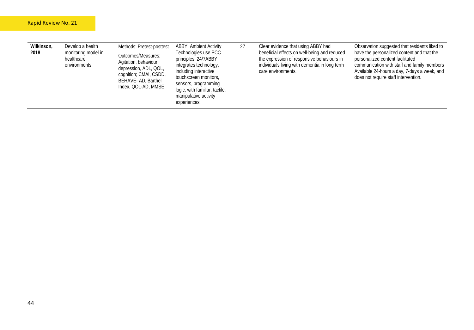| Wilkinson,<br>2018 | Develop a health<br>monitoring model in<br>healthcare<br>environments | Methods: Pretest-posttest<br>Outcomes/Measures:<br>Agitation, behaviour,<br>depression, ADL, QOL,<br>cognition; CMAI, CSDD,<br>BEHAVE-AD, Barthel<br>Index, QOL-AD, MMSE | <b>ABBY: Ambient Activity</b><br>Technologies use PCC<br>principles. 24/7ABBY<br>integrates technology,<br>including interactive<br>touchscreen monitors,<br>sensors, programming<br>logic, with familiar, tactile,<br>manipulative activity<br>experiences. | 27 | Clear evidence that using ABBY had<br>beneficial effects on well-being and reduced<br>the expression of responsive behaviours in<br>individuals living with dementia in long term<br>care environments. | Observation suggested that residents liked to<br>have the personalized content and that the<br>personalized content facilitated<br>communication with staff and family members<br>Available 24-hours a day, 7-days a week, and<br>does not require staff intervention. |
|--------------------|-----------------------------------------------------------------------|--------------------------------------------------------------------------------------------------------------------------------------------------------------------------|--------------------------------------------------------------------------------------------------------------------------------------------------------------------------------------------------------------------------------------------------------------|----|---------------------------------------------------------------------------------------------------------------------------------------------------------------------------------------------------------|------------------------------------------------------------------------------------------------------------------------------------------------------------------------------------------------------------------------------------------------------------------------|
|--------------------|-----------------------------------------------------------------------|--------------------------------------------------------------------------------------------------------------------------------------------------------------------------|--------------------------------------------------------------------------------------------------------------------------------------------------------------------------------------------------------------------------------------------------------------|----|---------------------------------------------------------------------------------------------------------------------------------------------------------------------------------------------------------|------------------------------------------------------------------------------------------------------------------------------------------------------------------------------------------------------------------------------------------------------------------------|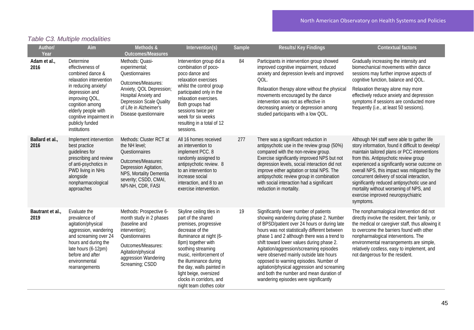| Author/<br>Year          | Aim                                                                                                                                                                                                                                              | Methods &<br><b>Outcomes/Measures</b>                                                                                                                                                                              | Intervention(s)                                                                                                                                                                                                                                                                                                                        | Sample | <b>Results/Key Findings</b>                                                                                                                                                                                                                                                                                                                                                                                                                                                                                                                         | <b>Contextual factors</b>                                                                                                                                                                                                                                                                                                                                                                                                                                                            |
|--------------------------|--------------------------------------------------------------------------------------------------------------------------------------------------------------------------------------------------------------------------------------------------|--------------------------------------------------------------------------------------------------------------------------------------------------------------------------------------------------------------------|----------------------------------------------------------------------------------------------------------------------------------------------------------------------------------------------------------------------------------------------------------------------------------------------------------------------------------------|--------|-----------------------------------------------------------------------------------------------------------------------------------------------------------------------------------------------------------------------------------------------------------------------------------------------------------------------------------------------------------------------------------------------------------------------------------------------------------------------------------------------------------------------------------------------------|--------------------------------------------------------------------------------------------------------------------------------------------------------------------------------------------------------------------------------------------------------------------------------------------------------------------------------------------------------------------------------------------------------------------------------------------------------------------------------------|
| Adam et al.,<br>2016     | Determine<br>effectiveness of<br>combined dance &<br>relaxation intervention<br>in reducing anxiety/<br>depression and<br>improving QOL,<br>cognition among<br>elderly people with<br>cognitive impairment in<br>publicly funded<br>institutions | Methods: Quasi-<br>experimental;<br>Questionnaires<br>Outcomes/Measures:<br>Anxiety, QOL Depression;<br>Hospital Anxiety and<br><b>Depression Scale Quality</b><br>of Life in Alzheimer's<br>Disease questionnaire | Intervention group did a<br>combination of poco-<br>poco dance and<br>relaxation exercises<br>whilst the control group<br>participated only in the<br>relaxation exercises.<br>Both groups had<br>sessions twice per<br>week for six weeks<br>resulting in a total of 12<br>sessions.                                                  | 84     | Participants in intervention group showed<br>improved cognitive impairment, reduced<br>anxiety and depression levels and improved<br>QOL.<br>Relaxation therapy alone without the physical<br>movements encouraged by the dance<br>intervention was not as effective in<br>decreasing anxiety or depression among<br>studied participants with a low QOL.                                                                                                                                                                                           | Gradually increasing the intensity and<br>biomechanical movements within dance<br>sessions may further improve aspects of<br>cognitive function, balance and QOL.<br>Relaxation therapy alone may more<br>effectively reduce anxiety and depression<br>symptoms if sessions are conducted more<br>frequently (i.e., at least 50 sessions).                                                                                                                                           |
| Ballard et al.,<br>2016  | Implement intervention<br>best practice<br>guidelines for<br>prescribing and review<br>of anti-psychotics in<br>PWD living in NHs<br>alongside<br>nonpharmacological<br>approaches                                                               | Methods: Cluster RCT at<br>the NH level;<br>Questionnaires<br>Outcomes/Measures:<br>Depression Agitation,<br>NPS, Mortality Dementia<br>severity; CSDD, CMAI,<br>NPI-NH, CDR, FASI                                 | All 16 homes received<br>an intervention to<br>implement PCC. 8<br>randomly assigned to<br>antipsychotic review. 8<br>to an intervention to<br>increase social<br>interaction, and 8 to an<br>exercise intervention.                                                                                                                   | 277    | There was a significant reduction in<br>antipsychotic use in the review group (50%)<br>compared with the non-review group.<br>Exercise significantly improved NPS but not<br>depression levels, social interaction did not<br>improve either agitation or total NPS. The<br>antipsychotic review group in combination<br>with social interaction had a significant<br>reduction in mortality.                                                                                                                                                       | Although NH staff were able to gather life<br>story information, found it difficult to develop/<br>maintain tailored plans or PCC interventions<br>from this. Antipsychotic review group<br>experienced a significantly worse outcome on<br>overall NPS, this impact was mitigated by the<br>concurrent delivery of social interaction,<br>significantly reduced antipsychotic use and<br>mortality without worsening of NPS, and<br>exercise improved neuropsychiatric<br>symptoms. |
| Bautrant et al.,<br>2019 | Evaluate the<br>prevalence of<br>agitation/physical<br>aggression, wandering<br>and screaming over 24<br>hours and during the<br>late hours (6-12pm)<br>before and after<br>environmental<br>rearrangements                                      | Methods: Prospective 6-<br>month study in 2 phases<br>(baseline and<br>intervention);<br>Questionnaires<br>Outcomes/Measures:<br>Agitation/physical<br>aggression Wandering<br>Screaming; CSDD                     | Skyline ceiling tiles in<br>part of the shared<br>premises, progressive<br>decrease of the<br>illuminance at night (6-<br>8pm) together with<br>soothing streaming<br>music, reinforcement of<br>the illuminance during<br>the day, walls painted in<br>light beige, oversized<br>clocks in corridors, and<br>night team clothes color | 19     | Significantly lower number of patients<br>showing wandering during phase 2. Number<br>of BPSD/patient over 24 hours or during late<br>hours was not statistically different between<br>phase 1 and 2 although there was a trend to<br>shift toward lower values during phase 2.<br>Agitation/aggression/screaming episodes<br>were observed mainly outside late hours<br>opposed to warning episodes. Number of<br>agitation/physical aggression and screaming<br>and both the number and mean duration of<br>wandering episodes were significantly | The nonpharmalogical intervention did not<br>directly involve the resident, their family, or<br>the medical or caregiver staff, thus allowing it<br>to overcome the barriers found with other<br>nonpharmalogical interventions. The<br>environmental rearrangements are simple,<br>relatively costless, easy to implement, and<br>not dangerous for the resident.                                                                                                                   |

# *Table C3. Multiple modalities*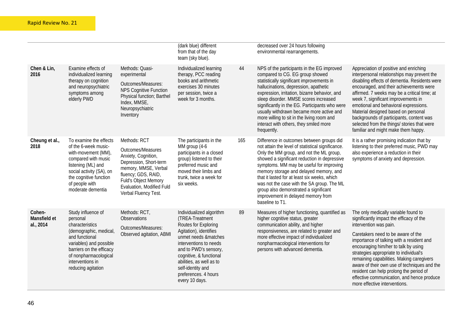|                                     |                                                                                                                                                                                                                         |                                                                                                                                                                                                                       | (dark blue) different<br>from that of the day<br>team (sky blue).                                                                                                                                                                                                                              |     | decreased over 24 hours following<br>environmental rearrangements.                                                                                                                                                                                                                                                                                                                                                                                                               |                                                                                                                                                                                                                                                                                                                                                                                                                                                                                                        |
|-------------------------------------|-------------------------------------------------------------------------------------------------------------------------------------------------------------------------------------------------------------------------|-----------------------------------------------------------------------------------------------------------------------------------------------------------------------------------------------------------------------|------------------------------------------------------------------------------------------------------------------------------------------------------------------------------------------------------------------------------------------------------------------------------------------------|-----|----------------------------------------------------------------------------------------------------------------------------------------------------------------------------------------------------------------------------------------------------------------------------------------------------------------------------------------------------------------------------------------------------------------------------------------------------------------------------------|--------------------------------------------------------------------------------------------------------------------------------------------------------------------------------------------------------------------------------------------------------------------------------------------------------------------------------------------------------------------------------------------------------------------------------------------------------------------------------------------------------|
| Chen & Lin,<br>2016                 | Examine effects of<br>individualized learning<br>therapy on cognition<br>and neuropsychiatric<br>symptoms among<br>elderly PWD                                                                                          | Methods: Quasi-<br>experimental<br>Outcomes/Measures:<br><b>NPS Cognitive Function</b><br>Physical function; Barthel<br>Index, MMSE,<br>Neuropsychiatric<br>Inventory                                                 | Individualized learning<br>therapy, PCC reading<br>books and arithmetic<br>exercises 30 minutes<br>per session, twice a<br>week for 3 months.                                                                                                                                                  | 44  | NPS of the participants in the EG improved<br>compared to CG. EG group showed<br>statistically significant improvements in<br>hallucinations, depression, apathetic<br>expression, irritation, bizarre behavior, and<br>sleep disorder. MMSE scores increased<br>significantly in the EG. Participants who were<br>usually withdrawn became more active and<br>more willing to sit in the living room and<br>interact with others, they smiled more<br>frequently.               | Appreciation of positive and enriching<br>interpersonal relationships may prevent the<br>disabling effects of dementia. Residents were<br>encouraged, and their achievements were<br>affirmed. 7 weeks may be a critical time; at<br>week 7, significant improvements in<br>emotional and behavioral expressions.<br>Material designed based on personal<br>backgrounds of participants, content was<br>selected from the things/ stories that were<br>familiar and might make them happy.             |
| Cheung et al.,<br>2018              | To examine the effects<br>of the 6-week music-<br>with-movement (MM),<br>compared with music<br>listening (ML) and<br>social activity (SA), on<br>the cognitive function<br>of people with<br>moderate dementia         | Methods: RCT<br>Outcomes/Measures<br>Anxiety, Cognition,<br>Depression, Short-term<br>memory, MMSE, Verbal<br>fluency; GDS, RAID,<br><b>Fuld's Object Memory</b><br>Evaluation, Modified Fuld<br>Verbal Fluency Test. | The participants in the<br>MM group (4-6<br>participants in a closed<br>group) listened to their<br>preferred music and<br>moved their limbs and<br>trunk, twice a week for<br>six weeks.                                                                                                      | 165 | Difference in outcomes between groups did<br>not attain the level of statistical significance.<br>Only the MM group, and not the ML group,<br>showed a significant reduction in depressive<br>symptoms. MM may be useful for improving<br>memory storage and delayed memory, and<br>that it lasted for at least six weeks, which<br>was not the case with the SA group. The ML<br>group also demonstrated a significant<br>improvement in delayed memory from<br>baseline to T1. | It is a rather promising indication that by<br>listening to their preferred music, PWD may<br>also experience a reduction in their<br>symptoms of anxiety and depression.                                                                                                                                                                                                                                                                                                                              |
| Cohen-<br>Mansfield et<br>al., 2014 | Study influence of<br>personal<br>characteristics<br>(demographic, medical,<br>and functional<br>variables) and possible<br>barriers on the efficacy<br>of nonpharmacological<br>interventions in<br>reducing agitation | Methods: RCT,<br>Observations<br>Outcomes/Measures:<br>Observed agitation, ABMI                                                                                                                                       | Individualized algorithm<br>(TREA-Treatment<br>Routes for Exploring<br>Agitation), identifies<br>unmet needs &matches<br>interventions to needs<br>and to PWD's sensory,<br>cognitive, & functional<br>abilities, as well as to<br>self-identity and<br>preferences. 4 hours<br>every 10 days. | 89  | Measures of higher functioning, quantified as<br>higher cognitive status, greater<br>communication ability, and higher<br>responsiveness, are related to greater and<br>more effective impact of individualized<br>nonpharmacological interventions for<br>persons with advanced dementia.                                                                                                                                                                                       | The only medically variable found to<br>significantly impact the efficacy of the<br>intervention was pain.<br>Caretakers need to be aware of the<br>importance of talking with a resident and<br>encouraging him/her to talk by using<br>strategies appropriate to individual's<br>remaining capabilities. Making caregivers<br>aware of their own use of techniques and the<br>resident can help prolong the period of<br>effective communication, and hence produce<br>more effective interventions. |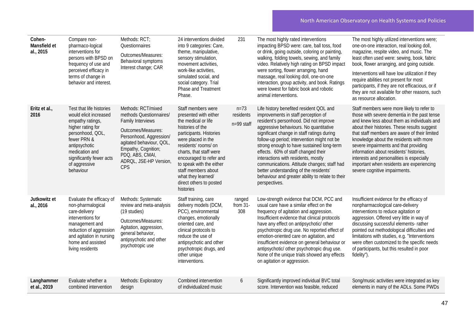| Cohen-<br>Mansfield et<br>al., 2015 | Compare non-<br>pharmaco-logical<br>interventions for<br>persons with BPSD on<br>frequency of use and<br>perceived efficacy in<br>terms of change in<br>behavior and interest.                                              | Methods: RCT;<br>Questionnaires<br>Outcomes/Measures:<br>Behavioral symptoms<br>Interest change; CAR                                                                                                                                     | 24 interventions divided<br>into 9 categories: Care,<br>theme, manipulative,<br>sensory stimulation,<br>movement activities,<br>work-like activities,<br>simulated social, and<br>social category. Trial<br>Phase and Treatment<br>Phase.                                                                                              | 231                                 | The most highly rated interventions<br>impacting BPSD were: care, ball toss, food<br>or drink, going outside, coloring or painting,<br>walking, folding towels, sewing, and family<br>video. Relatively high rating on BPSD impact<br>were sorting, flower arranging, hand<br>massage, real looking doll, one-on-one<br>interaction, group activity, and book. Ratings<br>were lowest for fabric book and robotic<br>animal interventions.                                                                                                               | The most highly utilized interventions were;<br>one-on-one interaction, real looking doll,<br>magazine, respite video, and music. The<br>least often used were: sewing, book, fabric<br>book, flower arranging, and going outside.<br>Interventions will have low utilization if they<br>require abilities not present for most<br>participants, if they are not efficacious, or if<br>they are not available for other reasons, such<br>as resource allocation.                                     |
|-------------------------------------|-----------------------------------------------------------------------------------------------------------------------------------------------------------------------------------------------------------------------------|------------------------------------------------------------------------------------------------------------------------------------------------------------------------------------------------------------------------------------------|----------------------------------------------------------------------------------------------------------------------------------------------------------------------------------------------------------------------------------------------------------------------------------------------------------------------------------------|-------------------------------------|----------------------------------------------------------------------------------------------------------------------------------------------------------------------------------------------------------------------------------------------------------------------------------------------------------------------------------------------------------------------------------------------------------------------------------------------------------------------------------------------------------------------------------------------------------|------------------------------------------------------------------------------------------------------------------------------------------------------------------------------------------------------------------------------------------------------------------------------------------------------------------------------------------------------------------------------------------------------------------------------------------------------------------------------------------------------|
| Eritz et al.,<br>2016               | Test that life histories<br>would elicit increased<br>empathy ratings,<br>higher rating for<br>personhood, QOL,<br>fewer PRN &<br>antipsychotic<br>medication and<br>significantly fewer acts<br>of aggressive<br>behaviour | Methods: RCT/mixed<br>methods Questionnaires/<br><b>Family Interviews</b><br>Outcomes/Measures:<br>Personhood, Aggression/<br>agitated behaviour, QOL,<br>Empathy, Cognition;<br>PDQ, ABS, CMAI,<br>ADROL, JSE-HP Version,<br><b>CPS</b> | Staff members were<br>presented with either<br>the medical or life<br>histories of the<br>participants. Histories<br>were placed in the<br>residents' rooms/ on<br>charts, that staff were<br>encouraged to refer and<br>to speak with the either<br>staff members about<br>what they learned/<br>direct others to posted<br>histories | $n = 73$<br>residents<br>n=99 staff | Life history benefited resident QOL and<br>improvements in staff perception of<br>resident's personhood. Did not improve<br>aggressive behaviours. No quantitative<br>significant change in staff ratings during<br>follow-up period; intervention might not be<br>strong enough to have sustained long-term<br>effects. 60% of staff changed their<br>interactions with residents, mostly<br>communications. Attitude changes; staff had<br>better understanding of the residents'<br>behaviour and greater ability to relate to their<br>perspectives. | Staff members were more likely to refer to<br>those with severe dementia in the past tense<br>and knew less about them as individuals and<br>about their histories. These results suggest<br>that staff members are aware of their limited<br>knowledge about the residents with more<br>severe impairments and that providing<br>information about residents' histories,<br>interests and personalities is especially<br>important when residents are experiencing<br>severe cognitive impairments. |
| Jutkowitz et<br>al., 2016           | Evaluate the efficacy of<br>non-pharmalogical<br>care-delivery<br>interventions for<br>management and<br>reduction of aggression<br>and agitation in nursing<br>home and assisted<br>living residents                       | Methods: Systematic<br>review and meta-analysis<br>(19 studies)<br>Outcomes/Measures:<br>Agitation, aggression,<br>general behavior,<br>antipsychotic and other<br>psychotropic use                                                      | Staff training, care<br>delivery models (DCM,<br>PCC), environmental<br>changes, emotionally<br>oriented care, and<br>clinical protocols to<br>reduce the use of<br>antipsychotic and other<br>psychotropic drugs, and<br>other unique<br>interventions.                                                                               | ranged<br>from 31-<br>308           | Low-strength evidence that DCM, PCC and<br>usual care have a similar effect on the<br>frequency of agitation and aggression.<br>Insufficient evidence that clinical protocols<br>have any effect on antipsychotic/ other<br>psychotropic drug use. No reported effect of<br>emotion-oriented care on agitation, and<br>insufficient evidence on general behaviour or<br>antipsychotic/ other psychotropic drug use.<br>None of the unique trials showed any effects<br>on agitation or aggression.                                                       | Insufficient evidence for the efficacy of<br>nonpharmacological care-delivery<br>interventions to reduce agitation or<br>aggression. Offered very little in way of<br>discussing successful elements-rather<br>pointed out methodological difficulties and<br>limitations with studies, e.g. "Interventions<br>were often customized to the specific needs<br>of participants, but this resulted in poor<br>fidelity").                                                                              |
| Langhammer<br>et al., 2019          | Evaluate whether a<br>combined intervention                                                                                                                                                                                 | Methods: Exploratory<br>design                                                                                                                                                                                                           | Combined intervention<br>of individualized music                                                                                                                                                                                                                                                                                       | 6                                   | Significantly improved individual BVC total<br>score. Intervention was feasible, reduced                                                                                                                                                                                                                                                                                                                                                                                                                                                                 | Song/music activities were integrated as key<br>elements in many of the ADLs. Some PWDs                                                                                                                                                                                                                                                                                                                                                                                                              |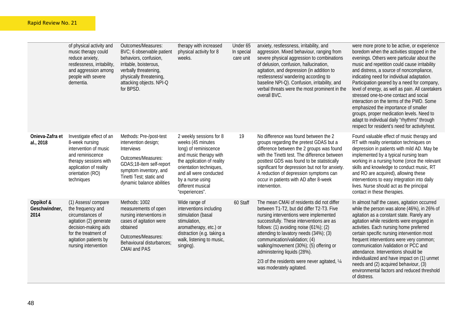|                                    | of physical activity and<br>music therapy could<br>reduce anxiety,<br>restlessness, irritability,<br>and aggression among<br>people with severe<br>dementia.                           | Outcomes/Measures:<br>BVC; 6 observable patient<br>behaviors, confusion,<br>irritable, boisterous,<br>verbally threatening,<br>physically threatening,<br>attacking objects. NPI-Q<br>for BPSD.           | therapy with increased<br>physical activity for 8<br>weeks.                                                                                                                                                                                   | Under 65<br>In special<br>care unit | anxiety, restlessness, irritability, and<br>aggression. Mixed behaviour, ranging from<br>severe physical aggression to combinations<br>of delusion, confusion, hallucination,<br>agitation, and depression (in addition to<br>restlessness/ wandering according to<br>baseline NPI-Q). Confusion, irritability, and<br>verbal threats were the most prominent in the<br>overall BVC.                                                                              | were more prone to be active, or experience<br>boredom when the activities stopped in the<br>evenings. Others were particular about the<br>music and repetition could cause irritability<br>and distress, a source of noncompliance,<br>indicating need for individual adaptation.<br>Participation geared by a need for company,<br>level of energy, as well as pain. All caretakers<br>stressed one-to-one contact and social<br>interaction on the terms of the PWD. Some<br>emphasized the importance of smaller<br>groups, proper medication levels. Need to<br>adapt to individual daily "rhythms" through<br>respect for resident's need for activity/rest. |
|------------------------------------|----------------------------------------------------------------------------------------------------------------------------------------------------------------------------------------|-----------------------------------------------------------------------------------------------------------------------------------------------------------------------------------------------------------|-----------------------------------------------------------------------------------------------------------------------------------------------------------------------------------------------------------------------------------------------|-------------------------------------|-------------------------------------------------------------------------------------------------------------------------------------------------------------------------------------------------------------------------------------------------------------------------------------------------------------------------------------------------------------------------------------------------------------------------------------------------------------------|--------------------------------------------------------------------------------------------------------------------------------------------------------------------------------------------------------------------------------------------------------------------------------------------------------------------------------------------------------------------------------------------------------------------------------------------------------------------------------------------------------------------------------------------------------------------------------------------------------------------------------------------------------------------|
| Onieva-Zafra et<br>al., 2018       | Investigate effect of an<br>8-week nursing<br>intervention of music<br>and reminiscence<br>therapy sessions with<br>application of reality<br>orientation (RO)<br>techniques           | Methods: Pre-/post-test<br>intervention design;<br><b>Interviews</b><br>Outcomes/Measures:<br>GDAS;18-item self-report<br>symptom inventory, and<br>Tinetti Test; static and<br>dynamic balance abilities | 2 weekly sessions for 8<br>weeks (45 minutes<br>long) of reminiscence<br>and music therapy with<br>the application of reality<br>orientation techniques,<br>and all were conducted<br>by a nurse using<br>different musical<br>"experiences". | 19                                  | No difference was found between the 2<br>groups regarding the pretest GDAS but a<br>difference between the 2 groups was found<br>with the Tinetti test. The difference between<br>posttest GDS was found to be statistically<br>significant for depression but not for anxiety.<br>A reduction of depression symptoms can<br>occur in patients with AD after 8-week<br>intervention.                                                                              | Found valuable effect of music therapy and<br>RT with reality orientation techniques on<br>depression in patients with mild AD. May be<br>implemented by a typical nursing team<br>working in a nursing home (once the relevant<br>skills and knowledge to conduct music, RT<br>and RO are acquired), allowing these<br>interventions to easy integration into daily<br>lives. Nurse should act as the principal<br>contact in these therapies.                                                                                                                                                                                                                    |
| Oppikof &<br>Geschwindner,<br>2014 | (1) Assess/compare<br>the frequency and<br>circumstances of<br>agitation (2) generate<br>decision-making aids<br>for the treatment of<br>agitation patients by<br>nursing intervention | Methods: 1002<br>measurements of open<br>nursing interventions in<br>cases of agitation were<br>obtained<br>Outcomes/Measures:<br>Behavioural disturbances;<br><b>CMAI and PAS</b>                        | Wide range of<br>interventions including<br>stimulation (basal<br>stimulation,<br>aromatherapy, etc.) or<br>distraction (e.g. taking a<br>walk, listening to music,<br>singing).                                                              | 60 Staff                            | The mean CMAI of residents did not differ<br>between T1-T2, but did differ T2-T3. Five<br>nursing interventions were implemented<br>successfully. These interventions are as<br>follows: $(1)$ avoiding noise $(61\%)$ ; $(2)$<br>attending to lavatory needs (34%); (3)<br>communication/validation; (4)<br>walking/movement (30%); (5) offering or<br>administering liquids (28%).<br>2/3 of the residents were never agitated, 1/4<br>was moderately agitated. | In almost half the cases, agitation occurred<br>while the person was alone (46%), in 26% of<br>agitation as a constant state. Rarely any<br>agitation while residents were engaged in<br>activities. Each nursing home preferred<br>certain specific nursing intervention most<br>frequent interventions were very common;<br>communication /validation or PCC and<br>attendance. Interventions should be<br>individualized and have impact on (1) unmet<br>needs and (2) acquired behaviour, (3)<br>environmental factors and reduced threshold<br>of distress.                                                                                                   |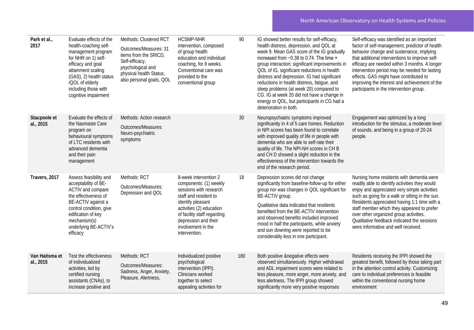| Park et al.,<br>2017        | Evaluate effects of the<br>health-coaching self-<br>management program<br>for NHR on 1) self-<br>efficacy and goal<br>attainment scaling<br>(GAS), 2) health status<br>/QOL of elderly<br>including those with<br>cognitive impairment | Methods: Clustered RCT<br>Outcomes/Measures: 31<br>items from the SRICD,<br>Self-efficacy,<br>psychological and<br>physical health Status,<br>also personal goals, QOL | <b>HCSMP-NHR</b><br>intervention, composed<br>of group health<br>education and individual<br>coaching, for 8 weeks.<br>Conventional care was<br>provided to the<br>conventional group                                                             | 90  | IG showed better results for self-efficacy,<br>health distress, depression, and QOL at<br>week 9. Mean GAS score of the IG gradually<br>increased from -0.38 to 0.74. The time ×<br>group interaction; significant improvements in<br>QOL of IG, significant reductions in health<br>distress and depression. IG had significant<br>reductions in health distress, fatigue, and<br>sleep problems (at week 20) compared to<br>CG. IG at week 20 did not have a change in<br>energy or QOL, but participants in CG had a<br>deterioration in both. | Self-efficacy was identified as an important<br>factor of self-management, predictor of health<br>behavior change and sustenance, implying<br>that additional interventions to improve self-<br>efficacy are needed within 3 months. A longer<br>intervention period may be needed for lasting<br>effects. GAS might have contributed to<br>improving the interest and achievement of the<br>participants in the intervention group. |
|-----------------------------|----------------------------------------------------------------------------------------------------------------------------------------------------------------------------------------------------------------------------------------|------------------------------------------------------------------------------------------------------------------------------------------------------------------------|---------------------------------------------------------------------------------------------------------------------------------------------------------------------------------------------------------------------------------------------------|-----|---------------------------------------------------------------------------------------------------------------------------------------------------------------------------------------------------------------------------------------------------------------------------------------------------------------------------------------------------------------------------------------------------------------------------------------------------------------------------------------------------------------------------------------------------|--------------------------------------------------------------------------------------------------------------------------------------------------------------------------------------------------------------------------------------------------------------------------------------------------------------------------------------------------------------------------------------------------------------------------------------|
| Stacpoole et<br>al., 2015   | Evaluate the effects of<br>the Nasmaste Care<br>program on<br>behavioural symptoms<br>of LTC residents with<br>advanced dementia<br>and their pain<br>management                                                                       | Methods: Action research<br>Outcomes/Measures:<br>Neuro-psychiatric<br>symptoms                                                                                        |                                                                                                                                                                                                                                                   | 30  | Neuropsychiatric symptoms improved<br>significantly in 4 of 5 care homes. Reduction<br>in NPI scores has been found to correlate<br>with improved quality of life in people with<br>dementia who are able to self-rate their<br>quality of life. The NPI-NH scores in CH B<br>and CH D showed a slight reduction in the<br>effectiveness of the intervention towards the<br>end of the research period.                                                                                                                                           | Engagement was optimized by a long<br>introduction for the stimulus, a moderate level<br>of sounds, and being in a group of 20-24<br>people.                                                                                                                                                                                                                                                                                         |
| Travers, 2017               | Assess feasibility and<br>acceptability of BE-<br>ACTIV and compare<br>the effectiveness of<br>BE-ACTIV against a<br>control condition, give<br>edification of key<br>mechanism(s)<br>underlying BE-ACTIV's<br>efficacy                | Methods: RCT<br>Outcomes/Measures:<br>Depression and QOL                                                                                                               | 8-week intervention 2<br>components: (1) weekly<br>sessions with research<br>staff and resident to<br>identify pleasant<br>activities (2) education<br>of facility staff regarding<br>depression and their<br>involvement in the<br>intervention. | 18  | Depression scores did not change<br>significantly from baseline-follow-up for either<br>group nor was changes in QOL significant for<br>BE-ACTIV group.<br>Qualitative data indicated that residents<br>benefited from the BE-ACTIV intervention<br>and observed benefits included improved<br>mood in half the participants, while anxiety<br>and sun downing were reported to be<br>considerably less in one participant.                                                                                                                       | Nursing home residents with dementia were<br>readily able to identify activities they would<br>enjoy and appreciated very simple activities<br>such as going for a walk or sitting in the sun.<br>Residents appreciated having 1:1 time with a<br>staff member which they appeared to prefer<br>over other organized group activities.<br>Qualitative feedback indicated the sessions<br>were informative and well received.         |
| Van Haitsma et<br>al., 2015 | Test the effectiveness<br>of individualized<br>activities, led by<br>certified nursing<br>assistants (CNAs), to<br>increase positive and                                                                                               | Methods: RCT<br>Outcomes/Measures:<br>Sadness, Anger, Anxiety,<br>Pleasure, Alertness,                                                                                 | Individualized positive<br>psychological<br>intervention (IPPI).<br>Clinicians worked<br>together to select<br>appealing activities for                                                                                                           | 180 | Both positive &negative effects were<br>observed simultaneously. Higher withdrawal<br>and ADL impairment scores were related to<br>less pleasure, more anger, more anxiety, and<br>less alertness. The IPPI group showed<br>significantly more very positive responses                                                                                                                                                                                                                                                                            | Residents receiving the IPPI showed the<br>greatest benefit, followed by those taking part<br>in the attention control activity. Customizing<br>care to individual preferences is feasible<br>within the conventional nursing home<br>environment                                                                                                                                                                                    |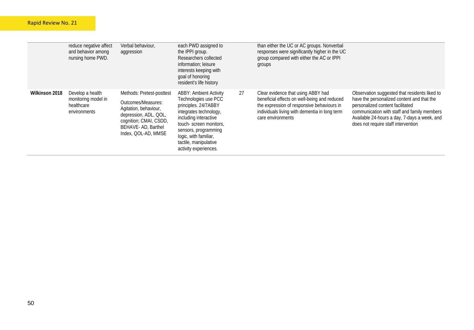|                | reduce negative affect<br>and behavior among<br>nursing home PWD.     | Verbal behaviour,<br>aggression                                                                                                                                          | each PWD assigned to<br>the IPPI group.<br>Researchers collected<br>information; leisure<br>interests keeping with<br>goal of honoring<br>resident's life history                                                                                             |    | than either the UC or AC groups. Nonverbal<br>responses were significantly higher in the UC<br>group compared with either the AC or IPPI<br>groups                                                     |                                                                                                                                                                                                                                                                       |
|----------------|-----------------------------------------------------------------------|--------------------------------------------------------------------------------------------------------------------------------------------------------------------------|---------------------------------------------------------------------------------------------------------------------------------------------------------------------------------------------------------------------------------------------------------------|----|--------------------------------------------------------------------------------------------------------------------------------------------------------------------------------------------------------|-----------------------------------------------------------------------------------------------------------------------------------------------------------------------------------------------------------------------------------------------------------------------|
| Wilkinson 2018 | Develop a health<br>monitoring model in<br>healthcare<br>environments | Methods: Pretest-posttest<br>Outcomes/Measures:<br>Agitation, behaviour,<br>depression, ADL, QOL,<br>cognition; CMAI, CSDD,<br>BEHAVE-AD, Barthel<br>Index, QOL-AD, MMSE | <b>ABBY: Ambient Activity</b><br>Technologies use PCC<br>principles. 24/7ABBY<br>integrates technology,<br>including interactive<br>touch-screen monitors,<br>sensors, programming<br>logic, with familiar,<br>tactile, manipulative<br>activity experiences. | 27 | Clear evidence that using ABBY had<br>beneficial effects on well-being and reduced<br>the expression of responsive behaviours in<br>individuals living with dementia in long term<br>care environments | Observation suggested that residents liked to<br>have the personalized content and that the<br>personalized content facilitated<br>communication with staff and family members<br>Available 24-hours a day, 7-days a week, and<br>does not require staff intervention |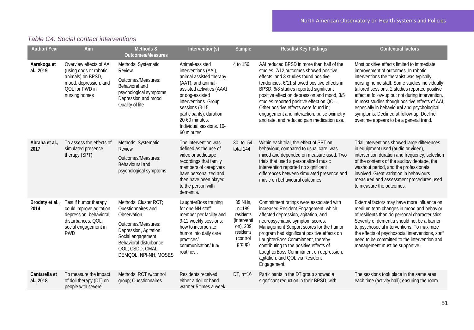| Table C4. Social contact interventions |  |  |
|----------------------------------------|--|--|
|                                        |  |  |

| <b>Author/ Year</b>        | Aim                                                                                                                                     | Methods &<br><b>Outcomes/Measures</b>                                                                                                                                                                  | Intervention(s)                                                                                                                                                                                                                                                            | Sample                                                                                          | Results/Key Findings                                                                                                                                                                                                                                                                                                                                                                                                                                  | <b>Contextual factors</b>                                                                                                                                                                                                                                                                                                                                                                                                                                                      |
|----------------------------|-----------------------------------------------------------------------------------------------------------------------------------------|--------------------------------------------------------------------------------------------------------------------------------------------------------------------------------------------------------|----------------------------------------------------------------------------------------------------------------------------------------------------------------------------------------------------------------------------------------------------------------------------|-------------------------------------------------------------------------------------------------|-------------------------------------------------------------------------------------------------------------------------------------------------------------------------------------------------------------------------------------------------------------------------------------------------------------------------------------------------------------------------------------------------------------------------------------------------------|--------------------------------------------------------------------------------------------------------------------------------------------------------------------------------------------------------------------------------------------------------------------------------------------------------------------------------------------------------------------------------------------------------------------------------------------------------------------------------|
| Aarskoga et<br>al., 2019   | Overview effects of AAI<br>(using dogs or robotic<br>animals) on BPSD,<br>mood, depression, and<br>QOL for PWD in<br>nursing homes      | Methods: Systematic<br>Review<br>Outcomes/Measures:<br>Behavioral and<br>psychological symptoms<br>Depression and mood<br>Quality of life                                                              | Animal-assisted<br>interventions (AAI),<br>animal assisted therapy<br>(AAT), and animal-<br>assisted activities (AAA)<br>or dog-assisted<br>interventions. Group<br>sessions (3-15<br>participants), duration<br>20-60 minutes.<br>Individual sessions. 10-<br>60 minutes. | 4 to 156                                                                                        | AAI reduced BPSD in more than half of the<br>studies. 7/12 outcomes showed positive<br>effects, and 3 studies found positive<br>tendencies. 6/11 showed positive effects in<br>BPSD. 6/8 studies reported significant<br>positive effect on depression and mood, 3/5<br>studies reported positive effect on QOL.<br>Other positive effects were found in;<br>engagement and interaction, pulse oximetry<br>and rate, and reduced pain medication use. | Most positive effects limited to immediate<br>improvement of outcomes. In robotic<br>interventions the therapist was typically<br>nursing home staff. Some studies individually<br>tailored sessions. 2 studies reported positive<br>effect at follow-up but not during intervention.<br>In most studies though positive effects of AAI,<br>especially in behavioural and psychological<br>symptoms. Declined at follow-up. Decline<br>overtime appears to be a general trend. |
| Abraha et al.,<br>2017     | To assess the effects of<br>simulated presence<br>therapy (SPT)                                                                         | Methods: Systematic<br><b>Review</b><br>Outcomes/Measures:<br>Behavioural and<br>psychological symptoms                                                                                                | The intervention was<br>defined as the use of<br>video or audiotape<br>recordings that family<br>members of caregivers<br>have personalized and<br>then have been played<br>to the person with<br>dementia.                                                                | 30 to 54,<br>total 144                                                                          | Within each trial, the effect of SPT on<br>behaviour, compared to usual care, was<br>mixed and depended on measure used. Two<br>trials that used a personalized music<br>intervention reported no significant<br>differences between simulated presence and<br>music on behavioural outcomes.                                                                                                                                                         | Trial interventions showed large differences<br>in equipment used (audio or video),<br>intervention duration and frequency, selection<br>of the contents of the audio/videotape, the<br>washout period, and the professionals<br>involved. Great variation in behaviours<br>measured and assessment procedures used<br>to measure the outcomes.                                                                                                                                |
| Brodaty et al.,<br>2014    | Test if humor therapy<br>could improve agitation,<br>depression, behavioral<br>disturbances, QOL,<br>social engagement in<br><b>PWD</b> | Methods: Cluster RCT;<br>Questionnaires and<br>Observation<br>Outcomes/Measures:<br>Depression, Agitation,<br>Social engagement<br>Behavioral disturbance<br>QOL; CSDD, CMAI,<br>DEMOOL, NPI-NH, MOSES | LaughterBoss training<br>for one NH staff<br>member per facility and<br>9-12 weekly sessions;<br>how to incorporate<br>humor into daily care<br>practices/<br>communication/ fun/<br>routines                                                                              | 35 NHs,<br>$n = 189$<br>residents<br>(interventi<br>on), 209<br>residents<br>(control<br>group) | Commitment ratings were associated with<br>increased Resident Engagement, which<br>affected depression, agitation, and<br>neuropsychiatric symptom scores.<br>Management Support scores for the humor<br>program had significant positive effects on<br>LaughterBoss Commitment, thereby<br>contributing to the positive effects of<br>LaughterBoss Commitment on depression,<br>agitation, and QOL via Resident<br>Engagement.                       | External factors may have more influence on<br>medium term changes in mood and behavior<br>of residents than do personal characteristics.<br>Severity of dementia should not be a barrier<br>to psychosocial interventions. To maximize<br>the effects of psychosocial interventions, staff<br>need to be committed to the intervention and<br>management must be supportive.                                                                                                  |
| Cantarella et<br>al., 2018 | To measure the impact<br>of doll therapy (DT) on<br>people with severe                                                                  | Methods: RCT w/control<br>group; Questionnaires                                                                                                                                                        | Residents received<br>either a doll or hand<br>warmer 5 times a week                                                                                                                                                                                                       | $DT, n=16$                                                                                      | Participants in the DT group showed a<br>significant reduction in their BPSD, with                                                                                                                                                                                                                                                                                                                                                                    | The sessions took place in the same area<br>each time (activity hall); ensuring the room                                                                                                                                                                                                                                                                                                                                                                                       |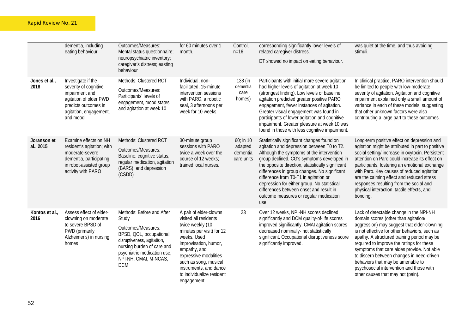|                          | dementia, including<br>eating behaviour                                                                                                               | Outcomes/Measures:<br>Mental status questionnaire;<br>neuropsychiatric inventory;<br>caregiver's distress; easting<br>behaviour                                                                                       | for 60 minutes over 1<br>month.                                                                                                                                                                                                                                                  | Control,<br>$n = 16$                             | corresponding significantly lower levels of<br>related caregiver distress.<br>DT showed no impact on eating behaviour.                                                                                                                                                                                                                                                                                                                                                        | was quiet at the time, and thus avoiding<br>stimuli.                                                                                                                                                                                                                                                                                                                                                                                                                                         |
|--------------------------|-------------------------------------------------------------------------------------------------------------------------------------------------------|-----------------------------------------------------------------------------------------------------------------------------------------------------------------------------------------------------------------------|----------------------------------------------------------------------------------------------------------------------------------------------------------------------------------------------------------------------------------------------------------------------------------|--------------------------------------------------|-------------------------------------------------------------------------------------------------------------------------------------------------------------------------------------------------------------------------------------------------------------------------------------------------------------------------------------------------------------------------------------------------------------------------------------------------------------------------------|----------------------------------------------------------------------------------------------------------------------------------------------------------------------------------------------------------------------------------------------------------------------------------------------------------------------------------------------------------------------------------------------------------------------------------------------------------------------------------------------|
| Jones et al.,<br>2018    | Investigate if the<br>severity of cognitive<br>impairment and<br>agitation of older PWD<br>predicts outcomes in<br>agitation, engagement,<br>and mood | Methods: Clustered RCT<br>Outcomes/Measures:<br>Participants' levels of<br>engagement, mood states,<br>and agitation at week 10                                                                                       | Individual, non-<br>facilitated, 15-minute<br>intervention sessions<br>with PARO, a robotic<br>seal, 3 afternoons per<br>week for 10 weeks.                                                                                                                                      | 138 (in<br>dementia<br>care<br>homes)            | Participants with initial more severe agitation<br>had higher levels of agitation at week 10<br>(strongest finding). Low levels of baseline<br>agitation predicted greater positive PARO<br>engagement, fewer instances of agitation.<br>Greater visual engagement was found in<br>participants of lower agitation and cognitive<br>impairment. Greater pleasure at week 10 was<br>found in those with less cognitive impairment.                                             | In clinical practice, PARO intervention should<br>be limited to people with low-moderate<br>severity of agitation. Agitation and cognitive<br>impairment explained only a small amount of<br>variance in each of these models, suggesting<br>that other unknown factors were also<br>contributing a large part to these outcomes.                                                                                                                                                            |
| Joranson et<br>al., 2015 | Examine effects on NH<br>resident's agitation; with<br>moderate-severe<br>dementia, participating<br>in robot-assisted group<br>activity with PARO    | Methods: Clustered RCT<br>Outcomes/Measures:<br>Baseline: cognitive status,<br>regular medication, agitation<br>(BARS), and depression<br>(CSDD)                                                                      | 30-minute group<br>sessions with PARO<br>twice a week over the<br>course of 12 weeks;<br>trained local nurses.                                                                                                                                                                   | $60;$ in 10<br>adapted<br>dementia<br>care units | Statistically significant changes found on<br>agitation and depression between T0 to T2.<br>Although the symptoms of the intervention<br>group declined, CG's symptoms developed in<br>the opposite direction, statistically significant<br>differences in group changes. No significant<br>difference from T0-T1 in agitation or<br>depression for either group. No statistical<br>differences between onset and result in<br>outcome measures or regular medication<br>use. | Long-term positive effect on depression and<br>agitation might be attributed in part to positive<br>social setting/ increase in oxytocin. Persistent<br>attention on Paro could increase its effect on<br>participants, fostering an emotional exchange<br>with Paro. Key causes of reduced agitation<br>are the calming effect and reduced stress<br>responses resulting from the social and<br>physical interaction, tactile effects, and<br>bonding.                                      |
| Kontos et al.,<br>2016   | Assess effect of elder-<br>clowning on moderate<br>to severe BPSD of<br>PWD (primarily<br>Alzheimer's) in nursing<br>homes                            | Methods: Before and After<br>Study<br>Outcomes/Measures:<br>BPSD, QOL, occupational<br>disruptiveness, agitation,<br>nursing burden of care and<br>psychiatric medication use;<br>NPI-NH, CMAI, M-NCAS,<br><b>DCM</b> | A pair of elder-clowns<br>visited all residents<br>twice weekly (10<br>minutes per visit) for 12<br>weeks. Used<br>improvisation, humor,<br>empathy, and<br>expressive modalities<br>such as song, musical<br>instruments, and dance<br>to individualize resident<br>engagement. | 23                                               | Over 12 weeks, NPI-NH scores declined<br>significantly and DCM quality-of-life scores<br>improved significantly. CMAI agitation scores<br>decreased nominally- not statistically<br>significant. Occupational disruptiveness score<br>significantly improved.                                                                                                                                                                                                                 | Lack of detectable change in the NPI-NH<br>domain scores (other than agitation/<br>aggression) may suggest that elder-clowning<br>is not effective for other behaviors, such as<br>apathy. A structured training period may be<br>required to improve the ratings for these<br>symptoms that care aides provide. Not able<br>to discern between changes in need-driven<br>behaviors that may be amenable to<br>psychosocial intervention and those with<br>other causes that may not (pain). |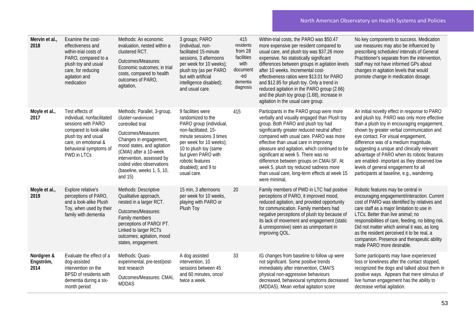| Mervin et al.,<br>2018          | Examine the cost-<br>effectiveness and<br>within-trial costs of<br>PARO, compared to a<br>plush toy and usual<br>care, for reducing<br>agitation and<br>medication                    | Methods: An economic<br>evaluation, nested within a<br>clustered RCT.<br>Outcomes/Measures:<br>Economic outcomes; in trial<br>costs, compared to health<br>outcomes of PARO,<br>agitation,                                                                                      | 3 groups; PARO<br>(individual, non-<br>facilitated 15-minute<br>sessions, 3 afternoons<br>per week for 10 weeks);<br>plush toy (as per PARO<br>but with artificial<br>intelligence disabled);<br>and usual care.                                          | 415<br>residents<br>from 28<br>facilities<br>with<br>document<br>-ed<br>dementia<br>diagnosis | Within-trial costs, the PARO was \$50.47<br>more expensive per resident compared to<br>usual care, and plush toy was \$37.26 more<br>expensive. No statistically significant<br>differences between groups in agitation levels<br>after 10 weeks. Incremental cost-<br>effectiveness ratios were \$13.01 for PARO<br>and \$12.85 for plush toy. Only a trend in<br>reduced agitation in the PARO group (2.66)<br>and the plush toy group (1.68), increase in<br>agitation in the usual care group.                  | No key components to success. Medication<br>use measures may also be influenced by<br>prescribing schedules/ intervals of General<br>Practitioner's separate from the intervention,<br>staff may not have informed GPs about<br>changes in agitation levels that would<br>promote change in medication dosage.                                                                                                                                                                                              |
|---------------------------------|---------------------------------------------------------------------------------------------------------------------------------------------------------------------------------------|---------------------------------------------------------------------------------------------------------------------------------------------------------------------------------------------------------------------------------------------------------------------------------|-----------------------------------------------------------------------------------------------------------------------------------------------------------------------------------------------------------------------------------------------------------|-----------------------------------------------------------------------------------------------|---------------------------------------------------------------------------------------------------------------------------------------------------------------------------------------------------------------------------------------------------------------------------------------------------------------------------------------------------------------------------------------------------------------------------------------------------------------------------------------------------------------------|-------------------------------------------------------------------------------------------------------------------------------------------------------------------------------------------------------------------------------------------------------------------------------------------------------------------------------------------------------------------------------------------------------------------------------------------------------------------------------------------------------------|
| Moyle et al.,<br>2017           | Test effects of<br>individual, nonfacilitated<br>sessions with PARO<br>compared to look-alike<br>plush toy and usual<br>care, on emotional &<br>behavioral symptoms of<br>PWD in LTCs | Methods: Parallel, 3-group,<br>cluster-randomized<br>controlled trial<br>Outcomes/Measures:<br>Changes in engagement,<br>mood states, and agitation<br>(CMAI) after a 10-week<br>intervention, assessed by<br>coded video observations<br>(baseline, weeks 1, 5, 10,<br>and 15) | 9 facilities were<br>randomized to the<br>PARO group (individual,<br>non-facilitated, 15-<br>minute sessions 3 times<br>per week for 10 weeks);<br>10 to plush toy (same<br>but given PARO with<br>robotic features<br>disabled); and 9 to<br>usual care. | 415                                                                                           | Participants in the PARO group were more<br>verbally and visually engaged than Plush toy<br>group. Both PARO and plush toy had<br>significantly greater reduced neutral affect<br>compared with usual care. PARO was more<br>effective than usual care in improving<br>pleasure and agitation, which continued to be<br>significant at week 5. There was no<br>difference between groups on CMAI-SF. At<br>week 5, plush toy reduced sadness more<br>than usual care, long-term effects at week 15<br>were minimal, | An initial novelty effect in response to PARO<br>and plush toy. PARO was only more effective<br>than a plush toy in encouraging engagement,<br>shown by greater verbal communication and<br>eye contact. For visual engagement,<br>difference was of a medium magnitude,<br>suggesting a unique and clinically relevant<br>advantage of PARO when its robotic features<br>are enabled- important as they observed low<br>levels of general engagement for all<br>participants at baseline, e.g., wandering. |
| Moyle et al.,<br>2019           | Explore relative's<br>perceptions of PARO,<br>and a look-alike Plush<br>Toy, when used by their<br>family with dementia                                                               | Methods: Descriptive<br>Qualitative approach,<br>nested in a larger RCT.<br>Outcomes/Measures:<br>Family members<br>perceptions of PARO/ PT.<br>Linked to larger RCTs<br>outcomes; agitation, mood<br>states, engagement.                                                       | 15 min, 3 afternoons<br>per week for 10 weeks,<br>playing with PARO or<br>Plush Toy                                                                                                                                                                       | 20                                                                                            | Family members of PWD in LTC had positive<br>perceptions of PARO, it improved mood,<br>reduced agitation, and provided opportunity<br>for communication. Family members had<br>negative perceptions of plush toy because of<br>its lack of movement and engagement (static<br>& unresponsive) seen as unimportant in<br>improving QOL.                                                                                                                                                                              | Robotic features may be central in<br>encouraging engagement/interaction. Current<br>cost of PARO was identified by relatives and<br>care staff as a major limitation to use in<br>LTCs. Better than live animal; no<br>responsibilities of care, feeding, no biting risk.<br>Did not matter which animal it was, as long<br>as the resident perceived it to be real, a<br>companion. Presence and therapeutic ability<br>made PARO more desirable.                                                         |
| Nordgren &<br>Engström,<br>2014 | Evaluate the effect of a<br>dog-assisted<br>intervention on the<br>BPSD of residents with<br>dementia during a six-<br>month period                                                   | Methods: Quasi-<br>experimental, pre-test/post-<br>test research<br>Outcomes/Measures: CMAI,<br><b>MDDAS</b>                                                                                                                                                                    | A dog assisted<br>intervention, 10<br>sessions between 45<br>and 60 minutes, once/<br>twice a week.                                                                                                                                                       | 33                                                                                            | IG changes from baseline to follow up were<br>not significant. Some positive trends<br>immediately after intervention, CMAI'S<br>physical non-aggressive behaviours<br>decreased, behavioural symptoms decreased<br>(MDDAS). Mean verbal agitation score                                                                                                                                                                                                                                                            | Some participants may have experienced<br>loss or loneliness after the contact stopped,<br>recognized the dogs and talked about them in<br>positive ways. Appears that mere stimulus of<br>live human engagement has the ability to<br>decrease verbal agitation.                                                                                                                                                                                                                                           |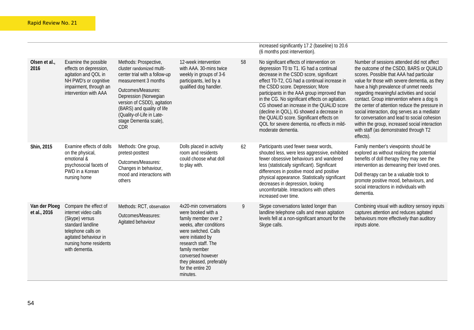|                               |                                                                                                                                                                                 |                                                                                                                                                                                                                                                                                              |                                                                                                                                                                                                                                                                        |    | increased significantly 17.2 (baseline) to 20.6<br>(6 months post intervention).                                                                                                                                                                                                                                                                                                                                                                                                                                                  |                                                                                                                                                                                                                                                                                                                                                                                                                                                                                                                                                                                    |
|-------------------------------|---------------------------------------------------------------------------------------------------------------------------------------------------------------------------------|----------------------------------------------------------------------------------------------------------------------------------------------------------------------------------------------------------------------------------------------------------------------------------------------|------------------------------------------------------------------------------------------------------------------------------------------------------------------------------------------------------------------------------------------------------------------------|----|-----------------------------------------------------------------------------------------------------------------------------------------------------------------------------------------------------------------------------------------------------------------------------------------------------------------------------------------------------------------------------------------------------------------------------------------------------------------------------------------------------------------------------------|------------------------------------------------------------------------------------------------------------------------------------------------------------------------------------------------------------------------------------------------------------------------------------------------------------------------------------------------------------------------------------------------------------------------------------------------------------------------------------------------------------------------------------------------------------------------------------|
| Olsen et al.,<br>2016         | Examine the possible<br>effects on depression,<br>agitation and QOL in<br>NH PWD's or cognitive<br>impairment, through an<br>intervention with AAA                              | Methods: Prospective,<br>cluster randomized multi-<br>center trial with a follow-up<br>measurement 3 months<br>Outcomes/Measures:<br>Depression (Norwegian<br>version of CSDD), agitation<br>(BARS) and quality of life<br>(Quality-of-Life in Late-<br>stage Dementia scale),<br><b>CDR</b> | 12-week intervention<br>with AAA. 30-mins twice<br>weekly in groups of 3-6<br>participants, led by a<br>qualified dog handler.                                                                                                                                         | 58 | No significant effects of intervention on<br>depression T0 to T1. IG had a continual<br>decrease in the CSDD score, significant<br>effect T0-T2, CG had a continual increase in<br>the CSDD score. Depression; More<br>participants in the AAA group improved than<br>in the CG. No significant effects on agitation.<br>CG showed an increase in the QUALID score<br>(decline in QOL), IG showed a decrease in<br>the QUALID score. Significant effects on<br>QOL for severe dementia, no effects in mild-<br>moderate dementia. | Number of sessions attended did not affect<br>the outcome of the CSDD, BARS or QUALID<br>scores. Possible that AAA had particular<br>value for those with severe dementia, as they<br>have a high prevalence of unmet needs<br>regarding meaningful activities and social<br>contact. Group intervention where a dog is<br>the center of attention reduce the pressure in<br>social interaction, dog serves as a mediator<br>for conversation and lead to social cohesion<br>within the group, increased social interaction<br>with staff (as demonstrated through T2<br>effects). |
| Shin, 2015                    | Examine effects of dolls<br>on the physical,<br>emotional &<br>psychosocial facets of<br>PWD in a Korean<br>nursing home                                                        | Methods: One group,<br>pretest-posttest<br>Outcomes/Measures:<br>Changes in behaviour,<br>mood and interactions with<br>others                                                                                                                                                               | Dolls placed in activity<br>room and residents<br>could choose what doll<br>to play with.                                                                                                                                                                              | 62 | Participants used fewer swear words,<br>shouted less, were less aggressive, exhibited<br>fewer obsessive behaviours and wandered<br>less (statistically significant). Significant<br>differences in positive mood and positive<br>physical appearance. Statistically significant<br>decreases in depression, looking<br>uncomfortable. Interactions with others<br>increased over time.                                                                                                                                           | Family member's viewpoints should be<br>explored as without realizing the potential<br>benefits of doll therapy they may see the<br>intervention as demeaning their loved ones.<br>Doll therapy can be a valuable took to<br>promote positive mood, behaviours, and<br>social interactions in individuals with<br>dementia.                                                                                                                                                                                                                                                        |
| Van der Ploeg<br>et al., 2016 | Compare the effect of<br>internet video calls<br>(Skype) versus<br>standard landline<br>telephone calls on<br>agitated behaviour in<br>nursing home residents<br>with dementia. | Methods: RCT, observation<br>Outcomes/Measures:<br>Agitated behaviour                                                                                                                                                                                                                        | 4x20-min conversations<br>were booked with a<br>family member over 2<br>weeks, after conditions<br>were switched. Calls<br>were initiated by<br>research staff. The<br>family member<br>conversed however<br>they pleased, preferably<br>for the entire 20<br>minutes. | 9  | Skype conversations lasted longer than<br>landline telephone calls and mean agitation<br>levels fell at a non-significant amount for the<br>Skype calls.                                                                                                                                                                                                                                                                                                                                                                          | Combining visual with auditory sensory inputs<br>captures attention and reduces agitated<br>behaviours more effectively than auditory<br>inputs alone.                                                                                                                                                                                                                                                                                                                                                                                                                             |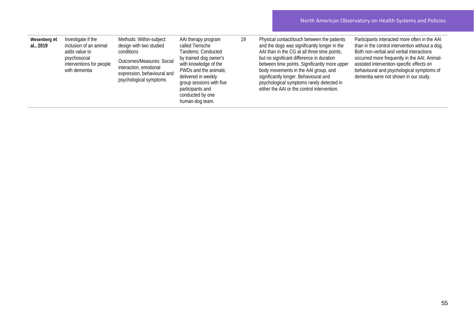| Wesenberg et<br>al., 2019 | Investigate if the<br>inclusion of an animal<br>adds value to<br>psychosocial<br>interventions for people<br>with dementia | Methods: Within-subject<br>design with two studied<br>conditions<br><b>Outcomes/Measures: Social</b><br>interaction, emotional<br>expression, behavioural and<br>psychological symptoms | AAI therapy program<br>called Tierische<br>Tandems; Conducted<br>by trained dog owner's<br>with knowledge of the<br>PWDs and the animals;<br>delivered in weekly<br>group sessions with five<br>participants and<br>conducted by one<br>human-dog team. | 19 | Physical contact/touch between the patients<br>and the dogs was significantly longer in the<br>AAI than in the CG at all three time points,<br>but no significant difference in duration<br>between time points. Significantly more upper<br>body movements in the AAI group, and<br>significantly longer. Behavioural and<br>psychological symptoms rarely detected in<br>either the AAI or the control intervention. | Participants interacted more often in the AAI<br>than in the control intervention without a dog.<br>Both non-verbal and verbal interactions<br>occurred more frequently in the AAI. Animal-<br>assisted intervention-specific effects on<br>behavioural and psychological symptoms of<br>dementia were not shown in our study. |
|---------------------------|----------------------------------------------------------------------------------------------------------------------------|-----------------------------------------------------------------------------------------------------------------------------------------------------------------------------------------|---------------------------------------------------------------------------------------------------------------------------------------------------------------------------------------------------------------------------------------------------------|----|------------------------------------------------------------------------------------------------------------------------------------------------------------------------------------------------------------------------------------------------------------------------------------------------------------------------------------------------------------------------------------------------------------------------|--------------------------------------------------------------------------------------------------------------------------------------------------------------------------------------------------------------------------------------------------------------------------------------------------------------------------------|
|---------------------------|----------------------------------------------------------------------------------------------------------------------------|-----------------------------------------------------------------------------------------------------------------------------------------------------------------------------------------|---------------------------------------------------------------------------------------------------------------------------------------------------------------------------------------------------------------------------------------------------------|----|------------------------------------------------------------------------------------------------------------------------------------------------------------------------------------------------------------------------------------------------------------------------------------------------------------------------------------------------------------------------------------------------------------------------|--------------------------------------------------------------------------------------------------------------------------------------------------------------------------------------------------------------------------------------------------------------------------------------------------------------------------------|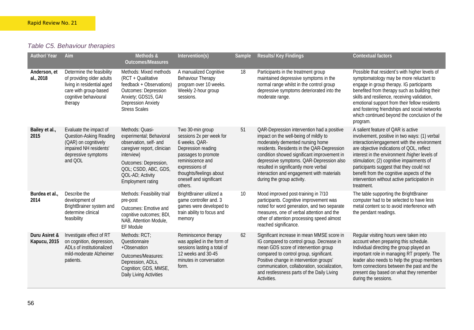## *Table C5. Behaviour therapies*

| <b>Author/ Year</b>           | Aim                                                                                                                                               | Methods &<br><b>Outcomes/Measures</b>                                                                                                                                                                               | Intervention(s)                                                                                                                                                                                                   | Sample | Results/ Key Findings                                                                                                                                                                                                                                                                                                                                                                | <b>Contextual factors</b>                                                                                                                                                                                                                                                                                                                                                                                                            |
|-------------------------------|---------------------------------------------------------------------------------------------------------------------------------------------------|---------------------------------------------------------------------------------------------------------------------------------------------------------------------------------------------------------------------|-------------------------------------------------------------------------------------------------------------------------------------------------------------------------------------------------------------------|--------|--------------------------------------------------------------------------------------------------------------------------------------------------------------------------------------------------------------------------------------------------------------------------------------------------------------------------------------------------------------------------------------|--------------------------------------------------------------------------------------------------------------------------------------------------------------------------------------------------------------------------------------------------------------------------------------------------------------------------------------------------------------------------------------------------------------------------------------|
| Anderson, et<br>al., 2018     | Determine the feasibility<br>of providing older adults<br>living in residential aged<br>care with group-based<br>cognitive behavioural<br>therapy | Methods: Mixed methods<br>(RCT + Qualitative<br>feedback + Observations)<br><b>Outcomes: Depression</b><br>Anxiety; GDS15, GAI<br><b>Depression Anxiety</b><br><b>Stress Scales</b>                                 | A manualized Cognitive<br><b>Behaviour Therapy</b><br>program over 10 weeks.<br>Weekly 2-hour group<br>sessions.                                                                                                  | 18     | Participants in the treatment group<br>maintained depressive symptoms in the<br>normal range whilst in the control group<br>depressive symptoms deteriorated into the<br>moderate range.                                                                                                                                                                                             | Possible that resident's with higher levels of<br>symptomatology may be more reluctant to<br>engage in group therapy. IG participants<br>benefited from therapy such as building their<br>skills and resilience, receiving validation,<br>emotional support from their fellow residents<br>and fostering friendships and social networks<br>which continued beyond the conclusion of the<br>program.                                 |
| Bailey et al.,<br>2015        | Evaluate the impact of<br>Question-Asking Reading<br>(QAR) on cognitively<br>impaired NH residents'<br>depressive symptoms<br>and QOL             | Methods: Quasi-<br>experimental; Behavioral<br>observation, self- and<br>caregiver report, clinician<br>interview)<br>Outcomes: Depression,<br>QOL; CSDD, ABC, GDS,<br>QOL-AD; Activity<br><b>Employment rating</b> | Two 30-min group<br>sessions 2x per week for<br>6 weeks. QAR-<br>Depression reading<br>passages to promote<br>reminiscence and<br>expressions of<br>thoughts/feelings about<br>oneself and significant<br>others. | 51     | QAR-Depression intervention had a positive<br>impact on the well-being of mildly to<br>moderately demented nursing home<br>residents. Residents in the QAR-Depression<br>condition showed significant improvement in<br>depressive symptoms. QAR-Depression also<br>resulted in significantly more verbal<br>interaction and engagement with materials<br>during the group activity. | A salient feature of QAR is active<br>involvement, positive in two ways: (1) verbal<br>interaction/engagement with the environment<br>are objective indications of QOL, reflect<br>interest in the environment /higher levels of<br>stimulation; (2) cognitive impairments of<br>participants suggest that they could not<br>benefit from the cognitive aspects of the<br>intervention without active participation in<br>treatment. |
| Burdea et al.,<br>2014        | Describe the<br>development of<br>BrightBrainer system and<br>determine clinical<br>feasibility                                                   | Methods: Feasibility trial/<br>pre-post<br>Outcomes: Emotive and<br>cognitive outcomes; BDI,<br>NAB, Attention Module,<br>EF Module                                                                                 | BrightBrainer utilized a<br>game controller and. 3<br>games were developed to<br>train ability to focus and<br>memory                                                                                             | 10     | Mood improved post-training in 7/10<br>participants. Cognitive improvement was<br>noted for word generation, and two separate<br>measures, one of verbal attention and the<br>other of attention processing speed almost<br>reached significance.                                                                                                                                    | The table supporting the BrightBrainer<br>computer had to be selected to have less<br>metal content so to avoid interference with<br>the pendant readings.                                                                                                                                                                                                                                                                           |
| Duru Asiret &<br>Kapucu, 2015 | Investigate effect of RT<br>on cognition, depression,<br>ADLs of institutionalized<br>mild-moderate Alzheimer<br>patients.                        | Methods: RCT;<br>Questionnaire<br>+Observation<br>Outcomes/Measures:<br>Depression, ADLs,<br>Cognition; GDS, MMSE,<br>Daily Living Activities                                                                       | Reminiscence therapy<br>was applied in the form of<br>sessions lasting a total of<br>12 weeks and 30-45<br>minutes in conversation<br>form.                                                                       | 62     | Significant increase in mean MMSE score in<br>IG compared to control group. Decrease in<br>mean GDS score of intervention group<br>compared to control group, significant.<br>Positive change in intervention groups'<br>communication, collaboration, socialization,<br>and restlessness parts of the Daily Living<br>Activities.                                                   | Regular visiting hours were taken into<br>account when preparing this schedule.<br>Individual directing the group played an<br>important role in managing RT properly. The<br>leader also needs to help the group members<br>form connections between the past and the<br>present day based on what they remember<br>during the sessions.                                                                                            |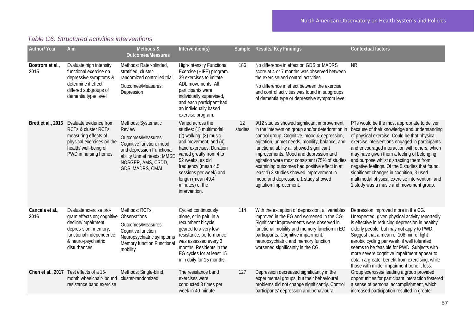| <b>Author/ Year</b>     | Aim                                                                                                                                                                                | Methods &<br><b>Outcomes/Measures</b>                                                                                                                                                      | Intervention(s)                                                                                                                                                                                                                                                                            | Sample        | Results/ Key Findings                                                                                                                                                                                                                                                                                                                                                                                                                                                                                   | <b>Contextual factors</b>                                                                                                                                                                                                                                                                                                                                                                                                                                                                                                            |
|-------------------------|------------------------------------------------------------------------------------------------------------------------------------------------------------------------------------|--------------------------------------------------------------------------------------------------------------------------------------------------------------------------------------------|--------------------------------------------------------------------------------------------------------------------------------------------------------------------------------------------------------------------------------------------------------------------------------------------|---------------|---------------------------------------------------------------------------------------------------------------------------------------------------------------------------------------------------------------------------------------------------------------------------------------------------------------------------------------------------------------------------------------------------------------------------------------------------------------------------------------------------------|--------------------------------------------------------------------------------------------------------------------------------------------------------------------------------------------------------------------------------------------------------------------------------------------------------------------------------------------------------------------------------------------------------------------------------------------------------------------------------------------------------------------------------------|
| Bostrom et al.,<br>2015 | Evaluate high intensity<br>functional exercise on<br>depressive symptoms &<br>determine if effect<br>differed subgroups of<br>dementia type/level                                  | Methods: Rater-blinded,<br>stratified, cluster-<br>randomized controlled trial<br>Outcomes/Measures:<br>Depression                                                                         | <b>High-Intensity Functional</b><br>Exercise (HIFE) program.<br>39 exercises to imitate<br>ADL movements. All<br>participants were<br>individually supervised,<br>and each participant had<br>an individually based<br>exercise program.                                                   | 186           | No difference in effect on GDS or MADRS<br>score at 4 or 7 months was observed between<br>the exercise and control activities.<br>No difference in effect between the exercise<br>and control activities was found in subgroups<br>of dementia type or depressive symptom level.                                                                                                                                                                                                                        | <b>NR</b>                                                                                                                                                                                                                                                                                                                                                                                                                                                                                                                            |
|                         | Brett et al., 2016 Evaluate evidence from<br><b>RCTs &amp; cluster RCTs</b><br>measuring effects of<br>physical exercises on the<br>health/ well-being of<br>PWD in nursing homes. | Methods: Systematic<br><b>Review</b><br>Outcomes/Measures:<br>Cognitive function, mood<br>and depression Functional<br>ability Unmet needs; MMSE<br>NOSGER, AMS, CSDD,<br>GDS, MADRS, CMAI | Varied across the<br>studies: (1) multimodal;<br>$(2)$ walking; $(3)$ music<br>and movement; and (4)<br>hand exercises. Duration<br>varied greatly from 4 to<br>52 weeks, as did<br>frequency (mean 4.5<br>sessions per week) and<br>length (mean 49.4<br>minutes) of the<br>intervention. | 12<br>studies | 9/12 studies showed significant improvement<br>in the intervention group and/or deterioration in<br>control group. Cognitive, mood & depression,<br>agitation, unmet needs, mobility, balance, and<br>functional ability all showed significant<br>improvements. Mood and depression and<br>agitation were most consistent (75% of studies<br>examining outcomes had positive effect in at<br>least 1) 3 studies showed improvement in<br>mood and depression, 1 study showed<br>agitation improvement. | PTs would be the most appropriate to deliver<br>because of their knowledge and understanding<br>of physical exercise. Could be that physical<br>exercise interventions engaged in participants<br>and encouraged interaction with others, which<br>may have given them a feeling of belonging<br>and purpose whilst distracting them from<br>negative feelings. Of the 5 studies that found<br>significant changes in cognition, 3 used<br>multimodal physical exercise intervention, and<br>1 study was a music and movement group. |
| Cancela et al.,<br>2016 | Evaluate exercise pro-<br>gram effects on; cognitive<br>decline/impairment,<br>depres-sion, memory,<br>functional independence<br>& neuro-psychiatric<br>disturbances              | Methods: RCTs,<br>Observations<br>Outcomes/Measures:<br>Cognitive function<br>Neuropsychiatric symptoms<br>Memory function Functiona<br>mobility                                           | Cycled continuously<br>alone, or in pair, in a<br>recumbent bicycle<br>geared to a very low<br>resistance, performance<br>was assessed every 3<br>months. Residents in the<br>EG cycles for at least 15<br>min daily for 15 months.                                                        | 114           | With the exception of depression, all variables<br>improved in the EG and worsened in the CG:<br>Significant improvements were observed in<br>functional mobility and memory function in EG<br>participants. Cognitive impairment,<br>neuropsychiatric and memory function<br>worsened significantly in the CG.                                                                                                                                                                                         | Depression improved more in the CG.<br>Unexpected, given physical activity reportedly<br>is effective in reducing depression in healthy<br>elderly people, but may not apply to PWD.<br>Suggest that a mean of 108 min of light<br>aerobic cycling per week, if well tolerated,<br>seems to be feasible for PWD. Subjects with<br>more severe cognitive impairment appear to<br>obtain a greater benefit from exercising, while<br>those with milder impairment benefit less.                                                        |
|                         | Chen et al., 2017 Test effects of a 15-<br>month wheelchair- bound<br>resistance band exercise                                                                                     | Methods: Single-blind,<br>cluster-randomized                                                                                                                                               | The resistance band<br>exercises were<br>conducted 3 times per<br>week in 40-minute                                                                                                                                                                                                        | 127           | Depression decreased significantly in the<br>experimental groups, but their behavioural<br>problems did not change significantly. Control<br>participants' depression and behavioural                                                                                                                                                                                                                                                                                                                   | Group exercises/ leading a group provided<br>opportunities for participant interaction fostered<br>a sense of personal accomplishment, which<br>increased participation resulted in greater                                                                                                                                                                                                                                                                                                                                          |

### *Table C6. Structured activities interventions*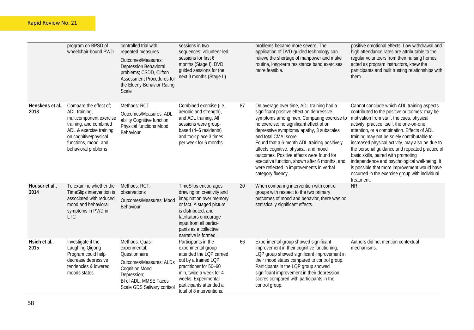|                          | program on BPSD of<br>wheelchair-bound PWD                                                                                                                                                      | controlled trial with<br>repeated measures<br>Outcomes/Measures:<br><b>Depression Behavioral</b><br>problems; CSDD, Clifton<br>Assessment Procedures for<br>the Elderly-Behavior Rating<br>Scale | sessions in two<br>sequences: volunteer-led<br>sessions for first 6<br>months (Stage I), DVD<br>quided sessions for the<br>next 9 months (Stage II).                                                                                   |    | problems became more severe. The<br>application of DVD-guided technology can<br>relieve the shortage of manpower and make<br>routine, long-term resistance band exercises<br>more feasible.                                                                                                                                                                                                                                                                                                                 | positive emotional effects. Low withdrawal and<br>high attendance rates are attributable to the<br>regular volunteers from their nursing homes<br>acted as program instructors, knew the<br>participants and built trusting relationships with<br>them.                                                                                                                                                                                                                                                                                                                                         |
|--------------------------|-------------------------------------------------------------------------------------------------------------------------------------------------------------------------------------------------|--------------------------------------------------------------------------------------------------------------------------------------------------------------------------------------------------|----------------------------------------------------------------------------------------------------------------------------------------------------------------------------------------------------------------------------------------|----|-------------------------------------------------------------------------------------------------------------------------------------------------------------------------------------------------------------------------------------------------------------------------------------------------------------------------------------------------------------------------------------------------------------------------------------------------------------------------------------------------------------|-------------------------------------------------------------------------------------------------------------------------------------------------------------------------------------------------------------------------------------------------------------------------------------------------------------------------------------------------------------------------------------------------------------------------------------------------------------------------------------------------------------------------------------------------------------------------------------------------|
| Henskens et al.,<br>2018 | Compare the effect of;<br>ADL training,<br>multicomponent exercise<br>training, and combined<br>ADL & exercise training<br>on cognitive/physical<br>functions, mood, and<br>behavioral problems | Methods: RCT<br>Outcomes/Measures: ADL<br>ability Cognitive function<br><b>Physical functions Mood</b><br>Behaviour                                                                              | Combined exercise (i.e.,<br>aerobic and strength),<br>and ADL training. All<br>sessions were group-<br>based (4-6 residents)<br>and took place 3 times<br>per week for 6 months.                                                       | 87 | On average over time, ADL training had a<br>significant positive effect on depressive<br>symptoms among men. Comparing exercise to<br>no exercise; no significant effect of on<br>depressive symptoms/ apathy, 3 subscales<br>and total CMAI score.<br>Found that a 6-month ADL training positively<br>affects cognitive, physical, and mood<br>outcomes. Positive effects were found for<br>executive function, shown after 6 months, and<br>were reflected in improvements in verbal<br>category fluency. | Cannot conclude which ADL training aspects<br>contributed to the positive outcomes: may be<br>motivation from staff, the cues, physical<br>activity, practice itself, the one-on-one<br>attention, or a combination. Effects of ADL<br>training may not be solely contributable to<br>increased physical activity, may also be due to<br>the personal guidance and repeated practice of<br>basic skills, paired with promoting<br>independence and psychological well-being. It<br>is possible that more improvement would have<br>occurred in the exercise group with individual<br>treatment. |
| Houser et al.,<br>2014   | To examine whether the<br>TimeSlips intervention is<br>associated with reduced<br>mood and behavioral<br>symptoms in PWD in<br><b>LTC</b>                                                       | Methods: RCT;<br>observations<br>Outcomes/Measures: Mood<br>Behaviour                                                                                                                            | TimeSlips encourages<br>drawing on creativity and<br>imagination over memory<br>or fact. A staged picture<br>is distributed, and<br>facilitators encourage<br>input from all partici-<br>pants as a collective<br>narrative is formed. | 20 | When comparing intervention with control<br>groups with respect to the two primary<br>outcomes of mood and behavior, there was no<br>statistically significant effects.                                                                                                                                                                                                                                                                                                                                     | <b>NR</b>                                                                                                                                                                                                                                                                                                                                                                                                                                                                                                                                                                                       |
| Hsieh et al.,<br>2015    | Investigate if the<br>Laughing Oigong<br>Program could help<br>decrease depressive<br>tendencies & lowered<br>moods states                                                                      | Methods: Quasi-<br>experimental;<br>Questionnaire<br>Outcomes/Measures: ALDs<br><b>Cognition Mood</b><br>Depression;<br>BI of ADL, MMSE Faces<br>Scale GDS Salivary cortisol                     | Participants in the<br>experimental group<br>attended the LQP carried<br>out by a trained LQP<br>practitioner for 50-60<br>min, twice a week for 4<br>weeks. Experimental<br>participants attended a<br>total of 8 interventions.      | 66 | Experimental group showed significant<br>improvement in their cognitive functioning,<br>LQP group showed significant improvement in<br>their mood states compared to control group.<br>Participants in the LQP group showed<br>significant improvement in their depression<br>scores compared with participants in the<br>control group.                                                                                                                                                                    | Authors did not mention contextual<br>mechanisms.                                                                                                                                                                                                                                                                                                                                                                                                                                                                                                                                               |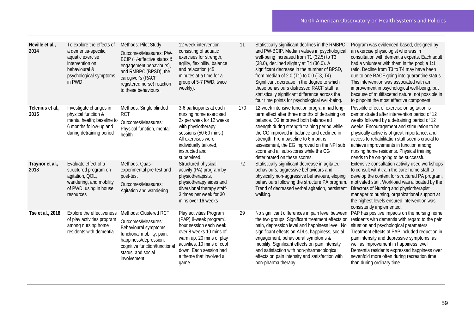| Neville et al.,<br>2014 | To explore the effects of<br>a dementia-specific,<br>aquatic exercise<br>intervention on<br>behavioural &<br>psychological symptoms<br>in PWD | Methods: Pilot Study<br>Outcomes/Measures: PW-<br>BCIP (+/-affective states &<br>engagement behaviours),<br>and RMBPC (BPSD), the<br>caregiver's (RACF<br>registered nurse) reaction<br>to these behaviours. | 12-week intervention<br>consisting of aquatic<br>exercises for strength,<br>agility, flexibility, balance<br>and relaxation (45<br>minutes at a time for a<br>group of 5-7 PWD, twice<br>weekly).                              | 11  | Statistically significant declines in the RMBPC<br>and PW-BCIP. Median values in psychological<br>well-being increased from T1 (32.5) to T3<br>(38.0), declined slightly at T4 (36.0). A<br>significant decrease in the number of BPSD,<br>from median of 2.0 (T1) to 0.0 (T3, T4).<br>Significant decrease in the degree to which<br>these behaviours distressed RACF staff, a<br>statistically significant difference across the<br>four time points for psychological well-being. | Program was evidenced-based, designed by<br>an exercise physiologist who was in<br>consultation with dementia experts. Each adult<br>had a volunteer with them in the pool; a 1:1<br>ratio. Decline from T3 to T4 may have been<br>due to one RACF going into quarantine status.<br>This intervention was associated with an<br>improvement in psychological well-being, but<br>because of multifaceted nature, not possible in<br>to pinpoint the most effective component. |
|-------------------------|-----------------------------------------------------------------------------------------------------------------------------------------------|--------------------------------------------------------------------------------------------------------------------------------------------------------------------------------------------------------------|--------------------------------------------------------------------------------------------------------------------------------------------------------------------------------------------------------------------------------|-----|--------------------------------------------------------------------------------------------------------------------------------------------------------------------------------------------------------------------------------------------------------------------------------------------------------------------------------------------------------------------------------------------------------------------------------------------------------------------------------------|------------------------------------------------------------------------------------------------------------------------------------------------------------------------------------------------------------------------------------------------------------------------------------------------------------------------------------------------------------------------------------------------------------------------------------------------------------------------------|
| Telenius et al.<br>2015 | Investigate changes in<br>physical function &<br>mental health; baseline to<br>6 months follow-up and<br>during detraining period             | Methods: Single blinded<br><b>RCT</b><br>Outcomes/Measures:<br>Physical function, mental<br>health                                                                                                           | 3-6 participants at each<br>nursing home exercised<br>2x per week for 12 weeks<br>with physiotherapy<br>sessions (50-60 mins.).<br>All exercises were<br>individually tailored,<br>instructed and<br>supervised.               | 170 | 12-week intensive function program had long-<br>term effect after three months of detraining on<br>balance. EG improved both balance ad<br>strength during strength training period while<br>the CG improved in balance and declined in<br>strength. From baseline to 6 months<br>assessment, the EG improved on the NPI sub<br>score and all sub-scores while the CG<br>deteriorated on these scores.                                                                               | Possible effect of exercise on agitation is<br>demonstrated after intervention period of 12<br>weeks followed by a detraining period of 12<br>weeks. Encouragement and stimulation to be<br>physically active is of great importance, and<br>access to rehabilitation staff seems crucial to<br>achieve improvements in function among<br>nursing home residents. Physical training<br>needs to be on-going to be successful.                                                |
| Traynor et al.,<br>2018 | Evaluate effect of a<br>structured program on<br>agitation, QOL,<br>wandering, and mobility<br>of PWD, using in house<br>resources            | Methods: Quasi-<br>experimental pre-test and<br>post-test<br>Outcomes/Measures:<br>Agitation and wandering                                                                                                   | Structured physical<br>activity (PA) program by<br>physiotherapists,<br>physiotherapy aides and<br>diversional therapy staff-<br>3 times per week for 30<br>mins over 16 weeks                                                 | 72  | Statistically significant decrease in agitated<br>behaviours, aggressive behaviours and<br>physically non-aggressive behaviours, eloping<br>behaviours following the structure PA program.<br>Trend of decreased verbal agitation, persistent<br>walking.                                                                                                                                                                                                                            | Extensive consultation activity used workshops<br>to consult with/ train the care home staff to<br>develop the content for structured PA program,<br>motivated staff. Workload was allocated by the<br>Directors of Nursing and physiotherapist<br>manager to nursing, organizational support at<br>the highest levels ensured intervention was<br>consistently implemented.                                                                                                 |
| Tse et al., 2018        | Explore the effectiveness<br>of play activities program<br>among nursing home<br>residents with dementia                                      | Methods: Clustered RCT<br>Outcomes/Measures:<br>Behavioural symptoms,<br>functional mobility, pain,<br>happiness/depression,<br>cognitive function/functional<br>status, and social<br>involvement           | Play activities Program<br>(PAP) 8-week program1<br>hour session each week<br>over 8 weeks 10 mins of<br>warm up, 20 mins of play<br>activities, 10 mins of cool<br>down. Each session had<br>a theme that involved a<br>game. | 29  | No significant differences in pain level between<br>the two groups. Significant treatment effects on<br>pain, depression level and happiness level. No<br>significant effects on ADLs, happiness, social<br>engagement, behavioural symptoms &<br>mobility. Significant effects on pain intensity<br>and satisfaction with non-pharmacological<br>effects on pain intensity and satisfaction with<br>non-pharma therapy.                                                             | PAP has positive impacts on the nursing home<br>residents with dementia with regard to the pain<br>situation and psychological parameters<br>Treatment effects of PAP included reduction in<br>pain intensity and depressive symptoms, as<br>well as improvement in happiness level<br>Dementia residents expressed happiness over<br>sevenfold more often during recreation time<br>than during ordinary time.                                                              |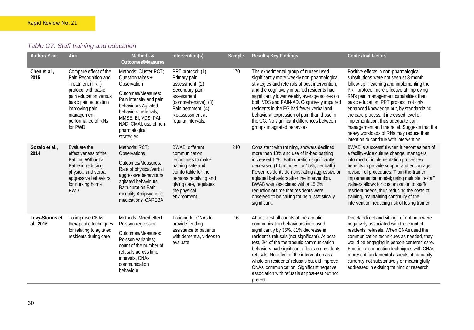# *Table C7. Staff training and education*

| <b>Author/ Year</b>         | Aim                                                                                                                                                                                                        | Methods &<br><b>Outcomes/Measures</b>                                                                                                                                                                                                     | Intervention(s)                                                                                                                                                                      | Sample | Results/ Key Findings                                                                                                                                                                                                                                                                                                                                                                                                                                                                | <b>Contextual factors</b>                                                                                                                                                                                                                                                                                                                                                                                                                                                                                                       |
|-----------------------------|------------------------------------------------------------------------------------------------------------------------------------------------------------------------------------------------------------|-------------------------------------------------------------------------------------------------------------------------------------------------------------------------------------------------------------------------------------------|--------------------------------------------------------------------------------------------------------------------------------------------------------------------------------------|--------|--------------------------------------------------------------------------------------------------------------------------------------------------------------------------------------------------------------------------------------------------------------------------------------------------------------------------------------------------------------------------------------------------------------------------------------------------------------------------------------|---------------------------------------------------------------------------------------------------------------------------------------------------------------------------------------------------------------------------------------------------------------------------------------------------------------------------------------------------------------------------------------------------------------------------------------------------------------------------------------------------------------------------------|
| Chen et al.,<br>2015        | Compare effect of the<br>Pain Recognition and<br>Treatment (PRT)<br>protocol with basic<br>pain education versus<br>basic pain education<br>improving pain<br>management<br>performance of RNs<br>for PWD. | Methods: Cluster RCT;<br>Questionnaires +<br>Observation<br>Outcomes/Measures:<br>Pain intensity and pain<br>behaviours Agitated<br>behaviors, referrals;<br>MMSE, BI, VDS, PAI-<br>NAD, CMAI, use of non-<br>pharmalogical<br>strategies | PRT protocol: (1)<br>Primary pain<br>assessment; (2)<br>Secondary pain<br>assessment<br>(comprehensive); (3)<br>Pain treatment; (4)<br>Reassessment at<br>regular intervals.         | 170    | The experimental group of nurses used<br>significantly more weekly non-pharmalogical<br>strategies and referrals at post intervention,<br>and the cognitively impaired residents had<br>significantly lower weekly average scores on<br>both VDS and PAIN-AD. Cognitively impaired<br>residents in the EG had fewer verbal and<br>behavioral expression of pain than those in<br>the CG. No significant differences between<br>groups in agitated behaviors.                         | Positive effects in non-pharmalogical<br>substitutions were not seen at 3-month<br>follow-up. Teaching and implementing the<br>PRT protocol more effective at improving<br>RN's pain management capabilities than<br>basic education. PRT protocol not only<br>enhanced knowledge but, by standardizing<br>the care process, it increased level of<br>implementation, thus adequate pain<br>management and the relief. Suggests that the<br>heavy workloads of RNs may reduce their<br>intention to continue with intervention. |
| Gozalo et al.,<br>2014      | Evaluate the<br>effectiveness of the<br>Bathing Without a<br>Battle in reducing<br>physical and verbal<br>aggressive behaviors<br>for nursing home<br><b>PWD</b>                                           | Methods: RCT;<br><b>Observations</b><br>Outcomes/Measures:<br>Rate of physical/verbal<br>aggressive behaviours,<br>agitated behaviours,<br><b>Bath duration Bath</b><br>modality Antipsychotic<br>medications; CAREBA                     | BWAB; different<br>communication<br>techniques to make<br>bathing safe and<br>comfortable for the<br>persons receiving and<br>giving care, regulates<br>the physical<br>environment. | 240    | Consistent with training, showers declined<br>more than 10% and use of in-bed bathing<br>increased 17%. Bath duration significantly<br>decreased (1.5 minutes, or 15%, per bath).<br>Fewer residents demonstrating aggressive or<br>agitated behaviors after the intervention.<br>BWAB was associated with a 15.2%<br>reduction of time that residents were<br>observed to be calling for help, statistically<br>significant.                                                        | BWAB is successful when it becomes part of<br>a facility-wide culture change, managers<br>informed of implementation processes/<br>benefits to provide support and encourage<br>revision of procedures. Train-the-trainer<br>implementation model; using multiple in-staff<br>trainers allows for customization to staff/<br>resident needs, thus reducing the costs of<br>training, maintaining continuity of the<br>intervention, reducing risk of losing trainer.                                                            |
| Levy-Storms et<br>al., 2016 | To improve CNAs'<br>therapeutic techniques<br>for relating to agitated<br>residents during care                                                                                                            | Methods: Mixed effect<br>Poisson regression<br>Outcomes/Measures:<br>Poisson variables:<br>count of the number of<br>refusals across time<br>intervals, CNAs<br>communication<br>behaviour                                                | Training for CNAs to<br>provide feeding<br>assistance to patients<br>with dementia, videos to<br>evaluate                                                                            | 16     | At post-test all counts of therapeutic<br>communication behaviours increased<br>significantly by 35%. 81% decrease in<br>resident's refusals (not significant). At post-<br>test, 2/4 of the therapeutic communication<br>behaviors had significant effects on residents'<br>refusals. No effect of the intervention as a<br>whole on residents' refusals but did improve<br>CNAs' communication. Significant negative<br>association with refusals at post-test but not<br>pretest. | Direct/redirect and sitting in front both were<br>negatively associated with the count of<br>residents' refusals. When CNAs used the<br>communication techniques as needed, they<br>would be engaging in person-centered care.<br>Emotional connection techniques with CNAs<br>represent fundamental aspects of humanity<br>currently not substantively or meaningfully<br>addressed in existing training or research.                                                                                                          |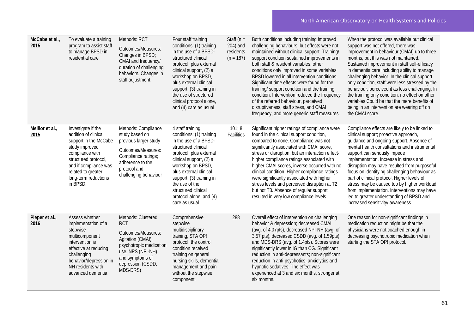| McCabe et al.,<br>2015  | To evaluate a training<br>program to assist staff<br>to manage BPSD in<br>residential care                                                                                                                          | Methods: RCT<br>Outcomes/Measures:<br>Changes in BPSD;<br>CMAI and frequency/<br>duration of challenging<br>behaviors. Changes in<br>staff adjustment.                           | Four staff training<br>conditions: (1) training<br>in the use of a BPSD-<br>structured clinical<br>protocol, plus external<br>clinical support, (2) a<br>workshop on BPSD,<br>plus external clinical<br>support, (3) training in<br>the use of structured<br>clinical protocol alone,<br>and (4) care as usual.     | Staff ( $n =$<br>204) and<br>residents<br>$(n = 187)$ | Both conditions including training improved<br>challenging behaviours, but effects were not<br>maintained without clinical support. Training/<br>support condition sustained improvements in<br>both staff & resident variables, other<br>conditions only improved in some variables.<br>BPSD lowered in all intervention conditions.<br>Significant time effects were found for the<br>training/ support condition and the training<br>condition. Intervention reduced the frequency<br>of the referred behaviour, perceived<br>disruptiveness, staff stress, and CMAI<br>frequency, and more generic staff measures. | When the protocol was available but clinical<br>support was not offered, there was<br>improvement in behaviour (CMAI) up to three<br>months, but this was not maintained.<br>Sustained improvement in staff self-efficacy<br>in dementia care including ability to manage<br>challenging behavior. In the clinical support<br>only condition, staff were less stressed by the<br>behaviour, perceived it as less challenging. In<br>the training only condition, no effect on other<br>variables Could be that the mere benefits of<br>being in an intervention are wearing off on<br>the CMAI score. |
|-------------------------|---------------------------------------------------------------------------------------------------------------------------------------------------------------------------------------------------------------------|----------------------------------------------------------------------------------------------------------------------------------------------------------------------------------|---------------------------------------------------------------------------------------------------------------------------------------------------------------------------------------------------------------------------------------------------------------------------------------------------------------------|-------------------------------------------------------|------------------------------------------------------------------------------------------------------------------------------------------------------------------------------------------------------------------------------------------------------------------------------------------------------------------------------------------------------------------------------------------------------------------------------------------------------------------------------------------------------------------------------------------------------------------------------------------------------------------------|-------------------------------------------------------------------------------------------------------------------------------------------------------------------------------------------------------------------------------------------------------------------------------------------------------------------------------------------------------------------------------------------------------------------------------------------------------------------------------------------------------------------------------------------------------------------------------------------------------|
| Meillor et al.,<br>2015 | Investigate if the<br>addition of clinical<br>support in the McCabe<br>study improved<br>compliance with<br>structured protocol,<br>and if compliance was<br>related to greater<br>long-term reductions<br>in BPSD. | Methods: Compliance<br>study based on<br>previous larger study<br>Outcomes/Measures:<br>Compliance ratings;<br>adherence to the<br>protocol and<br>challenging behaviour         | 4 staff training<br>conditions: (1) training<br>in the use of a BPSD-<br>structured clinical<br>protocol, plus external<br>clinical support, (2) a<br>workshop on BPSD,<br>plus external clinical<br>support, (3) training in<br>the use of the<br>structured clinical<br>protocol alone, and (4)<br>care as usual. | 101; 8<br>Facilities                                  | Significant higher ratings of compliance were<br>found in the clinical support condition,<br>compared to none. Compliance was not<br>significantly associated with CMAI score,<br>stress or disruption, but an interaction effect-<br>higher compliance ratings associated with<br>higher CMAI scores, inverse occurred with no<br>clinical condition. Higher compliance ratings<br>were significantly associated with higher<br>stress levels and perceived disruption at T2<br>but not T3. Absence of regular support<br>resulted in very low compliance levels.                                                     | Compliance effects are likely to be linked to<br>clinical support; proactive approach,<br>quidance and ongoing support. Absence of<br>mental health consultations and instrumental<br>support can seriously impede<br>implementation. Increase in stress and<br>disruption may have resulted from purposeful<br>focus on identifying challenging behaviour as<br>part of clinical protocol. Higher levels of<br>stress may be caused too by higher workload<br>from implementation. Interventions may have<br>led to greater understanding of BPSD and<br>increased sensitivity/ awareness.           |
| Pieper et al.,<br>2016  | Assess whether<br>implementation of a<br>stepwise<br>multicomponent<br>intervention is<br>effective at reducing<br>challenging<br>behavior/depression in<br>NH residents with<br>advanced dementia                  | Methods: Clustered<br><b>RCT</b><br>Outcomes/Measures:<br>Agitation (CMAI),<br>psychotropic medication<br>use, NPS (NPI-NH),<br>and symptoms of<br>depression (CSDD,<br>MDS-DRS) | Comprehensive<br>stepwise<br>multidisciplinary<br>training, STA OP!<br>protocol; the control<br>condition received<br>training on general<br>nursing skills, dementia<br>management and pain<br>without the stepwise<br>component.                                                                                  | 288                                                   | Overall effect of intervention on challenging<br>behavior & depression; decreased CMAI<br>(avg. of 4.07pts), decreased NPI-NH (avg. of<br>3.57 pts), decreased CSDD (avg. of 1.59pts)<br>and MDS-DRS (avg. of 1.4pts). Scores were<br>significantly lower in IG than CG. Significant<br>reduction in anti-depressants; non-significant<br>reduction in anti-psychotics, anxiolytics and<br>hypnotic sedatives. The effect was<br>experienced at 3 and six months, stronger at<br>six months.                                                                                                                           | One reason for non-significant findings in<br>medication reduction might be that the<br>physicians were not coached enough in<br>decreasing psychotropic medication when<br>starting the STA OP! protocol.                                                                                                                                                                                                                                                                                                                                                                                            |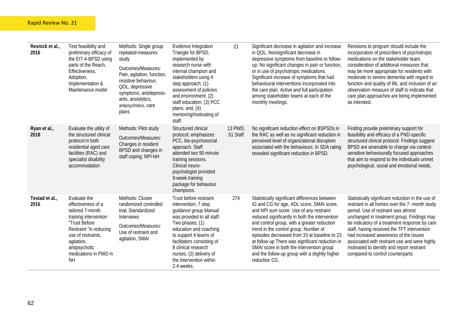| Resnick et al.,<br>2016 | Test feasibility and<br>preliminary efficacy of<br>the EIT-4-BPSD using<br>parts of the Reach,<br>Effectiveness,<br>Adoption,<br>Implementation &<br>Maintenance model                                                | Methods: Single group<br>repeated-measures<br>study<br>Outcomes/Measures:<br>Pain, agitation, function,<br>resistive behaviour,<br>QOL, depressive<br>symptoms, antidepress-<br>ants, anxiolytics,<br>antipsychotics, care<br>plans | Evidence Integration<br>Triangle for BPSD,<br>implemented by<br>research nurse with<br>internal champion and<br>stakeholders using 4<br>step approach; (1)<br>assessment of policies<br>and environment; (2)<br>staff education; (3) PCC<br>plans; and, $(4)$<br>mentoring/motivating of<br>staff.   | 21                  | Significant decrease in agitation and increase<br>in QOL. Nonsignificant decrease in<br>depressive symptoms from baseline to follow-<br>up. No significant changes in pain or function<br>or in use of psychotropic medications.<br>Significant increase of symptoms that had<br>behavioural interventions incorporated into<br>the care plan. Active and full participation<br>among stakeholder teams at each of the<br>monthly meetings.                                                        | Revisions to program should include the<br>incorporation of prescribers of psychotropic<br>medications on the stakeholder team,<br>consideration of additional measures that<br>may be more appropriate for residents with<br>moderate to severe dementia with regard to<br>function and quality of life, and inclusion of an<br>observation measure of staff to indicate that<br>care plan approaches are being implemented<br>as intended.                          |
|-------------------------|-----------------------------------------------------------------------------------------------------------------------------------------------------------------------------------------------------------------------|-------------------------------------------------------------------------------------------------------------------------------------------------------------------------------------------------------------------------------------|------------------------------------------------------------------------------------------------------------------------------------------------------------------------------------------------------------------------------------------------------------------------------------------------------|---------------------|----------------------------------------------------------------------------------------------------------------------------------------------------------------------------------------------------------------------------------------------------------------------------------------------------------------------------------------------------------------------------------------------------------------------------------------------------------------------------------------------------|-----------------------------------------------------------------------------------------------------------------------------------------------------------------------------------------------------------------------------------------------------------------------------------------------------------------------------------------------------------------------------------------------------------------------------------------------------------------------|
| Ryan et al.,<br>2018    | Evaluate the utility of<br>the structured clinical<br>protocol in both<br>residential aged care<br>facilities (RAC) and<br>specialist disability<br>accommodation                                                     | Methods: Pilot study<br>Outcomes/Measures:<br>Changes in resident<br>BPSD and changes in<br>staff coping; NPI-NH                                                                                                                    | Structured clinical<br>protocol; emphasizes<br>PCC, bio-psychosocial<br>approach. Staff<br>attended two 90-minute<br>training sessions.<br>Clinical neuro-<br>psychologist provided<br>9-week training<br>package for behaviour<br>champions.                                                        | 13 PWD,<br>51 Staff | No significant reduction effect on BSPSDs in<br>the RAC as well as no significant reduction in<br>perceived level of organizational disruption<br>associated with the behaviours. In SDA rating<br>revealed significant reduction in BPSD.                                                                                                                                                                                                                                                         | Finding provide preliminary support for<br>feasibility and efficacy of a PND-specific<br>structured clinical protocol. Findings suggest<br>BPSD are amenable to change via context-<br>sensitive behaviourally focused approaches<br>that aim to respond to the individuals unmet<br>psychological, social and emotional needs.                                                                                                                                       |
| Testad et al.,<br>2016  | Evaluate the<br>effectiveness of a<br>tailored 7-month<br>training intervention<br>"Trust Before<br>Restraint "in reducing<br>use of restraints,<br>agitation,<br>antipsychotic<br>medications in PWD in<br><b>NH</b> | Methods: Cluster<br>randomized controlled<br>trial; Standardized<br>Interviews<br>Outcomes/Measures:<br>Use of restraint and<br>agitation, SMAI                                                                                     | Trust before restraint<br>intervention; 7 step<br>guidance group Manual<br>was provided to all staff.<br>Two phases; (1)<br>education and coaching<br>to support 4 teams of<br>facilitators consisting of<br>8 clinical research<br>nurses, (2) delivery of<br>the intervention within<br>2-4 weeks. | 274                 | Statistically significant differences between<br>IG and CG for age, ADL score, SMAI score,<br>and NPI sum score. Use of any restraint<br>reduced significantly in both the intervention<br>and control group, with a greater reduction<br>trend in the control group. Number of<br>episodes decreased from 33 at baseline to 23<br>at follow up There was significant reduction in<br>SMAI score in both the intervention group<br>and the follow-up group with a slightly higher<br>reduction CG. | Statistically significant reduction in the use of<br>restraint in all homes over the 7- month study<br>period. Use of restraint was almost<br>unchanged in treatment group. Findings may<br>be indicatory of a treatment response by care<br>staff, having received the TFT intervention<br>had increased awareness of the issues<br>associated with restraint use and were highly<br>motivated to identify and report restraint<br>compared to control counterparts. |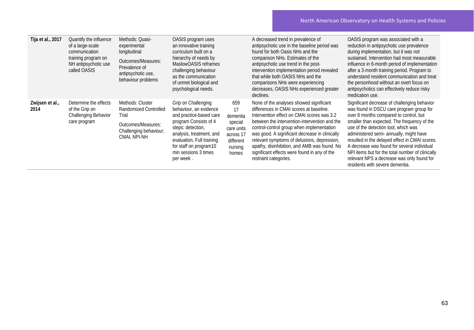| Tija et al., 2017       | Quantify the influence<br>of a large-scale<br>communication<br>training program on<br>NH antipsychotic use<br>called OASIS | Methods: Quasi-<br>experimental<br>longitudinal<br>Outcomes/Measures:<br>Prevalence of<br>antipsychotic use,<br>behaviour problems | OASIS program uses<br>an innovative training<br>curriculum built on a<br>hierarchy of needs by<br>MaslowOASIS reframes<br>challenging behaviour<br>as the communication<br>of unmet biological and<br>psychological needs.                     |                                                                                              | A decreased trend in prevalence of<br>antipsychotic use in the baseline period was<br>found for both Oasis NHs and the<br>comparison NHs. Estimates of the<br>antipsychotic use trend in the post-<br>intervention implementation period revealed<br>that while both OASIS NHs and the<br>comparisons NHs were experiencing<br>decreases, OASIS NHs experienced greater<br>declines.                                                                     | OASIS program was associated with a<br>reduction in antipsychotic use prevalence<br>during implementation, but it was not<br>sustained. Intervention had most measurable<br>influence in 6-month period of implementation<br>after a 3-month training period. Program to<br>understand resident communication and treat<br>the personhood without an overt focus on<br>antipsychotics can effectively reduce risky<br>medication use.                                                                      |
|-------------------------|----------------------------------------------------------------------------------------------------------------------------|------------------------------------------------------------------------------------------------------------------------------------|------------------------------------------------------------------------------------------------------------------------------------------------------------------------------------------------------------------------------------------------|----------------------------------------------------------------------------------------------|----------------------------------------------------------------------------------------------------------------------------------------------------------------------------------------------------------------------------------------------------------------------------------------------------------------------------------------------------------------------------------------------------------------------------------------------------------|------------------------------------------------------------------------------------------------------------------------------------------------------------------------------------------------------------------------------------------------------------------------------------------------------------------------------------------------------------------------------------------------------------------------------------------------------------------------------------------------------------|
| Zwijsen et al.,<br>2014 | Determine the effects<br>of the Grip on<br>Challenging Behavior<br>care program                                            | Methods: Cluster<br>Randomized Controlled<br>Trial<br>Outcomes/Measures:<br>Challenging behaviour;<br>CMAI, NPI-NH                 | Grip on Challenging<br>behaviour, an evidence<br>and practice-based care<br>program Consists of 4<br>steps: detection,<br>analysis, treatment, and<br>evaluation, Full training<br>for staff on program10<br>min sessions 3 times<br>per week. | 659<br>17<br>dementia<br>special<br>care units<br>across 17<br>different<br>nursing<br>homes | None of the analyses showed significant<br>differences in CMAI scores at baseline.<br>Intervention effect on CMAI scores was 3.2<br>between the intervention-intervention and the<br>control-control group when implementation<br>was good. A significant decrease in clinically<br>relevant symptoms of delusions, depression,<br>apathy, disinhibition, and AMB was found. No<br>significant effects were found in any of the<br>restraint categories. | Significant decrease of challenging behavior<br>was found in DSCU care program group for<br>over 8 months compared to control, but<br>smaller than expected. The frequency of the<br>use of the detection tool, which was<br>administered semi- annually, might have<br>resulted in the delayed effect in CMAI scores.<br>A decrease was found for several individual<br>NPI items but for the total number of clinically<br>relevant NPS a decrease was only found for<br>residents with severe dementia. |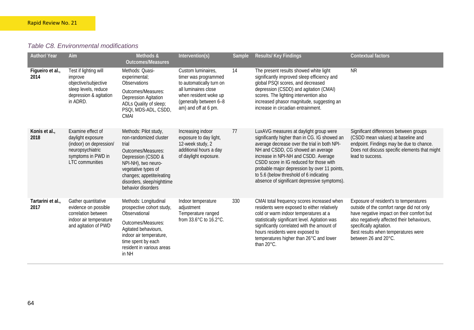### *Table C8. Environmental modifications*

| <b>Author/ Year</b>       | Aim                                                                                                                                   | Methods &<br><b>Outcomes/Measures</b>                                                                                                                                                                                              | Intervention(s)                                                                                                                                                           | Sample | Results/ Key Findings                                                                                                                                                                                                                                                                                                                                                                                      | <b>Contextual factors</b>                                                                                                                                                                                                                                                |
|---------------------------|---------------------------------------------------------------------------------------------------------------------------------------|------------------------------------------------------------------------------------------------------------------------------------------------------------------------------------------------------------------------------------|---------------------------------------------------------------------------------------------------------------------------------------------------------------------------|--------|------------------------------------------------------------------------------------------------------------------------------------------------------------------------------------------------------------------------------------------------------------------------------------------------------------------------------------------------------------------------------------------------------------|--------------------------------------------------------------------------------------------------------------------------------------------------------------------------------------------------------------------------------------------------------------------------|
| Figueiro et al.,<br>2014  | Test if lighting will<br>improve<br>objective/subjective<br>sleep levels, reduce<br>depression & agitation<br>in ADRD.                | Methods: Quasi-<br>experimental;<br>Observations<br>Outcomes/Measures:<br><b>Depression Agitation</b><br>ADLs Quality of sleep;<br>PSQI, MDS-ADL, CSDD,<br><b>CMAI</b>                                                             | Custom luminaires,<br>timer was programmed<br>to automatically turn on<br>all luminaires close<br>when resident woke up<br>(generally between 6-8<br>am) and off at 6 pm. | 14     | The present results showed white light<br>significantly improved sleep efficiency and<br>global PSQI scores, and decreased<br>depression (CSDD) and agitation (CMAI)<br>scores. The lighting intervention also<br>increased phasor magnitude, suggesting an<br>increase in circadian entrainment.                                                                                                          | <b>NR</b>                                                                                                                                                                                                                                                                |
| Konis et al.,<br>2018     | Examine effect of<br>daylight exposure<br>(indoor) on depression/<br>neuropsychiatric<br>symptoms in PWD in<br><b>LTC</b> communities | Methods: Pilot study,<br>non-randomized cluster<br>trial<br>Outcomes/Measures:<br>Depression (CSDD &<br>NPI-NH), two neuro-<br>vegetative types of<br>changes; appetite/eating<br>disorders, sleep/nighttime<br>behavior disorders | Increasing indoor<br>exposure to day light,<br>12-week study, 2<br>additional hours a day<br>of daylight exposure.                                                        | 77     | LuxAVG measures at daylight group were<br>significantly higher than in CG. IG showed an<br>average decrease over the trial in both NPI-<br>NH and CSDD, CG showed an average<br>increase in NPI-NH and CSDD. Average<br>CSDD score in IG reduced for those with<br>probable major depression by over 11 points,<br>to 5.6 (below threshold of 6 indicating<br>absence of significant depressive symptoms). | Significant differences between groups<br>(CSDD mean values) at baseline and<br>endpoint. Findings may be due to chance.<br>Does not discuss specific elements that might<br>lead to success.                                                                            |
| Tartarini et al.,<br>2017 | Gather quantitative<br>evidence on possible<br>correlation between<br>indoor air temperature<br>and agitation of PWD                  | Methods: Longitudinal<br>prospective cohort study,<br>Observational<br>Outcomes/Measures:<br>Agitated behaviours,<br>indoor air temperature,<br>time spent by each<br>resident in various areas<br>in NH                           | Indoor temperature<br>adjustment<br>Temperature ranged<br>from 33.6°C to 16.2°C.                                                                                          | 330    | CMAI total frequency scores increased when<br>residents were exposed to either relatively<br>cold or warm indoor temperatures at a<br>statistically significant level. Agitation was<br>significantly correlated with the amount of<br>hours residents were exposed to<br>temperatures higher than 26°C and lower<br>than 20°C.                                                                            | Exposure of resident's to temperatures<br>outside of the comfort range did not only<br>have negative impact on their comfort but<br>also negatively affected their behaviours,<br>specifically agitation.<br>Best results when temperatures were<br>between 26 and 20°C. |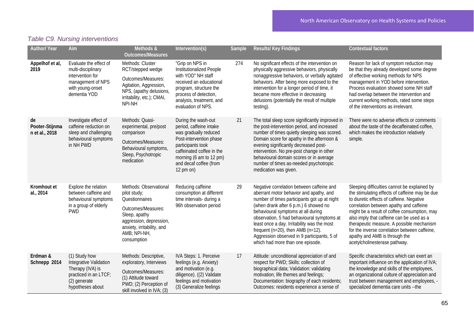# *Table C9. Nursing interventions*

| <b>Author/ Year</b>                    | Aim                                                                                                                       | Methods &<br><b>Outcomes/Measures</b>                                                                                                                                                   | Intervention(s)                                                                                                                                                                                                        | Sample | <b>Results/Key Findings</b>                                                                                                                                                                                                                                                                                                                                                                                                                      | <b>Contextual factors</b>                                                                                                                                                                                                                                                                                                                                                                                                                           |
|----------------------------------------|---------------------------------------------------------------------------------------------------------------------------|-----------------------------------------------------------------------------------------------------------------------------------------------------------------------------------------|------------------------------------------------------------------------------------------------------------------------------------------------------------------------------------------------------------------------|--------|--------------------------------------------------------------------------------------------------------------------------------------------------------------------------------------------------------------------------------------------------------------------------------------------------------------------------------------------------------------------------------------------------------------------------------------------------|-----------------------------------------------------------------------------------------------------------------------------------------------------------------------------------------------------------------------------------------------------------------------------------------------------------------------------------------------------------------------------------------------------------------------------------------------------|
| Appelhof et al,<br>2019                | Evaluate the effect of<br>multi-disciplinary<br>intervention for<br>management of NPS<br>with young-onset<br>dementia YOD | Methods: Cluster<br>RCT/stepped wedge<br>Outcomes/Measures:<br>Agitation, Aggression,<br>NPS, (apathy delusions,<br>irritability, etc.); CMAI,<br>NPI-NH                                | "Grip on NPS in<br>Institutionalized People<br>with YOD" NH staff<br>received an educational<br>program, structure the<br>process of detection,<br>analysis, treatment, and<br>evaluation of NPS.                      | 274    | No significant effects of the intervention on<br>physically aggressive behaviors, physically<br>nonaggressive behaviors, or verbally agitated<br>behaviors. After being more exposed to the<br>intervention for a longer period of time, it<br>became more effective in decreasing<br>delusions (potentially the result of multiple<br>testing).                                                                                                 | Reason for lack of symptom reduction may<br>be that they already developed some degree<br>of effective working methods for NPS<br>management in YOD before intervention.<br>Process evaluation showed some NH staff<br>had overlap between the intervention and<br>current working methods, rated some steps<br>of the interventions as irrelevant.                                                                                                 |
| de<br>Pooter-Stijnma<br>n et al., 2018 | Investigate effect of<br>caffeine reduction on<br>sleep and challenging<br>behavioural symptoms<br>in NH PWD              | Methods: Quasi-<br>experimental, pre/post<br>comparison<br>Outcomes/Measures:<br>Behavioural symptoms,<br>Sleep, Psychotropic<br>medication                                             | During the wash-out<br>period, caffeine intake<br>was gradually reduced<br>Post-intervention phase<br>participants took<br>caffeinated coffee in the<br>morning (6 am to 12 pm)<br>and decaf coffee (from<br>12 pm on) | 21     | The total sleep score significantly improved in<br>the post-intervention period, and increased<br>number of times quietly sleeping was scored.<br>Domain score for apathy in the afternoon &<br>evening significantly decreased post-<br>intervention. No pre-post change in other<br>behavioural domain scores or in average<br>number of times as-needed psychotropic<br>medication was given.                                                 | There were no adverse effects or comments<br>about the taste of the decaffeinated coffee,<br>which makes the introduction relatively<br>simple.                                                                                                                                                                                                                                                                                                     |
| Kromhout et<br>al., 2014               | Explore the relation<br>between caffeine and<br>behavioural symptoms<br>in a group of elderly<br><b>PWD</b>               | Methods: Observational<br>pilot study;<br>Questionnaires<br>Outcomes/Measures:<br>Sleep, apathy<br>aggression, depression,<br>anxiety, irritability, and<br>AMB; NPI-NH,<br>consumption | Reducing caffeine<br>consumption at different<br>time intervals- during a<br>96h observation period                                                                                                                    | 29     | Negative correlation between caffeine and<br>aberrant motor behavior and apathy, and<br>number of times participants got up at night<br>(when drank after 6 p.m.) 6 showed no<br>behavioural symptoms at all during<br>observation, 5 had behavioural symptoms at<br>least once a day. Irritability was the most<br>frequent ( $n=20$ ), then AMB ( $n=12$ ).<br>Aggression observed in 9 participants, 5 of<br>which had more than one episode. | Sleeping difficulties cannot be explained by<br>the stimulating effects of caffeine may be due<br>to diuretic effects of caffeine. Negative<br>correlation between apathy and caffeine<br>might be a result of coffee consumption, may<br>also imply that caffeine can be used as a<br>therapeutic measure. A possible mechanism<br>for the inverse correlation between caffeine,<br>apathy and AMB is through the<br>acetylcholinesterase pathway. |
| Erdman &<br>Schnepp 2014               | (1) Study how<br>Integrative Validation<br>Therapy (IVA) is<br>practiced in an LTCF;<br>(2) generate<br>hypotheses about  | Methods: Descriptive,<br>exploratory, Interviews<br>Outcomes/Measures:<br>(1) Attitude toward<br>PWD; (2) Perception of<br>skill involved in IVA; (3)                                   | <b>IVA Steps: 1. Perceive</b><br>feelings (e.g. Anxiety)<br>and motivation (e.g.<br>diligence). ((2) Validate<br>feelings and motivation<br>(3) Generalize feelings                                                    | 17     | Attitude: unconditional appreciation of and<br>respect for PWD; Skills: collection of<br>biographical data; Validation: validating<br>motivation, life themes and feelings;<br>Documentation: biography of each residents;<br>Outcomes: residents experience a sense of                                                                                                                                                                          | Specific characteristics which can exert an<br>important influence on the application of IVA;<br>the knowledge and skills of the employees,<br>an organizational culture of appreciation and<br>trust between management and employees, -<br>specialized dementia care units -- the                                                                                                                                                                 |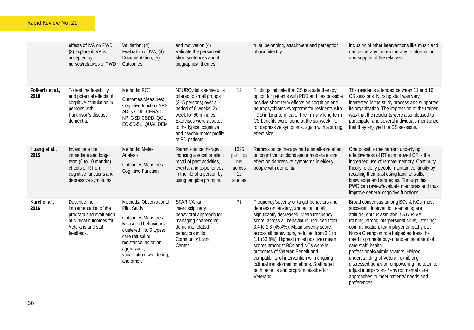|                          | effects of IVA on PWD<br>(3) explore if IVA is<br>accepted by<br>nurses/relatives of PWD                                              | Validation; (4)<br>Evaluation of IVA; (4)<br>Documentation; (5)<br>Outcomes                                                                                                                                         | and motivation (4)<br>Validate the person with<br>short sentences about<br>biographical themes.                                                                                                                                   |                                                     | trust, belonging, attachment and perception<br>of own identity.                                                                                                                                                                                                                                                                                                                                                                                                                                                                                    | inclusion of other interventions like music and<br>dance therapy, milieu therapy, --information<br>and support of the relatives.                                                                                                                                                                                                                                                                                                                                                                                                                                      |
|--------------------------|---------------------------------------------------------------------------------------------------------------------------------------|---------------------------------------------------------------------------------------------------------------------------------------------------------------------------------------------------------------------|-----------------------------------------------------------------------------------------------------------------------------------------------------------------------------------------------------------------------------------|-----------------------------------------------------|----------------------------------------------------------------------------------------------------------------------------------------------------------------------------------------------------------------------------------------------------------------------------------------------------------------------------------------------------------------------------------------------------------------------------------------------------------------------------------------------------------------------------------------------------|-----------------------------------------------------------------------------------------------------------------------------------------------------------------------------------------------------------------------------------------------------------------------------------------------------------------------------------------------------------------------------------------------------------------------------------------------------------------------------------------------------------------------------------------------------------------------|
| Folkerts et al.,<br>2018 | To test the feasibility<br>and potential effects of<br>cognitive stimulation in<br>persons with<br>Parkinson's disease<br>dementia.   | Methods: RCT<br>Outcomes/Measures:<br><b>Cognitive function NPS</b><br>ADLs QOL; CERAD,<br>NPI GSD CSDD, QOL<br>EQ-5D-5L. QUALIDEM                                                                                  | NEUROvitalis senseful is<br>offered to small groups<br>(3-5 persons) over a<br>period of 8 weeks, 2x<br>week for 60 minutes;<br>Exercises were adapted<br>to the typical cognitive<br>and psycho-motor profile<br>of PD patients. | 12                                                  | Findings indicate that CS is a safe therapy<br>option for patients with PDD and has possible<br>positive short-term effects on cognition and<br>neuropsychiatric symptoms for residents with<br>PDD in long-term care. Preliminary long-term<br>CS benefits were found at the six-week FU<br>for depressive symptoms, again with a strong<br>effect size.                                                                                                                                                                                          | The residents attended between 11 and 16<br>CS sessions. Nursing staff was very<br>interested in the study process and supported<br>its organization. The impression of the trainer<br>was that the residents were also pleased to<br>participate, and several individuals mentioned<br>that they enjoyed the CS sessions.                                                                                                                                                                                                                                            |
| Huang et al.,<br>2015    | Investigate the<br>immediate and long-<br>term (6 to 10 months)<br>effects of RT on<br>cognitive functions and<br>depressive symptoms | Methods: Meta-<br>Analysis<br>Outcomes/Measures:<br><b>Cognitive Function</b>                                                                                                                                       | Reminiscence therapy,<br>inducing a vocal or silent<br>recall of past activities,<br>events, and experiences<br>in the life of a person by<br>using tangible prompts.                                                             | 1325<br>participa<br>nts<br>across<br>12<br>studies | Reminiscence therapy had a small-size effect<br>on cognitive functions and a moderate size<br>effect on depressive symptoms in elderly<br>people with dementia.                                                                                                                                                                                                                                                                                                                                                                                    | One possible mechanism underlying<br>effectiveness of RT in improved CF is the<br>increased use of remote memory. Continuity<br>theory; elderly people maintain continuity by<br>recalling their past using familiar skills,<br>knowledge and strategies. Through this,<br>PWD can review/evaluate memories and thus<br>improve general cognitive functions.                                                                                                                                                                                                          |
| Karel et al.,<br>2016    | Describe the<br>implementation of the<br>program and evaluation<br>of clinical outcomes for<br>Veterans and staff<br>feedback.        | Methods: Observational<br>Pilot Study<br>Outcomes/Measures:<br>Measured behaviours<br>clustered into 6 types:<br>care refusal or<br>resistance, agitation,<br>aggression,<br>vocalization, wandering,<br>and other. | STAR-VA- an<br>interdisciplinary<br>behavioral approach for<br>managing challenging<br>dementia-related<br>behaviors in its<br><b>Community Living</b><br>Center.                                                                 | 71                                                  | Frequency/severity of target behaviors and<br>depression, anxiety, and agitation all<br>significantly decreased. Mean frequency<br>score, across all behaviours, reduced from<br>3.4 to 1.8 (45.4%). Mean severity score,<br>across all behaviours, reduced from 3.1 to<br>1.1 (63.8%). Highest (most positive) mean<br>scores amongst BCs and NCs were in<br>outcomes of Veteran Benefit and<br>compatibility of intervention with ongoing<br>cultural transformation efforts. Staff rated<br>both benefits and program feasible for<br>Veterans. | Broad consensus among BCs & NCs, most<br>successful intervention elements; are<br>attitude, enthusiasm about STAR-VA,<br>training, strong interpersonal skills, listening/<br>communication, team player empathy etc.<br>Nurse Champion role helped address the<br>need to promote buy-in and engagement of<br>care staff, health<br>professionals/administrators. Helped<br>understanding of Veteran exhibiting<br>distressed behavior, empowering the team to<br>adjust interpersonal/ environmental care<br>approaches to meet patients' needs and<br>preferences. |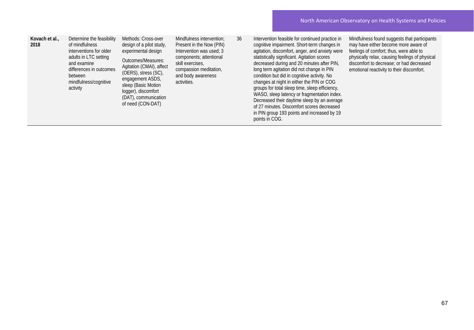| Kovach et al.,<br>2018 | Determine the feasibility<br>of mindfulness<br>interventions for older<br>adults in LTC setting<br>and examine<br>differences in outcomes<br>between<br>mindfulness/cognitive<br>activity | Methods: Cross-over<br>design of a pilot study,<br>experimental design<br>Outcomes/Measures:<br>Agitation (CMAI), affect<br>(OERS), stress (SC),<br>engagement ASDS,<br>sleep (Basic Motion<br>logger), discomfort<br>(DAT), communication<br>of need (CON-DAT) | Mindfulness intervention;<br>Present in the Now (PIN)<br>Intervention was used; 3<br>components; attentional<br>skill exercises.<br>compassion meditation,<br>and body awareness<br>activities. | 36 | Intervention feasible for continued practice in<br>cognitive impairment. Short-term changes in<br>agitation, discomfort, anger, and anxiety were<br>statistically significant. Agitation scores<br>decreased during and 20 minutes after PIN,<br>long term agitation did not change in PIN<br>condition but did in cognitive activity. No<br>changes at night in either the PIN or COG<br>groups for total sleep time, sleep efficiency,<br>WASO, sleep latency or fragmentation index.<br>Decreased their daytime sleep by an average<br>of 27 minutes. Discomfort scores decreased<br>in PIN group 193 points and increased by 19<br>points in COG. | Mindfulness found suggests that participants<br>may have either become more aware of<br>feelings of comfort; thus, were able to<br>physically relax, causing feelings of physical<br>discomfort to decrease; or had decreased<br>emotional reactivity to their discomfort. |
|------------------------|-------------------------------------------------------------------------------------------------------------------------------------------------------------------------------------------|-----------------------------------------------------------------------------------------------------------------------------------------------------------------------------------------------------------------------------------------------------------------|-------------------------------------------------------------------------------------------------------------------------------------------------------------------------------------------------|----|-------------------------------------------------------------------------------------------------------------------------------------------------------------------------------------------------------------------------------------------------------------------------------------------------------------------------------------------------------------------------------------------------------------------------------------------------------------------------------------------------------------------------------------------------------------------------------------------------------------------------------------------------------|----------------------------------------------------------------------------------------------------------------------------------------------------------------------------------------------------------------------------------------------------------------------------|
|------------------------|-------------------------------------------------------------------------------------------------------------------------------------------------------------------------------------------|-----------------------------------------------------------------------------------------------------------------------------------------------------------------------------------------------------------------------------------------------------------------|-------------------------------------------------------------------------------------------------------------------------------------------------------------------------------------------------|----|-------------------------------------------------------------------------------------------------------------------------------------------------------------------------------------------------------------------------------------------------------------------------------------------------------------------------------------------------------------------------------------------------------------------------------------------------------------------------------------------------------------------------------------------------------------------------------------------------------------------------------------------------------|----------------------------------------------------------------------------------------------------------------------------------------------------------------------------------------------------------------------------------------------------------------------------|